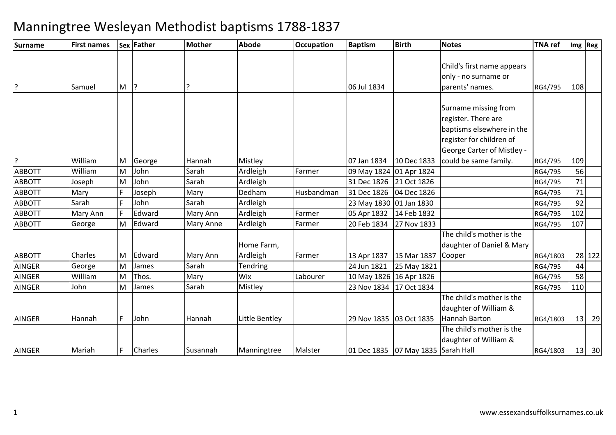| Surname       | <b>First names</b> |   | Sex Father | Mother    | <b>Abode</b>    | <b>Occupation</b> | <b>Baptism</b>            | <b>Birth</b>                           | <b>Notes</b>                      | <b>TNA ref</b> |     | Img   Reg |
|---------------|--------------------|---|------------|-----------|-----------------|-------------------|---------------------------|----------------------------------------|-----------------------------------|----------------|-----|-----------|
|               |                    |   |            |           |                 |                   |                           |                                        |                                   |                |     |           |
|               |                    |   |            |           |                 |                   |                           |                                        | Child's first name appears        |                |     |           |
|               |                    |   |            |           |                 |                   |                           |                                        | only - no surname or              |                |     |           |
| l?            | Samuel             | M | ?          |           |                 |                   | 06 Jul 1834               |                                        | parents' names.                   | RG4/795        | 108 |           |
|               |                    |   |            |           |                 |                   |                           |                                        |                                   |                |     |           |
|               |                    |   |            |           |                 |                   |                           |                                        | Surname missing from              |                |     |           |
|               |                    |   |            |           |                 |                   |                           |                                        | register. There are               |                |     |           |
|               |                    |   |            |           |                 |                   |                           |                                        | baptisms elsewhere in the         |                |     |           |
|               |                    |   |            |           |                 |                   |                           |                                        | register for children of          |                |     |           |
|               |                    |   |            |           |                 |                   |                           |                                        | <b>George Carter of Mistley -</b> |                |     |           |
| ?             | William            | M | George     | Hannah    | Mistley         |                   | 07 Jan 1834               | 10 Dec 1833                            | could be same family.             | RG4/795        | 109 |           |
| <b>ABBOTT</b> | William            | M | John       | Sarah     | Ardleigh        | Farmer            | 09 May 1824 01 Apr 1824   |                                        |                                   | RG4/795        | 56  |           |
| <b>ABBOTT</b> | Joseph             | M | John       | Sarah     | Ardleigh        |                   | 31 Dec 1826 21 Oct 1826   |                                        |                                   | RG4/795        | 71  |           |
| <b>ABBOTT</b> | Mary               |   | Joseph     | Mary      | Dedham          | Husbandman        | 31 Dec 1826   04 Dec 1826 |                                        |                                   | RG4/795        | 71  |           |
| <b>ABBOTT</b> | Sarah              |   | John       | Sarah     | Ardleigh        |                   | 23 May 1830 01 Jan 1830   |                                        |                                   | RG4/795        | 92  |           |
| <b>ABBOTT</b> | Mary Ann           |   | Edward     | Mary Ann  | Ardleigh        | Farmer            | 05 Apr 1832               | 14 Feb 1832                            |                                   | RG4/795        | 102 |           |
| <b>ABBOTT</b> | George             | M | Edward     | Mary Anne | Ardleigh        | Farmer            | 20 Feb 1834               | 27 Nov 1833                            |                                   | RG4/795        | 107 |           |
|               |                    |   |            |           |                 |                   |                           |                                        | The child's mother is the         |                |     |           |
|               |                    |   |            |           | Home Farm,      |                   |                           |                                        | daughter of Daniel & Mary         |                |     |           |
| <b>ABBOTT</b> | Charles            | M | Edward     | Mary Ann  | Ardleigh        | Farmer            | 13 Apr 1837               | 15 Mar 1837                            | Cooper                            | RG4/1803       |     | 28 122    |
| <b>AINGER</b> | George             | M | James      | Sarah     | <b>Tendring</b> |                   | 24 Jun 1821               | 25 May 1821                            |                                   | RG4/795        | 44  |           |
| <b>AINGER</b> | William            | M | Thos.      | Mary      | Wix             | Labourer          | 10 May 1826 16 Apr 1826   |                                        |                                   | RG4/795        | 58  |           |
| <b>AINGER</b> | John               | M | James      | Sarah     | Mistley         |                   | 23 Nov 1834               | 17 Oct 1834                            |                                   | RG4/795        | 110 |           |
|               |                    |   |            |           |                 |                   |                           |                                        | The child's mother is the         |                |     |           |
|               |                    |   |            |           |                 |                   |                           |                                        | daughter of William &             |                |     |           |
| <b>AINGER</b> | Hannah             | F | John       | Hannah    | Little Bentley  |                   | 29 Nov 1835 03 Oct 1835   |                                        | <b>Hannah Barton</b>              | RG4/1803       | 13  | 29        |
|               |                    |   |            |           |                 |                   |                           |                                        | The child's mother is the         |                |     |           |
|               |                    |   |            |           |                 |                   |                           |                                        | daughter of William &             |                |     |           |
| <b>AINGER</b> | Mariah             |   | Charles    | Susannah  | Manningtree     | Malster           |                           | 01 Dec 1835   07 May 1835   Sarah Hall |                                   | RG4/1803       | 13  | 30        |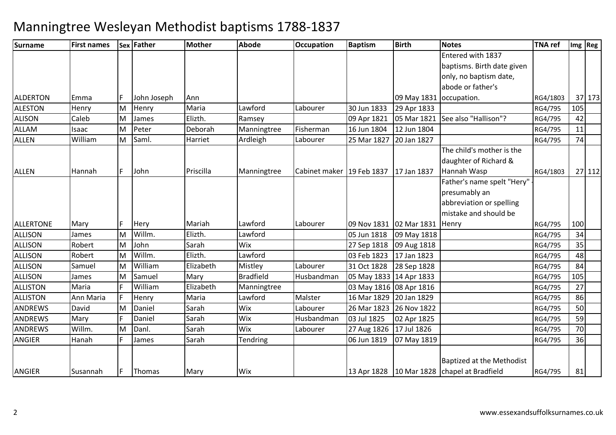| Surname          | <b>First names</b> |    | <b>Sex Father</b> | <b>Mother</b> | <b>Abode</b>     | <b>Occupation</b>           | <b>Baptism</b>          | <b>Birth</b>            | <b>Notes</b>                                  | <b>TNA</b> ref |     | Img Reg |
|------------------|--------------------|----|-------------------|---------------|------------------|-----------------------------|-------------------------|-------------------------|-----------------------------------------------|----------------|-----|---------|
|                  |                    |    |                   |               |                  |                             |                         |                         | Entered with 1837                             |                |     |         |
|                  |                    |    |                   |               |                  |                             |                         |                         | baptisms. Birth date given                    |                |     |         |
|                  |                    |    |                   |               |                  |                             |                         |                         | only, no baptism date,                        |                |     |         |
|                  |                    |    |                   |               |                  |                             |                         |                         | abode or father's                             |                |     |         |
| <b>ALDERTON</b>  | <b>IEmma</b>       |    | John Joseph       | Ann           |                  |                             |                         | 09 May 1831             | occupation.                                   | RG4/1803       |     | 37 173  |
| <b>ALESTON</b>   | Henry              | M  | Henry             | Maria         | Lawford          | Labourer                    | 30 Jun 1833             | 29 Apr 1833             |                                               | RG4/795        | 105 |         |
| <b>ALISON</b>    | Caleb              | M  | James             | Elizth.       | Ramsey           |                             | 09 Apr 1821             | 05 Mar 1821             | See also "Hallison"?                          | RG4/795        | 42  |         |
| <b>ALLAM</b>     | Isaac              | M  | Peter             | Deborah       | Manningtree      | Fisherman                   | 16 Jun 1804             | 12 Jun 1804             |                                               | RG4/795        | 11  |         |
| <b>ALLEN</b>     | William            | M  | Saml.             | Harriet       | Ardleigh         | Labourer                    | 25 Mar 1827             | 20 Jan 1827             |                                               | RG4/795        | 74  |         |
|                  |                    |    |                   |               |                  |                             |                         |                         | The child's mother is the                     |                |     |         |
|                  |                    |    |                   |               |                  |                             |                         |                         | daughter of Richard &                         |                |     |         |
| <b>ALLEN</b>     | Hannah             | F. | John              | Priscilla     | Manningtree      | Cabinet maker   19 Feb 1837 |                         | 17 Jan 1837             | Hannah Wasp                                   | RG4/1803       |     | 27 112  |
|                  |                    |    |                   |               |                  |                             |                         |                         | Father's name spelt "Hery"                    |                |     |         |
|                  |                    |    |                   |               |                  |                             |                         |                         | presumably an                                 |                |     |         |
|                  |                    |    |                   |               |                  |                             |                         |                         | abbreviation or spelling                      |                |     |         |
|                  |                    |    |                   |               |                  |                             |                         |                         | mistake and should be                         |                |     |         |
| <b>ALLERTONE</b> | Mary               | F. | Hery              | Mariah        | Lawford          | Labourer                    |                         | 09 Nov 1831 02 Mar 1831 | Henry                                         | RG4/795        | 100 |         |
| <b>ALLISON</b>   | James              | M  | Willm.            | Elizth.       | Lawford          |                             | 05 Jun 1818             | 09 May 1818             |                                               | RG4/795        | 34  |         |
| <b>ALLISON</b>   | Robert             | M  | John              | Sarah         | Wix              |                             | 27 Sep 1818             | 09 Aug 1818             |                                               | RG4/795        | 35  |         |
| ALLISON          | Robert             | M  | Willm.            | Elizth.       | Lawford          |                             | 03 Feb 1823             | 17 Jan 1823             |                                               | RG4/795        | 48  |         |
| <b>ALLISON</b>   | Samuel             | M  | William           | Elizabeth     | Mistley          | Labourer                    | 31 Oct 1828             | 28 Sep 1828             |                                               | RG4/795        | 84  |         |
| <b>ALLISON</b>   | James              | M  | Samuel            | Mary          | <b>Bradfield</b> | Husbandman                  | 05 May 1833 14 Apr 1833 |                         |                                               | RG4/795        | 105 |         |
| <b>ALLISTON</b>  | Maria              |    | William           | Elizabeth     | Manningtree      |                             | 03 May 1816 08 Apr 1816 |                         |                                               | RG4/795        | 27  |         |
| <b>ALLISTON</b>  | Ann Maria          | F  | Henry             | Maria         | Lawford          | Malster                     | 16 Mar 1829             | 20 Jan 1829             |                                               | RG4/795        | 86  |         |
| <b>ANDREWS</b>   | David              | M  | Daniel            | Sarah         | Wix              | Labourer                    | 26 Mar 1823             | 26 Nov 1822             |                                               | RG4/795        | 50  |         |
| <b>ANDREWS</b>   | Mary               |    | Daniel            | Sarah         | Wix              | Husbandman                  | 03 Jul 1825             | 02 Apr 1825             |                                               | RG4/795        | 59  |         |
| <b>ANDREWS</b>   | Willm.             | M  | Danl.             | Sarah         | Wix              | Labourer                    | 27 Aug 1826             | 17 Jul 1826             |                                               | RG4/795        | 70  |         |
| ANGIER           | Hanah              |    | James             | Sarah         | <b>Tendring</b>  |                             | 06 Jun 1819             | 07 May 1819             |                                               | RG4/795        | 36  |         |
|                  |                    |    |                   |               |                  |                             |                         |                         |                                               |                |     |         |
|                  |                    |    |                   |               |                  |                             |                         |                         | Baptized at the Methodist                     |                |     |         |
| <b>ANGIER</b>    | Susannah           |    | Thomas            | Mary          | Wix              |                             |                         |                         | 13 Apr 1828 10 Mar 1828   chapel at Bradfield | RG4/795        | 81  |         |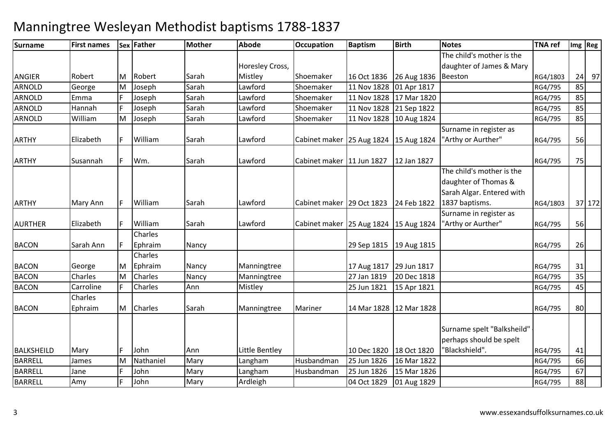| <b>Surname</b> | <b>First names</b> |    | Sex Father | Mother | <b>Abode</b>    | <b>Occupation</b>                         | <b>Baptism</b> | <b>Birth</b> | <b>Notes</b>                                                                   | <b>TNA ref</b> |    | Img Reg |
|----------------|--------------------|----|------------|--------|-----------------|-------------------------------------------|----------------|--------------|--------------------------------------------------------------------------------|----------------|----|---------|
|                |                    |    |            |        |                 |                                           |                |              | The child's mother is the                                                      |                |    |         |
|                |                    |    |            |        | Horesley Cross, |                                           |                |              | daughter of James & Mary                                                       |                |    |         |
| <b>ANGIER</b>  | Robert             | M  | Robert     | Sarah  | Mistley         | Shoemaker                                 | 16 Oct 1836    | 26 Aug 1836  | Beeston                                                                        | RG4/1803       |    | $24$ 97 |
| <b>ARNOLD</b>  | George             | M  | Joseph     | Sarah  | Lawford         | Shoemaker                                 | 11 Nov 1828    | 01 Apr 1817  |                                                                                | RG4/795        | 85 |         |
| <b>ARNOLD</b>  | Emma               |    | Joseph     | Sarah  | Lawford         | Shoemaker                                 | 11 Nov 1828    | 17 Mar 1820  |                                                                                | RG4/795        | 85 |         |
| <b>ARNOLD</b>  | Hannah             | F  | Joseph     | Sarah  | Lawford         | Shoemaker                                 | 11 Nov 1828    | 21 Sep 1822  |                                                                                | RG4/795        | 85 |         |
| ARNOLD         | William            | M  | Joseph     | Sarah  | Lawford         | Shoemaker                                 | 11 Nov 1828    | 10 Aug 1824  |                                                                                | RG4/795        | 85 |         |
| <b>ARTHY</b>   | Elizabeth          | F  | William    | Sarah  | Lawford         | Cabinet maker   25 Aug 1824   15 Aug 1824 |                |              | Surname in register as<br>"Arthy or Aurther"                                   | RG4/795        | 56 |         |
|                |                    |    |            |        |                 |                                           |                |              |                                                                                |                |    |         |
| <b>ARTHY</b>   | Susannah           | F  | Wm.        | Sarah  | Lawford         | Cabinet maker   11 Jun 1827               |                | 12 Jan 1827  |                                                                                | RG4/795        | 75 |         |
|                |                    |    |            |        |                 |                                           |                |              | The child's mother is the<br>daughter of Thomas &<br>Sarah Algar. Entered with |                |    |         |
| <b>ARTHY</b>   | Mary Ann           | IF | William    | Sarah  | Lawford         | Cabinet maker 29 Oct 1823                 |                | 24 Feb 1822  | 1837 baptisms.                                                                 | RG4/1803       |    | 37 172  |
|                |                    |    |            |        |                 |                                           |                |              | Surname in register as                                                         |                |    |         |
| <b>AURTHER</b> | Elizabeth          |    | William    | Sarah  | Lawford         | Cabinet maker   25 Aug 1824   15 Aug 1824 |                |              | "Arthy or Aurther"                                                             | RG4/795        | 56 |         |
|                |                    |    | Charles    |        |                 |                                           |                |              |                                                                                |                |    |         |
| <b>BACON</b>   | Sarah Ann          |    | Ephraim    | Nancy  |                 |                                           | 29 Sep 1815    | 19 Aug 1815  |                                                                                | RG4/795        | 26 |         |
|                |                    |    | Charles    |        |                 |                                           |                |              |                                                                                |                |    |         |
| <b>BACON</b>   | George             | M  | Ephraim    | Nancy  | Manningtree     |                                           | 17 Aug 1817    | 29 Jun 1817  |                                                                                | RG4/795        | 31 |         |
| <b>BACON</b>   | Charles            | M  | Charles    | Nancy  | Manningtree     |                                           | 27 Jan 1819    | 20 Dec 1818  |                                                                                | RG4/795        | 35 |         |
| <b>BACON</b>   | Carroline          |    | Charles    | Ann    | Mistley         |                                           | 25 Jun 1821    | 15 Apr 1821  |                                                                                | RG4/795        | 45 |         |
| <b>BACON</b>   | Charles<br>Ephraim | M  | Charles    | Sarah  | Manningtree     | Mariner                                   | 14 Mar 1828    | 12 Mar 1828  |                                                                                | RG4/795        | 80 |         |
|                |                    |    |            |        |                 |                                           |                |              | Surname spelt "Balksheild"<br>perhaps should be spelt                          |                |    |         |
| BALKSHEILD     | Mary               | F  | John       | Ann    | Little Bentley  |                                           | 10 Dec 1820    | 18 Oct 1820  | 'Blackshield".                                                                 | RG4/795        | 41 |         |
| <b>BARRELL</b> | James              | M  | Nathaniel  | Mary   | Langham         | Husbandman                                | 25 Jun 1826    | 16 Mar 1822  |                                                                                | RG4/795        | 66 |         |
| <b>BARRELL</b> | Jane               |    | John       | Mary   | Langham         | Husbandman                                | 25 Jun 1826    | 15 Mar 1826  |                                                                                | RG4/795        | 67 |         |
| <b>BARRELL</b> | Amy                |    | John       | Mary   | Ardleigh        |                                           | 04 Oct 1829    | 01 Aug 1829  |                                                                                | RG4/795        | 88 |         |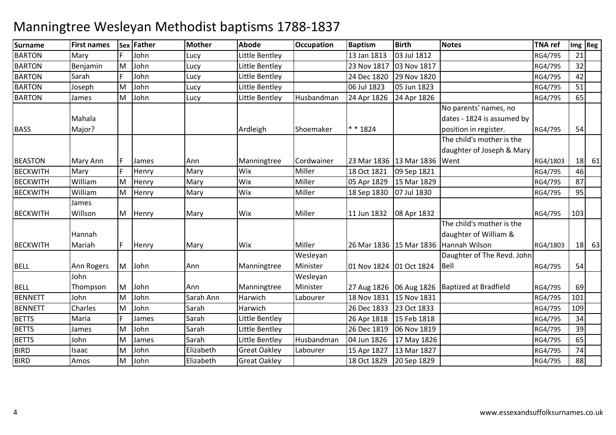| Surname         | <b>First names</b> |    | Sex Father | Mother    | <b>Abode</b>        | <b>Occupation</b> | <b>Baptism</b>          | <b>Birth</b>              | <b>Notes</b>               | <b>TNA ref</b> |     | Img Reg |
|-----------------|--------------------|----|------------|-----------|---------------------|-------------------|-------------------------|---------------------------|----------------------------|----------------|-----|---------|
| <b>BARTON</b>   | Mary               |    | John       | Lucy      | Little Bentley      |                   | 13 Jan 1813             | 03 Jul 1812               |                            | RG4/795        | 21  |         |
| <b>BARTON</b>   | Benjamin           | M  | John       | Lucy      | Little Bentley      |                   | 23 Nov 1817             | 03 Nov 1817               |                            | RG4/795        | 32  |         |
| <b>BARTON</b>   | Sarah              |    | John       | Lucy      | Little Bentley      |                   | 24 Dec 1820             | 29 Nov 1820               |                            | RG4/795        | 42  |         |
| <b>BARTON</b>   | Joseph             | M  | John       | Lucy      | Little Bentley      |                   | 06 Jul 1823             | 05 Jun 1823               |                            | RG4/795        | 51  |         |
| <b>BARTON</b>   | James              | M  | John       | Lucy      | Little Bentley      | Husbandman        | 24 Apr 1826             | 24 Apr 1826               |                            | RG4/795        | 65  |         |
|                 |                    |    |            |           |                     |                   |                         |                           | No parents' names, no      |                |     |         |
|                 | Mahala             |    |            |           |                     |                   |                         |                           | dates - 1824 is assumed by |                |     |         |
| <b>BASS</b>     | Major?             |    |            |           | Ardleigh            | Shoemaker         | * * 1824                |                           | position in register.      | RG4/795        | 54  |         |
|                 |                    |    |            |           |                     |                   |                         |                           | The child's mother is the  |                |     |         |
|                 |                    |    |            |           |                     |                   |                         |                           | daughter of Joseph & Mary  |                |     |         |
| <b>BEASTON</b>  | Mary Ann           |    | James      | Ann       | Manningtree         | Cordwainer        |                         | 23 Mar 1836   13 Mar 1836 | Went                       | RG4/1803       |     | 18 61   |
| <b>BECKWITH</b> | Mary               |    | Henry      | Mary      | Wix                 | Miller            | 18 Oct 1821             | 09 Sep 1821               |                            | RG4/795        | 46  |         |
| <b>BECKWITH</b> | William            | M  | Henry      | Mary      | Wix                 | Miller            | 05 Apr 1829             | 15 Mar 1829               |                            | RG4/795        | 87  |         |
| <b>BECKWITH</b> | William            | M  | Henry      | Mary      | Wix                 | Miller            | 18 Sep 1830             | 07 Jul 1830               |                            | RG4/795        | 95  |         |
|                 | James              |    |            |           |                     |                   |                         |                           |                            |                |     |         |
| <b>BECKWITH</b> | Willson            | M  | Henry      | Mary      | Wix                 | Miller            |                         |                           |                            | RG4/795        | 103 |         |
|                 |                    |    |            |           |                     |                   |                         |                           | The child's mother is the  |                |     |         |
|                 | Hannah             |    |            |           |                     |                   |                         |                           | daughter of William &      |                |     |         |
| <b>BECKWITH</b> | Mariah             | F. | Henry      | Mary      | Wix                 | Miller            |                         | 26 Mar 1836   15 Mar 1836 | Hannah Wilson              | RG4/1803       |     | 18 63   |
|                 |                    |    |            |           |                     | Wesleyan          |                         |                           | Daughter of The Revd. John |                |     |         |
| <b>BELL</b>     | Ann Rogers         | M  | John       | Ann       | Manningtree         | Minister          | 01 Nov 1824 01 Oct 1824 |                           | Bell                       | RG4/795        | 54  |         |
|                 | John               |    |            |           |                     | Wesleyan          |                         |                           |                            |                |     |         |
| <b>BELL</b>     | Thompson           | M  | John       | Ann       | Manningtree         | Minister          |                         | 27 Aug 1826   06 Aug 1826 | Baptized at Bradfield      | RG4/795        | 69  |         |
| <b>BENNETT</b>  | John               | M  | John       | Sarah Ann | Harwich             | Labourer          | 18 Nov 1831             | 15 Nov 1831               |                            | RG4/795        | 101 |         |
| <b>BENNETT</b>  | Charles            | M  | John       | Sarah     | Harwich             |                   | 26 Dec 1833             | 23 Oct 1833               |                            | RG4/795        | 109 |         |
| <b>BETTS</b>    | Maria              |    | James      | Sarah     | Little Bentley      |                   | 26 Apr 1818             | 15 Feb 1818               |                            | RG4/795        | 34  |         |
| <b>BETTS</b>    | James              | M  | John       | Sarah     | Little Bentley      |                   | 26 Dec 1819             | 06 Nov 1819               |                            | RG4/795        | 39  |         |
| <b>BETTS</b>    | John               | M  | James      | Sarah     | Little Bentley      | Husbandman        | 04 Jun 1826             | 17 May 1826               |                            | RG4/795        | 65  |         |
| <b>BIRD</b>     | Isaac              | M  | John       | Elizabeth | <b>Great Oakley</b> | Labourer          | 15 Apr 1827             | 13 Mar 1827               |                            | RG4/795        | 74  |         |
| <b>BIRD</b>     | Amos               | M  | John       | Elizabeth | <b>Great Oakley</b> |                   | 18 Oct 1829             | 20 Sep 1829               |                            | RG4/795        | 88  |         |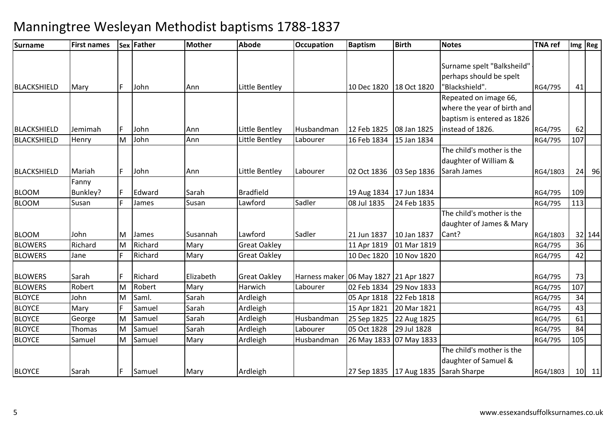| <b>Surname</b>                 | <b>First names</b> |    | Sex Father | <b>Mother</b> | <b>Abode</b>         | <b>Occupation</b>                                 | <b>Baptism</b>             | <b>Birth</b>               | <b>Notes</b>                         | <b>TNA ref</b>     |     | Img Reg |
|--------------------------------|--------------------|----|------------|---------------|----------------------|---------------------------------------------------|----------------------------|----------------------------|--------------------------------------|--------------------|-----|---------|
|                                |                    |    |            |               |                      |                                                   |                            |                            |                                      |                    |     |         |
|                                |                    |    |            |               |                      |                                                   |                            |                            | Surname spelt "Balksheild"           |                    |     |         |
|                                |                    |    |            |               |                      |                                                   |                            |                            | perhaps should be spelt              |                    |     |         |
| BLACKSHIELD                    | Mary               | F  | John       | Ann           | Little Bentley       |                                                   | 10 Dec 1820   18 Oct 1820  |                            | "Blackshield".                       | RG4/795            | 41  |         |
|                                |                    |    |            |               |                      |                                                   |                            |                            | Repeated on image 66,                |                    |     |         |
|                                |                    |    |            |               |                      |                                                   |                            |                            | where the year of birth and          |                    |     |         |
|                                |                    |    |            |               |                      |                                                   |                            |                            | baptism is entered as 1826           |                    |     |         |
| <b>BLACKSHIELD</b>             | Jemimah            |    | John       | Ann           | Little Bentley       | Husbandman                                        | 12 Feb 1825                | 08 Jan 1825                | instead of 1826.                     | RG4/795            | 62  |         |
| BLACKSHIELD                    | Henry              | M  | John       | Ann           | Little Bentley       | Labourer                                          | 16 Feb 1834                | 15 Jan 1834                |                                      | RG4/795            | 107 |         |
|                                |                    |    |            |               |                      |                                                   |                            |                            | The child's mother is the            |                    |     |         |
|                                |                    |    |            |               |                      |                                                   |                            |                            | daughter of William &                |                    |     |         |
| BLACKSHIELD                    | Mariah             | F  | John       | Ann           | Little Bentley       | Labourer                                          | 02 Oct 1836                | 03 Sep 1836                | Sarah James                          | RG4/1803           |     | $24$ 96 |
|                                | Fanny              |    |            |               |                      |                                                   |                            |                            |                                      |                    |     |         |
| <b>BLOOM</b>                   | Bunkley?           |    | Edward     | Sarah         | <b>Bradfield</b>     |                                                   | 19 Aug 1834 17 Jun 1834    |                            |                                      | RG4/795            | 109 |         |
| <b>BLOOM</b>                   | Susan              |    | James      | Susan         | Lawford              | Sadler                                            | 08 Jul 1835                | 24 Feb 1835                |                                      | RG4/795            | 113 |         |
|                                |                    |    |            |               |                      |                                                   |                            |                            | The child's mother is the            |                    |     |         |
|                                |                    |    |            |               |                      |                                                   |                            |                            | daughter of James & Mary             |                    |     |         |
| <b>BLOOM</b>                   | John               | M  | James      | Susannah      | Lawford              | Sadler                                            | 21 Jun 1837                | 10 Jan 1837                | Cant?                                | RG4/1803           |     | 32 144  |
| <b>BLOWERS</b>                 | Richard            | M  | Richard    | Mary          | <b>Great Oakley</b>  |                                                   | 11 Apr 1819                | 01 Mar 1819                |                                      | RG4/795            | 36  |         |
| <b>BLOWERS</b>                 | Jane               |    | Richard    | Mary          | <b>Great Oakley</b>  |                                                   | 10 Dec 1820                | 10 Nov 1820                |                                      | RG4/795            | 42  |         |
| <b>BLOWERS</b>                 | Sarah              |    | Richard    | Elizabeth     | <b>Great Oakley</b>  |                                                   |                            |                            |                                      | RG4/795            | 73  |         |
| <b>BLOWERS</b>                 | Robert             | M  | Robert     | Mary          | Harwich              | Harness maker 06 May 1827 21 Apr 1827<br>Labourer | 02 Feb 1834                | 29 Nov 1833                |                                      |                    | 107 |         |
|                                | John               |    | Saml.      | Sarah         |                      |                                                   |                            | 22 Feb 1818                |                                      | RG4/795            | 34  |         |
| <b>BLOYCE</b><br><b>BLOYCE</b> |                    | M  | Samuel     | Sarah         | Ardleigh<br>Ardleigh |                                                   | 05 Apr 1818<br>15 Apr 1821 | 20 Mar 1821                |                                      | RG4/795<br>RG4/795 | 43  |         |
| <b>BLOYCE</b>                  | Mary               | M  | Samuel     | Sarah         | Ardleigh             | Husbandman                                        |                            |                            |                                      |                    | 61  |         |
| <b>BLOYCE</b>                  | George             | M  | Samuel     | Sarah         |                      | Labourer                                          | 25 Sep 1825                | 22 Aug 1825<br>29 Jul 1828 |                                      | RG4/795            | 84  |         |
|                                | <b>Thomas</b>      |    |            |               | Ardleigh             |                                                   | 05 Oct 1828                |                            |                                      | RG4/795            |     |         |
| <b>BLOYCE</b>                  | Samuel             | M  | Samuel     | Mary          | Ardleigh             | Husbandman                                        |                            | 26 May 1833   07 May 1833  | The child's mother is the            | RG4/795            | 105 |         |
|                                |                    |    |            |               |                      |                                                   |                            |                            |                                      |                    |     |         |
| <b>BLOYCE</b>                  | Sarah              | F. | Samuel     | Mary          | Ardleigh             |                                                   | 27 Sep 1835   17 Aug 1835  |                            | daughter of Samuel &<br>Sarah Sharpe | RG4/1803           |     | $10$ 11 |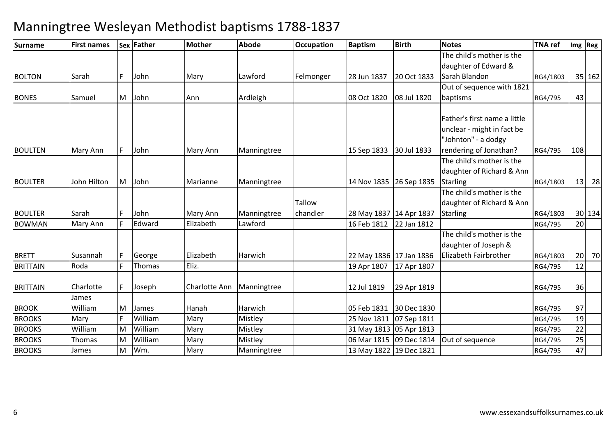| <b>Surname</b>  | <b>First names</b> |    | Sex Father | Mother        | <b>Abode</b> | <b>Occupation</b> | <b>Baptism</b>            | <b>Birth</b>            | <b>Notes</b>                 | <b>TNA ref</b> |                 | Img Reg |
|-----------------|--------------------|----|------------|---------------|--------------|-------------------|---------------------------|-------------------------|------------------------------|----------------|-----------------|---------|
|                 |                    |    |            |               |              |                   |                           |                         | The child's mother is the    |                |                 |         |
|                 |                    |    |            |               |              |                   |                           |                         | daughter of Edward &         |                |                 |         |
| <b>BOLTON</b>   | <b>Sarah</b>       |    | John       | Mary          | Lawford      | Felmonger         | 28 Jun 1837               | 20 Oct 1833             | Sarah Blandon                | RG4/1803       |                 | 35 162  |
|                 |                    |    |            |               |              |                   |                           |                         | Out of sequence with 1821    |                |                 |         |
| <b>BONES</b>    | Samuel             | M  | John       | Ann           | Ardleigh     |                   | 08 Oct 1820               | 08 Jul 1820             | baptisms                     | RG4/795        | 43              |         |
|                 |                    |    |            |               |              |                   |                           |                         | Father's first name a little |                |                 |         |
|                 |                    |    |            |               |              |                   |                           |                         | unclear - might in fact be   |                |                 |         |
|                 |                    |    |            |               |              |                   |                           |                         | "Johnton" - a dodgy          |                |                 |         |
| <b>BOULTEN</b>  | Mary Ann           |    | John       | Mary Ann      | Manningtree  |                   | 15 Sep 1833               | 30 Jul 1833             | rendering of Jonathan?       | RG4/795        | 108             |         |
|                 |                    |    |            |               |              |                   |                           |                         | The child's mother is the    |                |                 |         |
|                 |                    |    |            |               |              |                   |                           |                         | daughter of Richard & Ann    |                |                 |         |
| <b>BOULTER</b>  | John Hilton        | M  | John       | Marianne      | Manningtree  |                   |                           | 14 Nov 1835 26 Sep 1835 | <b>Starling</b>              | RG4/1803       | 13              | 28      |
|                 |                    |    |            |               |              |                   |                           |                         | The child's mother is the    |                |                 |         |
|                 |                    |    |            |               |              | Tallow            |                           |                         | daughter of Richard & Ann    |                |                 |         |
| <b>BOULTER</b>  | Sarah              |    | John       | Mary Ann      | Manningtree  | chandler          | 28 May 1837 14 Apr 1837   |                         | <b>Starling</b>              | RG4/1803       |                 | 30 134  |
| <b>BOWMAN</b>   | Mary Ann           |    | Edward     | Elizabeth     | Lawford      |                   | 16 Feb 1812               | 22 Jan 1812             |                              | RG4/795        | 20              |         |
|                 |                    |    |            |               |              |                   |                           |                         | The child's mother is the    |                |                 |         |
|                 |                    |    |            |               |              |                   |                           |                         | daughter of Joseph &         |                |                 |         |
| <b>BRETT</b>    | Susannah           |    | George     | Elizabeth     | Harwich      |                   | 22 May 1836   17 Jan 1836 |                         | Elizabeth Fairbrother        | RG4/1803       | 20 <sub>l</sub> | 70      |
| <b>BRITTAIN</b> | Roda               |    | Thomas     | Eliz.         |              |                   | 19 Apr 1807               | 17 Apr 1807             |                              | RG4/795        | 12              |         |
| <b>BRITTAIN</b> | Charlotte          | F. | Joseph     | Charlotte Ann | Manningtree  |                   | 12 Jul 1819               | 29 Apr 1819             |                              | RG4/795        | 36              |         |
|                 | James              |    |            |               |              |                   |                           |                         |                              |                |                 |         |
| <b>BROOK</b>    | William            | M  | James      | Hanah         | Harwich      |                   | 05 Feb 1831               | 30 Dec 1830             |                              | RG4/795        | 97              |         |
| <b>BROOKS</b>   | Mary               |    | William    | Mary          | Mistley      |                   | 25 Nov 1811               | 07 Sep 1811             |                              | RG4/795        | 19              |         |
| <b>BROOKS</b>   | William            | М  | William    | Mary          | Mistley      |                   | 31 May 1813 05 Apr 1813   |                         |                              | RG4/795        | 22              |         |
| <b>BROOKS</b>   | Thomas             | м  | William    | Mary          | Mistley      |                   | 06 Mar 1815 09 Dec 1814   |                         | Out of sequence              | RG4/795        | 25              |         |
| <b>BROOKS</b>   | James              | M  | Wm.        | Mary          | Manningtree  |                   | 13 May 1822 19 Dec 1821   |                         |                              | RG4/795        | 47              |         |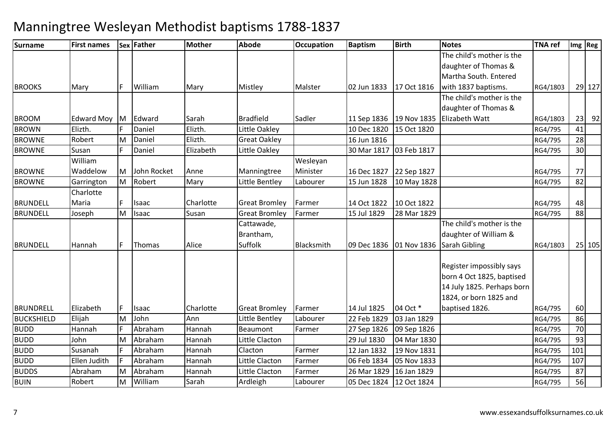| Surname           | <b>First names</b> |    | Sex Father  | <b>Mother</b> | <b>Abode</b>         | Occupation | <b>Baptism</b> | <b>Birth</b> | <b>Notes</b>                            | <b>TNA</b> ref |     | Img Reg |
|-------------------|--------------------|----|-------------|---------------|----------------------|------------|----------------|--------------|-----------------------------------------|----------------|-----|---------|
|                   |                    |    |             |               |                      |            |                |              | The child's mother is the               |                |     |         |
|                   |                    |    |             |               |                      |            |                |              | daughter of Thomas &                    |                |     |         |
|                   |                    |    |             |               |                      |            |                |              | Martha South. Entered                   |                |     |         |
| <b>BROOKS</b>     | Mary               | F. | William     | Mary          | Mistley              | Malster    | 02 Jun 1833    | 17 Oct 1816  | with 1837 baptisms.                     | RG4/1803       |     | 29 127  |
|                   |                    |    |             |               |                      |            |                |              | The child's mother is the               |                |     |         |
|                   |                    |    |             |               |                      |            |                |              | daughter of Thomas &                    |                |     |         |
| <b>BROOM</b>      | Edward Moy M       |    | Edward      | Sarah         | <b>Bradfield</b>     | Sadler     | 11 Sep 1836    | 19 Nov 1835  | <b>Elizabeth Watt</b>                   | RG4/1803       | 23  | 92      |
| <b>BROWN</b>      | Elizth.            |    | Daniel      | Elizth.       | Little Oakley        |            | 10 Dec 1820    | 15 Oct 1820  |                                         | RG4/795        | 41  |         |
| <b>BROWNE</b>     | Robert             | M  | Daniel      | Elizth.       | <b>Great Oakley</b>  |            | 16 Jun 1816    |              |                                         | RG4/795        | 28  |         |
| <b>BROWNE</b>     | Susan              |    | Daniel      | Elizabeth     | Little Oakley        |            | 30 Mar 1817    | 03 Feb 1817  |                                         | RG4/795        | 30  |         |
|                   | William            |    |             |               |                      | Wesleyan   |                |              |                                         |                |     |         |
| <b>BROWNE</b>     | Waddelow           | M  | John Rocket | Anne          | Manningtree          | Minister   | 16 Dec 1827    | 22 Sep 1827  |                                         | RG4/795        | 77  |         |
| <b>BROWNE</b>     | Garrington         | M  | Robert      | Mary          | Little Bentley       | Labourer   | 15 Jun 1828    | 10 May 1828  |                                         | RG4/795        | 82  |         |
|                   | Charlotte          |    |             |               |                      |            |                |              |                                         |                |     |         |
| <b>BRUNDELL</b>   | Maria              | F. | Isaac       | Charlotte     | <b>Great Bromley</b> | Farmer     | 14 Oct 1822    | 10 Oct 1822  |                                         | RG4/795        | 48  |         |
| <b>BRUNDELL</b>   | Joseph             | M  | Isaac       | Susan         | <b>Great Bromley</b> | Farmer     | 15 Jul 1829    | 28 Mar 1829  |                                         | RG4/795        | 88  |         |
|                   |                    |    |             |               | Cattawade,           |            |                |              | The child's mother is the               |                |     |         |
|                   |                    |    |             |               | Brantham,            |            |                |              | daughter of William &                   |                |     |         |
| <b>BRUNDELL</b>   | Hannah             | F. | Thomas      | Alice         | Suffolk              | Blacksmith |                |              | 09 Dec 1836   01 Nov 1836 Sarah Gibling | RG4/1803       |     | 25 105  |
|                   |                    |    |             |               |                      |            |                |              | Register impossibly says                |                |     |         |
|                   |                    |    |             |               |                      |            |                |              | born 4 Oct 1825, baptised               |                |     |         |
|                   |                    |    |             |               |                      |            |                |              | 14 July 1825. Perhaps born              |                |     |         |
|                   |                    |    |             |               |                      |            |                |              | 1824, or born 1825 and                  |                |     |         |
| <b>BRUNDRELL</b>  | Elizabeth          | F. | Isaac       | Charlotte     | <b>Great Bromley</b> | Farmer     | 14 Jul 1825    | 04 Oct *     | baptised 1826.                          | RG4/795        | 60  |         |
| <b>BUCKSHIELD</b> | Elijah             | M  | John        | Ann           | Little Bentley       | Labourer   | 22 Feb 1829    | 03 Jan 1829  |                                         | RG4/795        | 86  |         |
| <b>BUDD</b>       | Hannah             |    | Abraham     | Hannah        | Beaumont             | Farmer     | 27 Sep 1826    | 09 Sep 1826  |                                         | RG4/795        | 70  |         |
| <b>BUDD</b>       | John               | M  | Abraham     | Hannah        | Little Clacton       |            | 29 Jul 1830    | 04 Mar 1830  |                                         | RG4/795        | 93  |         |
| <b>BUDD</b>       | Susanah            |    | Abraham     | Hannah        | Clacton              | Farmer     | 12 Jan 1832    | 19 Nov 1831  |                                         | RG4/795        | 101 |         |
| <b>BUDD</b>       | Ellen Judith       |    | Abraham     | Hannah        | Little Clacton       | Farmer     | 06 Feb 1834    | 05 Nov 1833  |                                         | RG4/795        | 107 |         |
| <b>BUDDS</b>      | Abraham            | M  | Abraham     | Hannah        | Little Clacton       | Farmer     | 26 Mar 1829    | 16 Jan 1829  |                                         | RG4/795        | 87  |         |
| <b>BUIN</b>       | Robert             | M  | William     | Sarah         | Ardleigh             | Labourer   | 05 Dec 1824    | 12 Oct 1824  |                                         | RG4/795        | 56  |         |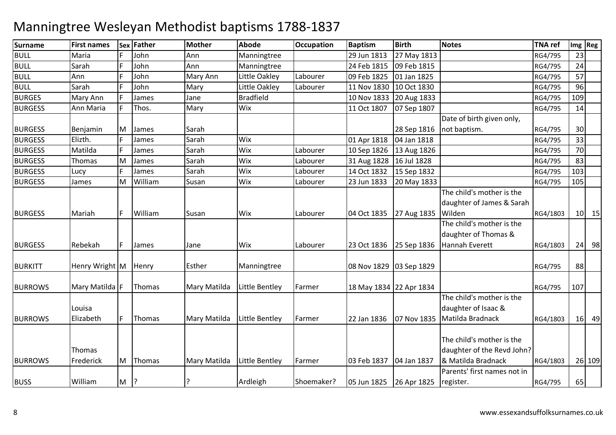| <b>Surname</b> | <b>First names</b>  | Sex | Father  | <b>Mother</b>       | Abode            | <b>Occupation</b> | <b>Baptism</b>          | <b>Birth</b> | <b>Notes</b>                                                                  | <b>TNA ref</b> |                 | Img Reg |
|----------------|---------------------|-----|---------|---------------------|------------------|-------------------|-------------------------|--------------|-------------------------------------------------------------------------------|----------------|-----------------|---------|
| <b>BULL</b>    | Maria               |     | John    | Ann                 | Manningtree      |                   | 29 Jun 1813             | 27 May 1813  |                                                                               | RG4/795        | 23              |         |
| <b>BULL</b>    | Sarah               |     | John    | Ann                 | Manningtree      |                   | 24 Feb 1815             | 09 Feb 1815  |                                                                               | RG4/795        | 24              |         |
| <b>BULL</b>    | Ann                 |     | John    | Mary Ann            | Little Oakley    | Labourer          | 09 Feb 1825             | 01 Jan 1825  |                                                                               | RG4/795        | 57              |         |
| <b>BULL</b>    | Sarah               |     | John    | Mary                | Little Oakley    | Labourer          | 11 Nov 1830             | 10 Oct 1830  |                                                                               | RG4/795        | 96              |         |
| <b>BURGES</b>  | Mary Ann            |     | James   | Jane                | <b>Bradfield</b> |                   | 10 Nov 1833             | 20 Aug 1833  |                                                                               | RG4/795        | 109             |         |
| <b>BURGESS</b> | Ann Maria           | F   | Thos.   | Mary                | Wix              |                   | 11 Oct 1807             | 07 Sep 1807  |                                                                               | RG4/795        | 14              |         |
| <b>BURGESS</b> | Benjamin            | ΙM  | James   | Sarah               |                  |                   |                         | 28 Sep 1816  | Date of birth given only,<br>not baptism.                                     | RG4/795        | 30              |         |
| <b>BURGESS</b> | Elizth.             |     | James   | Sarah               | Wix              |                   | 01 Apr 1818             | 04 Jan 1818  |                                                                               | RG4/795        | 33              |         |
| <b>BURGESS</b> | Matilda             |     | James   | Sarah               | Wix              | Labourer          | 10 Sep 1826             | 13 Aug 1826  |                                                                               | RG4/795        | $\overline{70}$ |         |
| <b>BURGESS</b> | Thomas              | M   | James   | Sarah               | Wix              | Labourer          | 31 Aug 1828             | 16 Jul 1828  |                                                                               | RG4/795        | 83              |         |
| <b>BURGESS</b> | Lucy                |     | James   | Sarah               | Wix              | Labourer          | 14 Oct 1832             | 15 Sep 1832  |                                                                               | RG4/795        | 103             |         |
| <b>BURGESS</b> | James               | M   | William | Susan               | Wix              | Labourer          | 23 Jun 1833             | 20 May 1833  |                                                                               | RG4/795        | 105             |         |
| <b>BURGESS</b> | Mariah              | F   | William | Susan               | <b>Wix</b>       | Labourer          | 04 Oct 1835             | 27 Aug 1835  | The child's mother is the<br>daughter of James & Sarah<br>Wilden              | RG4/1803       |                 | $10$ 15 |
| <b>BURGESS</b> | Rebekah             | F.  | James   | Jane                | Wix              | Labourer          | 23 Oct 1836 25 Sep 1836 |              | The child's mother is the<br>daughter of Thomas &<br>Hannah Everett           | RG4/1803       |                 | $24$ 98 |
| <b>BURKITT</b> | Henry Wright M      |     | Henry   | Esther              | Manningtree      |                   | 08 Nov 1829 03 Sep 1829 |              |                                                                               | RG4/795        | 88              |         |
| <b>BURROWS</b> | Mary Matilda F      |     | Thomas  | Mary Matilda        | Little Bentley   | Farmer            | 18 May 1834 22 Apr 1834 |              |                                                                               | RG4/795        | 107             |         |
| <b>BURROWS</b> | Louisa<br>Elizabeth | F.  | Thomas  | Mary Matilda        | Little Bentley   | Farmer            | 22 Jan 1836             | 07 Nov 1835  | The child's mother is the<br>daughter of Isaac &<br>Matilda Bradnack          | RG4/1803       |                 | 16 49   |
| <b>BURROWS</b> | Thomas<br>Frederick | M   | Thomas  | <b>Mary Matilda</b> | Little Bentley   | Farmer            | 03 Feb 1837             | 04 Jan 1837  | The child's mother is the<br>daughter of the Revd John?<br>& Matilda Bradnack | RG4/1803       |                 | 26 109  |
| <b>BUSS</b>    | William             | M   | ?       | 7                   | Ardleigh         | Shoemaker?        | 05 Jun 1825             | 26 Apr 1825  | Parents' first names not in<br>register.                                      | RG4/795        | 65              |         |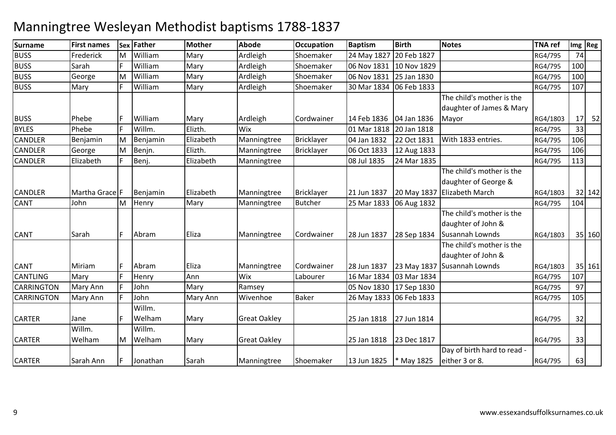### **Surname First names Sex Father Mother Abode OccupationOccupation Baptism**<br>Shoemaker 24 May 1827 **Birth Notes TNA ref Img Reg** BUSS Frederick MM William Mary Ardleigh Shoemaker 24 May 1827 20 Feb 1827 RG4/795 74<br>E William Mary Ardleigh Shoemaker 24 May 1827 1928 1929 BUSS SarahWilliam<br>William m Mary Ardleigh Shoemaker 06 Nov 1831 10 Nov 1829 RG4/795 100 BUSS GeorgeMM William Mary Ardleigh Shoemaker 06 Nov 1831 25 Jan 1830 RG4/795 100<br>E William Mary Ardleigh Shoemaker 20 M 1934 SS Erl 1933 BUSSMary F William m Mary Ardleigh Shoemaker 30 Mar 1834 06 Feb 1833 RG4/795 107 **BUSS**  Phebee F William Mary Ardleigh Cordwainer 14 Feb 1836 |04 Jan 1836 8 20 Jan 1818 RG4/795 33 The child's mother is the daughter of James & Mary **Mayor**  RG4/1803 $\frac{17}{33}$  52 BYLES Phebee F Willm. Elizth. Wix 1818 CANDLER Benjamin MM Benjamin Elizabeth Manningtree Bricklayer 04 Jan 1832 22 Oct 1831 With 1833 entries. RG4/795 106<br>Marshall Elizabeth Manningtree Brittlessen GCO1 1933 13 And 1933 CANDLERGeorge<br>Elizabeth M Benjn. Elizth. Manningtree Bricklayer 06 Oct 1833 12 Aug 1833 RG4/795 <sup>106</sup> **CANDLER** R Elizabeth F Benj. | Elizabeth Manningtree | 08 Jul 1835 24 Mar 1835 | 113 RG4/795 113 CANDI FR R Martha Grace F Benjamin Elizabeth Manningtree Bricklayer 21 Jun 1837 20 May 1837 The child's mother is the daughter of George & 20 May 1837 Elizabeth March RG4/1803 32 142<br>RG4/795 104 CANT JohnMM Henry Mary Manningtree Butcher 25 Mar 1833 06 Aug 1832 RG4/795 104<br>
Henry Mary Manningtree Butcher 25 Mar 1833 06 Aug 1832 CANT Sarahh F Abram Eliza Manningtree Cordwainer 28 Jun 1837 28 Sep 1834 The child's mother is the daughter of John & 28 Sep 1834 Susannah Lownds RG4/180335 160 CANT Miriam <sup>F</sup> Abram Eliza Manningtree Cordwainer 28 Jun 1837 23 May 1837 The child's mother is the daughter of John & 23 May 1837 Susannah Lownds RG4/180335 161<br>107 CANTLINGG Mary F Henry Ann Wix Labourer 16 Mar 1834 03 Mar 1834 RG4/795 107 **CARRINGTON** N Mary Ann F John Mary Ramsey 05 Nov 1830 17 Sep 1830 RG4/795 97 **CARRINGTON** N Mary Ann F John Mary Ann Wivenhoe Baker 26 May 1833 06 Feb 1833 RG4/795 RG4/795 105 CARTERR Jane F Willm. Welham Mary Great Oakley 25 Jan 1818 27 Jun 1814| 27 Jun 1814 | RG4/795 | 32 CARTERWillm. WelhamMWillm. Welham Mary Great Oakley 25 Jan 1818 23 Dec 1817 7 RG4/795 33 CARTERR 13 Jun 1825 | \* May 1825 | \* Manningtree Shoemaker | 13 Jun 1825 | \* May 1825 Day of birth hard to read either 3 or 8. RG4/795<sup>63</sup>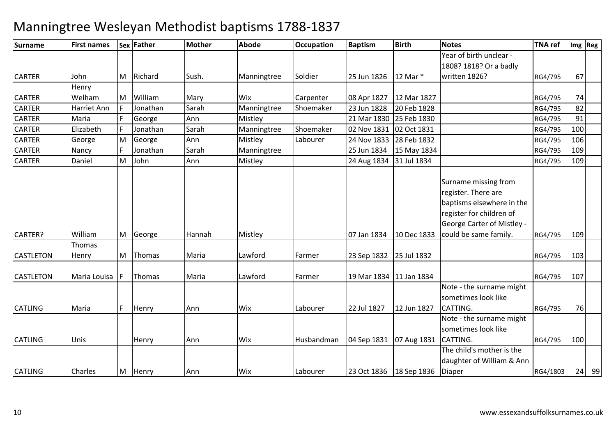| <b>Surname</b>   | <b>First names</b> |   | <b>Sex Father</b> | <b>Mother</b> | <b>Abode</b> | <b>Occupation</b> | <b>Baptism</b>            | <b>Birth</b> | <b>Notes</b>                                                                                                                                                | <b>TNA ref</b> |     | $Im g$ Reg |
|------------------|--------------------|---|-------------------|---------------|--------------|-------------------|---------------------------|--------------|-------------------------------------------------------------------------------------------------------------------------------------------------------------|----------------|-----|------------|
|                  |                    |   |                   |               |              |                   |                           |              | Year of birth unclear -                                                                                                                                     |                |     |            |
|                  |                    |   |                   |               |              |                   |                           |              | 1808? 1818? Or a badly                                                                                                                                      |                |     |            |
| <b>CARTER</b>    | John               | M | Richard           | Sush.         | Manningtree  | Soldier           | 25 Jun 1826               | 12 Mar *     | written 1826?                                                                                                                                               | RG4/795        | 67  |            |
|                  | Henry              |   |                   |               |              |                   |                           |              |                                                                                                                                                             |                |     |            |
| <b>CARTER</b>    | Welham             | M | William           | Mary          | Wix          | Carpenter         | 08 Apr 1827               | 12 Mar 1827  |                                                                                                                                                             | RG4/795        | 74  |            |
| <b>CARTER</b>    | <b>Harriet Ann</b> |   | Jonathan          | Sarah         | Manningtree  | Shoemaker         | 23 Jun 1828               | 20 Feb 1828  |                                                                                                                                                             | RG4/795        | 82  |            |
| <b>CARTER</b>    | Maria              |   | George            | Ann           | Mistley      |                   | 21 Mar 1830 25 Feb 1830   |              |                                                                                                                                                             | RG4/795        | 91  |            |
| <b>CARTER</b>    | Elizabeth          |   | Jonathan          | Sarah         | Manningtree  | Shoemaker         | 02 Nov 1831               | 02 Oct 1831  |                                                                                                                                                             | RG4/795        | 100 |            |
| <b>CARTER</b>    | George             | M | George            | Ann           | Mistley      | Labourer          | 24 Nov 1833               | 28 Feb 1832  |                                                                                                                                                             | RG4/795        | 106 |            |
| <b>CARTER</b>    | Nancy              |   | Jonathan          | Sarah         | Manningtree  |                   | 25 Jun 1834               | 15 May 1834  |                                                                                                                                                             | RG4/795        | 109 |            |
| <b>CARTER</b>    | Daniel             | M | John              | Ann           | Mistley      |                   | 24 Aug 1834               | 31 Jul 1834  |                                                                                                                                                             | RG4/795        | 109 |            |
| CARTER?          | William            | M | George            | Hannah        | Mistley      |                   | 07 Jan 1834               | 10 Dec 1833  | Surname missing from<br>register. There are<br>baptisms elsewhere in the<br>register for children of<br>George Carter of Mistley -<br>could be same family. | RG4/795        | 109 |            |
|                  | Thomas             |   |                   |               |              |                   |                           |              |                                                                                                                                                             |                |     |            |
| <b>CASTLETON</b> | Henry              | M | Thomas            | Maria         | Lawford      | Farmer            | 23 Sep 1832 25 Jul 1832   |              |                                                                                                                                                             | RG4/795        | 103 |            |
| <b>CASTLETON</b> | Maria Louisa       |   | Thomas            | Maria         | Lawford      | Farmer            | 19 Mar 1834   11 Jan 1834 |              |                                                                                                                                                             | RG4/795        | 107 |            |
| <b>CATLING</b>   | Maria              |   | Henry             | Ann           | Wix          | Labourer          | 22 Jul 1827               | 12 Jun 1827  | Note - the surname might<br>sometimes look like<br>CATTING.                                                                                                 | RG4/795        | 76  |            |
| <b>CATLING</b>   | Unis               |   | Henry             | Ann           | Wix          | Husbandman        | 04 Sep 1831 07 Aug 1831   |              | Note - the surname might<br>sometimes look like<br>CATTING.                                                                                                 | RG4/795        | 100 |            |
| <b>CATLING</b>   | <b>Charles</b>     | M | Henry             | Ann           | Wix          | Labourer          | 23 Oct 1836   18 Sep 1836 |              | The child's mother is the<br>daughter of William & Ann<br>Diaper                                                                                            | RG4/1803       |     | 24 99      |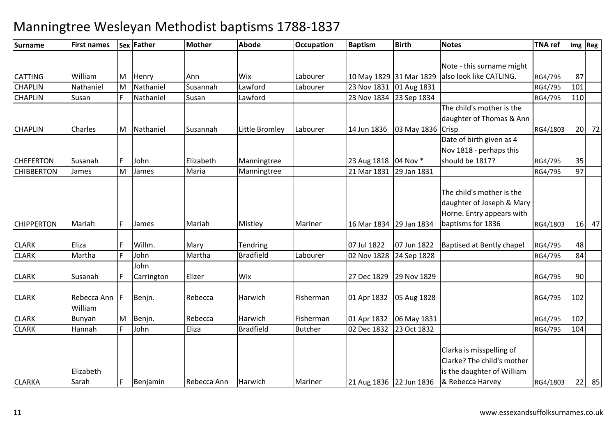| <b>Surname</b>    | <b>First names</b> |    | Sex Father | <b>Mother</b> | <b>Abode</b>     | Occupation     | <b>Baptism</b>          | <b>Birth</b>              | <b>Notes</b>                     | <b>TNA ref</b> |     | Img Reg |
|-------------------|--------------------|----|------------|---------------|------------------|----------------|-------------------------|---------------------------|----------------------------------|----------------|-----|---------|
|                   |                    |    |            |               |                  |                |                         |                           |                                  |                |     |         |
|                   |                    |    |            |               |                  |                |                         |                           | Note - this surname might        |                |     |         |
| <b>CATTING</b>    | William            | M  | Henry      | Ann           | <b>Wix</b>       | Labourer       |                         | 10 May 1829 31 Mar 1829   | also look like CATLING.          | RG4/795        | 87  |         |
| <b>CHAPLIN</b>    | Nathaniel          | M  | Nathaniel  | Susannah      | Lawford          | Labourer       | 23 Nov 1831             | 01 Aug 1831               |                                  | RG4/795        | 101 |         |
| <b>CHAPLIN</b>    | Susan              |    | Nathaniel  | Susan         | Lawford          |                | 23 Nov 1834             | 23 Sep 1834               |                                  | RG4/795        | 110 |         |
|                   |                    |    |            |               |                  |                |                         |                           | The child's mother is the        |                |     |         |
|                   |                    |    |            |               |                  |                |                         |                           | daughter of Thomas & Ann         |                |     |         |
| <b>CHAPLIN</b>    | Charles            | M  | Nathaniel  | Susannah      | Little Bromley   | Labourer       | 14 Jun 1836             | 03 May 1836 Crisp         |                                  | RG4/1803       |     | 20 72   |
|                   |                    |    |            |               |                  |                |                         |                           | Date of birth given as 4         |                |     |         |
|                   |                    |    |            |               |                  |                |                         |                           | Nov 1818 - perhaps this          |                |     |         |
| <b>CHEFERTON</b>  | Susanah            | F  | John       | Elizabeth     | Manningtree      |                | 23 Aug 1818   04 Nov *  |                           | should be 1817?                  | RG4/795        | 35  |         |
| <b>CHIBBERTON</b> | James              | M  | James      | Maria         | Manningtree      |                | 21 Mar 1831             | 29 Jan 1831               |                                  | RG4/795        | 97  |         |
|                   |                    |    |            |               |                  |                |                         |                           |                                  |                |     |         |
|                   |                    |    |            |               |                  |                |                         |                           | The child's mother is the        |                |     |         |
|                   |                    |    |            |               |                  |                |                         |                           | daughter of Joseph & Mary        |                |     |         |
|                   |                    |    |            |               |                  |                |                         |                           | Horne. Entry appears with        |                |     |         |
| <b>CHIPPERTON</b> | Mariah             | F. | James      | Mariah        | Mistley          | Mariner        | 16 Mar 1834 29 Jan 1834 |                           | baptisms for 1836                | RG4/1803       |     | $16$ 47 |
|                   |                    |    |            |               |                  |                |                         |                           |                                  |                |     |         |
| <b>CLARK</b>      | Eliza              |    | Willm.     | Mary          | Tendring         |                | 07 Jul 1822             | 07 Jun 1822               | <b>Baptised at Bently chapel</b> | RG4/795        | 48  |         |
| <b>CLARK</b>      | Martha             |    | John       | Martha        | <b>Bradfield</b> | Labourer       | 02 Nov 1828             | 24 Sep 1828               |                                  | RG4/795        | 84  |         |
|                   |                    |    | John       |               |                  |                |                         |                           |                                  |                |     |         |
| <b>CLARK</b>      | Susanah            |    | Carrington | Elizer        | Wix              |                | 27 Dec 1829             | 29 Nov 1829               |                                  | RG4/795        | 90  |         |
| <b>CLARK</b>      | Rebecca Ann F      |    | Benjn.     | Rebecca       | Harwich          | Fisherman      |                         | 01 Apr 1832   05 Aug 1828 |                                  | RG4/795        | 102 |         |
|                   | William            |    |            |               |                  |                |                         |                           |                                  |                |     |         |
| <b>CLARK</b>      | Bunyan             | M  | Benjn.     | Rebecca       | Harwich          | Fisherman      | 01 Apr 1832             | 06 May 1831               |                                  | RG4/795        | 102 |         |
| <b>CLARK</b>      | Hannah             |    | John       | Eliza         | <b>Bradfield</b> | <b>Butcher</b> | 02 Dec 1832             | 23 Oct 1832               |                                  | RG4/795        | 104 |         |
|                   |                    |    |            |               |                  |                |                         |                           |                                  |                |     |         |
|                   |                    |    |            |               |                  |                |                         |                           | Clarka is misspelling of         |                |     |         |
|                   |                    |    |            |               |                  |                |                         |                           | Clarke? The child's mother       |                |     |         |
|                   | Elizabeth          |    |            |               |                  |                |                         |                           | is the daughter of William       |                |     |         |
| <b>CLARKA</b>     | Sarah              | F. | Benjamin   | Rebecca Ann   | Harwich          | Mariner        | 21 Aug 1836 22 Jun 1836 |                           | & Rebecca Harvey                 | RG4/1803       |     | $22$ 85 |
|                   |                    |    |            |               |                  |                |                         |                           |                                  |                |     |         |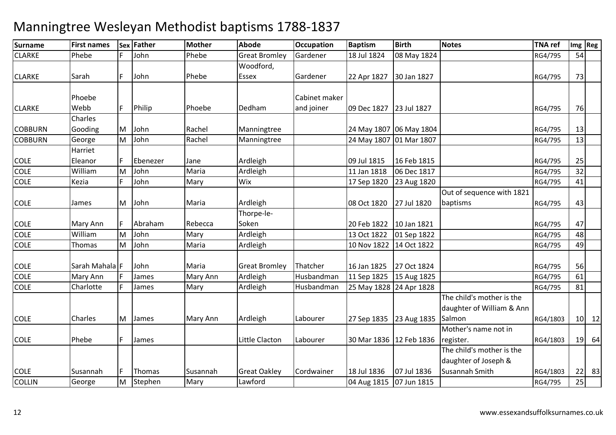| <b>Surname</b> | <b>First names</b> |    | Sex Father | <b>Mother</b> | <b>Abode</b>         | <b>Occupation</b> | <b>Baptism</b>          | <b>Birth</b>            | <b>Notes</b>              | <b>TNA</b> ref |    | Img Reg      |
|----------------|--------------------|----|------------|---------------|----------------------|-------------------|-------------------------|-------------------------|---------------------------|----------------|----|--------------|
| <b>CLARKE</b>  | Phebe              |    | John       | Phebe         | <b>Great Bromley</b> | Gardener          | 18 Jul 1824             | 08 May 1824             |                           | RG4/795        | 54 |              |
|                |                    |    |            |               | Woodford,            |                   |                         |                         |                           |                |    |              |
| <b>CLARKE</b>  | Sarah              | F  | John       | Phebe         | Essex                | Gardener          | 22 Apr 1827             | 30 Jan 1827             |                           | RG4/795        | 73 |              |
|                |                    |    |            |               |                      |                   |                         |                         |                           |                |    |              |
|                | Phoebe             |    |            |               |                      | Cabinet maker     |                         |                         |                           |                |    |              |
| <b>CLARKE</b>  | Webb               | F. | Philip     | Phoebe        | Dedham               | and joiner        | 09 Dec 1827             | 23 Jul 1827             |                           | RG4/795        | 76 |              |
|                | Charles            |    |            |               |                      |                   |                         |                         |                           |                |    |              |
| <b>COBBURN</b> | Gooding            | M  | John       | Rachel        | Manningtree          |                   |                         | 24 May 1807 06 May 1804 |                           | RG4/795        | 13 |              |
| <b>COBBURN</b> | George             | M  | John       | Rachel        | Manningtree          |                   |                         | 24 May 1807 01 Mar 1807 |                           | RG4/795        | 13 |              |
|                | Harriet            |    |            |               |                      |                   |                         |                         |                           |                |    |              |
| <b>COLE</b>    | Eleanor            |    | Ebenezer   | Jane          | Ardleigh             |                   | 09 Jul 1815             | 16 Feb 1815             |                           | RG4/795        | 25 |              |
| COLE           | William            | M  | John       | Maria         | Ardleigh             |                   | 11 Jan 1818             | 06 Dec 1817             |                           | RG4/795        | 32 |              |
| <b>COLE</b>    | Kezia              |    | John       | Mary          | Wix                  |                   | 17 Sep 1820             | 23 Aug 1820             |                           | RG4/795        | 41 |              |
|                |                    |    |            |               |                      |                   |                         |                         | Out of sequence with 1821 |                |    |              |
| <b>COLE</b>    | James              | M  | John       | Maria         | Ardleigh             |                   | 08 Oct 1820             | 27 Jul 1820             | baptisms                  | RG4/795        | 43 |              |
|                |                    |    |            |               | Thorpe-le-           |                   |                         |                         |                           |                |    |              |
| <b>COLE</b>    | Mary Ann           |    | Abraham    | Rebecca       | Soken                |                   | 20 Feb 1822             | 10 Jan 1821             |                           | RG4/795        | 47 |              |
| <b>COLE</b>    | William            | M  | John       | Mary          | Ardleigh             |                   | 13 Oct 1822             | 01 Sep 1822             |                           | RG4/795        | 48 |              |
| <b>COLE</b>    | Thomas             | M  | John       | Maria         | Ardleigh             |                   | 10 Nov 1822             | 14 Oct 1822             |                           | RG4/795        | 49 |              |
| <b>COLE</b>    | Sarah Mahala F     |    | John       | Maria         | <b>Great Bromley</b> | Thatcher          | 16 Jan 1825             | 27 Oct 1824             |                           | RG4/795        | 56 |              |
| <b>COLE</b>    | Mary Ann           |    | James      | Mary Ann      | Ardleigh             | Husbandman        | 11 Sep 1825             | 15 Aug 1825             |                           | RG4/795        | 61 |              |
| <b>COLE</b>    | Charlotte          | F  | James      | Mary          | Ardleigh             | Husbandman        | 25 May 1828 24 Apr 1828 |                         |                           | RG4/795        | 81 |              |
|                |                    |    |            |               |                      |                   |                         |                         | The child's mother is the |                |    |              |
|                |                    |    |            |               |                      |                   |                         |                         | daughter of William & Ann |                |    |              |
| <b>COLE</b>    | Charles            |    | M James    | Mary Ann      | Ardleigh             | Labourer          | 27 Sep 1835 23 Aug 1835 |                         | Salmon                    | RG4/1803       |    | $10 \mid 12$ |
|                |                    |    |            |               |                      |                   |                         |                         | Mother's name not in      |                |    |              |
| <b>COLE</b>    | Phebe              | F. | James      |               | Little Clacton       | Labourer          | 30 Mar 1836 12 Feb 1836 |                         | register.                 | RG4/1803       | 19 | 64           |
|                |                    |    |            |               |                      |                   |                         |                         | The child's mother is the |                |    |              |
|                |                    |    |            |               |                      |                   |                         |                         | daughter of Joseph &      |                |    |              |
| <b>COLE</b>    | Susannah           | F. | Thomas     | Susannah      | <b>Great Oakley</b>  | Cordwainer        | 18 Jul 1836             | 07 Jul 1836             | Susannah Smith            | RG4/1803       | 22 | 83           |
| <b>COLLIN</b>  | George             | M  | Stephen    | Mary          | Lawford              |                   | 04 Aug 1815             | 07 Jun 1815             |                           | RG4/795        | 25 |              |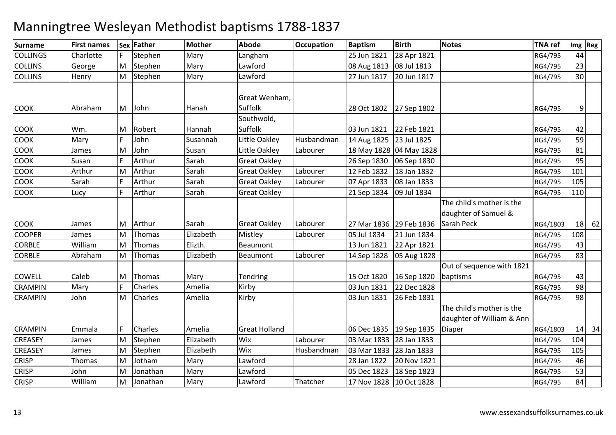| <b>Surname</b>  | <b>First names</b> |    | Sex Father | <b>Mother</b> | <b>Abode</b>          | <b>Occupation</b> | <b>Baptism</b>          | <b>Birth</b>               | <b>Notes</b>                                           | <b>TNA ref</b>     |     | Img Reg |
|-----------------|--------------------|----|------------|---------------|-----------------------|-------------------|-------------------------|----------------------------|--------------------------------------------------------|--------------------|-----|---------|
| <b>COLLINGS</b> | Charlotte          |    | Stephen    | Mary          | Langham               |                   | 25 Jun 1821             | 28 Apr 1821                |                                                        | RG4/795            | 44  |         |
| <b>COLLINS</b>  | George             | M  | Stephen    | Mary          | Lawford               |                   | 08 Aug 1813             | 08 Jul 1813                |                                                        | RG4/795            | 23  |         |
| <b>COLLINS</b>  | Henry              | M  | Stephen    | Mary          | Lawford               |                   | 27 Jun 1817             | 20 Jun 1817                |                                                        | RG4/795            | 30  |         |
|                 |                    |    |            |               | Great Wenham,         |                   |                         |                            |                                                        |                    |     |         |
| <b>COOK</b>     | Abraham            | M  | John       | Hanah         | Suffolk               |                   | 28 Oct 1802             | 27 Sep 1802                |                                                        | RG4/795            | 9   |         |
| <b>COOK</b>     | Wm.                | M  | Robert     | Hannah        | Southwold,<br>Suffolk |                   | 03 Jun 1821             | 22 Feb 1821                |                                                        | RG4/795            | 42  |         |
| COOK            | Mary               |    | John       | Susannah      | Little Oakley         | Husbandman        | 14 Aug 1825 23 Jul 1825 |                            |                                                        |                    | 59  |         |
| COOK            | James              | M  | John       | Susan         | Little Oakley         | Labourer          |                         | 18 May 1828 04 May 1828    |                                                        | RG4/795<br>RG4/795 | 81  |         |
| COOK            | Susan              |    | Arthur     | Sarah         | <b>Great Oakley</b>   |                   | 26 Sep 1830             |                            |                                                        |                    | 95  |         |
| COOK            | Arthur             | м  | Arthur     | Sarah         | <b>Great Oakley</b>   | Labourer          | 12 Feb 1832             | 06 Sep 1830<br>18 Jan 1832 |                                                        | RG4/795<br>RG4/795 | 101 |         |
| COOK            | Sarah              |    | Arthur     | Sarah         | <b>Great Oakley</b>   | Labourer          | 07 Apr 1833             | 08 Jan 1833                |                                                        | RG4/795            | 105 |         |
| <b>COOK</b>     | Lucy               |    | Arthur     | Sarah         | <b>Great Oakley</b>   |                   | 21 Sep 1834             | 09 Jul 1834                |                                                        | RG4/795            | 110 |         |
|                 |                    |    |            |               |                       |                   |                         |                            | The child's mother is the                              |                    |     |         |
|                 |                    |    |            |               |                       |                   |                         |                            | daughter of Samuel &                                   |                    |     |         |
| <b>COOK</b>     | James              | M  | Arthur     | Sarah         | <b>Great Oakley</b>   | Labourer          | 27 Mar 1836 29 Feb 1836 |                            | Sarah Peck                                             | RG4/1803           |     | $18$ 62 |
| <b>COOPER</b>   | James              | M  | Thomas     | Elizabeth     | Mistley               | Labourer          | 05 Jul 1834             | 21 Jun 1834                |                                                        | RG4/795            | 108 |         |
| <b>CORBLE</b>   | William            | M  | Thomas     | Elizth.       | Beaumont              |                   | 13 Jun 1821             | 22 Apr 1821                |                                                        | RG4/795            | 43  |         |
| <b>CORBLE</b>   | Abraham            | M  | Thomas     | Elizabeth     | Beaumont              | Labourer          | 14 Sep 1828             | 05 Aug 1828                |                                                        | RG4/795            | 83  |         |
|                 |                    |    |            |               |                       |                   |                         |                            | Out of sequence with 1821                              |                    |     |         |
| COWELL          | Caleb              | M  | Thomas     | Mary          | Tendring              |                   | 15 Oct 1820             | 16 Sep 1820                | baptisms                                               | RG4/795            | 43  |         |
| <b>CRAMPIN</b>  | Mary               |    | Charles    | Amelia        | Kirby                 |                   | 03 Jun 1831             | 22 Dec 1828                |                                                        | RG4/795            | 98  |         |
| <b>CRAMPIN</b>  | John               | M  | Charles    | Amelia        | Kirby                 |                   | 03 Jun 1831             | 26 Feb 1831                |                                                        | RG4/795            | 98  |         |
|                 |                    |    |            |               |                       |                   |                         |                            | The child's mother is the<br>daughter of William & Ann |                    |     |         |
| <b>CRAMPIN</b>  | Emmala             | F. | Charles    | Amelia        | <b>Great Holland</b>  |                   | 06 Dec 1835 19 Sep 1835 |                            | Diaper                                                 | RG4/1803           |     | $14$ 34 |
| <b>CREASEY</b>  | James              | M  | Stephen    | Elizabeth     | Wix                   | Labourer          | 03 Mar 1833             | 28 Jan 1833                |                                                        | RG4/795            | 104 |         |
| CREASEY         | James              | M  | Stephen    | Elizabeth     | Wix                   | Husbandman        | 03 Mar 1833 28 Jan 1833 |                            |                                                        | RG4/795            | 105 |         |
| <b>CRISP</b>    | Thomas             | M  | Jotham     | Mary          | Lawford               |                   | 28 Jan 1822             | 20 Nov 1821                |                                                        | RG4/795            | 46  |         |
| <b>CRISP</b>    | John               | M  | Jonathan   | Mary          | Lawford               |                   | 05 Dec 1823             | 18 Sep 1823                |                                                        | RG4/795            | 53  |         |
| <b>CRISP</b>    | William            | M  | Jonathan   | Mary          | Lawford               | Thatcher          | 17 Nov 1828 10 Oct 1828 |                            |                                                        | RG4/795            | 84  |         |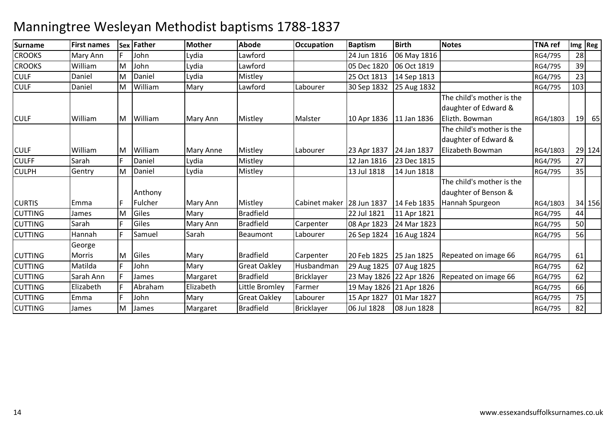| Surname        | <b>First names</b> |   | Sex Father | <b>Mother</b> | <b>Abode</b>        | <b>Occupation</b> | <b>Baptism</b>          | <b>Birth</b>            | <b>Notes</b>                                                        | <b>TNA ref</b> |     | $Im g$ Reg |
|----------------|--------------------|---|------------|---------------|---------------------|-------------------|-------------------------|-------------------------|---------------------------------------------------------------------|----------------|-----|------------|
| <b>CROOKS</b>  | Mary Ann           |   | John       | Lydia         | Lawford             |                   | 24 Jun 1816             | 06 May 1816             |                                                                     | RG4/795        | 28  |            |
| <b>CROOKS</b>  | William            | M | John       | Lydia         | Lawford             |                   | 05 Dec 1820             | 06 Oct 1819             |                                                                     | RG4/795        | 39  |            |
| <b>CULF</b>    | Daniel             | M | Daniel     | Lydia         | Mistley             |                   | 25 Oct 1813             | 14 Sep 1813             |                                                                     | RG4/795        | 23  |            |
| <b>CULF</b>    | Daniel             | M | William    | Mary          | Lawford             | Labourer          | 30 Sep 1832             | 25 Aug 1832             |                                                                     | RG4/795        | 103 |            |
| <b>CULF</b>    | William            | M | William    | Mary Ann      | Mistley             | Malster           | 10 Apr 1836             | 11 Jan 1836             | The child's mother is the<br>daughter of Edward &<br>Elizth. Bowman | RG4/1803       | 19  | 65         |
|                |                    |   |            |               |                     |                   |                         |                         | The child's mother is the                                           |                |     |            |
|                |                    |   |            |               |                     |                   |                         |                         | daughter of Edward &                                                |                |     |            |
| <b>CULF</b>    | William            | M | William    | Mary Anne     | Mistley             | Labourer          | 23 Apr 1837             | 24 Jan 1837             | Elizabeth Bowman                                                    | RG4/1803       |     | 29 124     |
| <b>CULFF</b>   | Sarah              |   | Daniel     | Lydia         | Mistley             |                   | 12 Jan 1816             | 23 Dec 1815             |                                                                     | RG4/795        | 27  |            |
| <b>CULPH</b>   | Gentry             | M | Daniel     | Lydia         | Mistley             |                   | 13 Jul 1818             | 14 Jun 1818             |                                                                     | RG4/795        | 35  |            |
|                |                    |   | Anthony    |               |                     |                   |                         |                         | The child's mother is the<br>daughter of Benson &                   |                |     |            |
| <b>CURTIS</b>  | Emma               |   | Fulcher    | Mary Ann      | Mistley             | Cabinet maker     | 28 Jun 1837             | 14 Feb 1835             | Hannah Spurgeon                                                     | RG4/1803       |     | 34 156     |
| <b>CUTTING</b> | James              | M | Giles      | Mary          | <b>Bradfield</b>    |                   | 22 Jul 1821             | 11 Apr 1821             |                                                                     | RG4/795        | 44  |            |
| <b>CUTTING</b> | Sarah              |   | Giles      | Mary Ann      | <b>Bradfield</b>    | Carpenter         | 08 Apr 1823             | 24 Mar 1823             |                                                                     | RG4/795        | 50  |            |
| <b>CUTTING</b> | Hannah             |   | Samuel     | Sarah         | Beaumont            | Labourer          | 26 Sep 1824             | 16 Aug 1824             |                                                                     | RG4/795        | 56  |            |
|                | George             |   |            |               |                     |                   |                         |                         |                                                                     |                |     |            |
| <b>CUTTING</b> | <b>Morris</b>      | M | Giles      | Mary          | <b>Bradfield</b>    | Carpenter         | 20 Feb 1825             | 25 Jan 1825             | Repeated on image 66                                                | RG4/795        | 61  |            |
| <b>CUTTING</b> | Matilda            |   | John       | Mary          | <b>Great Oakley</b> | Husbandman        | 29 Aug 1825             | 07 Aug 1825             |                                                                     | RG4/795        | 62  |            |
| <b>CUTTING</b> | Sarah Ann          |   | James      | Margaret      | <b>Bradfield</b>    | <b>Bricklayer</b> | 23 May 1826 22 Apr 1826 |                         | Repeated on image 66                                                | RG4/795        | 62  |            |
| <b>CUTTING</b> | Elizabeth          |   | Abraham    | Elizabeth     | Little Bromley      | Farmer            |                         | 19 May 1826 21 Apr 1826 |                                                                     | RG4/795        | 66  |            |
| <b>CUTTING</b> | Emma               |   | John       | Mary          | <b>Great Oakley</b> | Labourer          | 15 Apr 1827             | 01 Mar 1827             |                                                                     | RG4/795        | 75  |            |
| <b>CUTTING</b> | James              | M | James      | Margaret      | <b>Bradfield</b>    | <b>Bricklayer</b> | 06 Jul 1828             | 08 Jun 1828             |                                                                     | RG4/795        | 82  |            |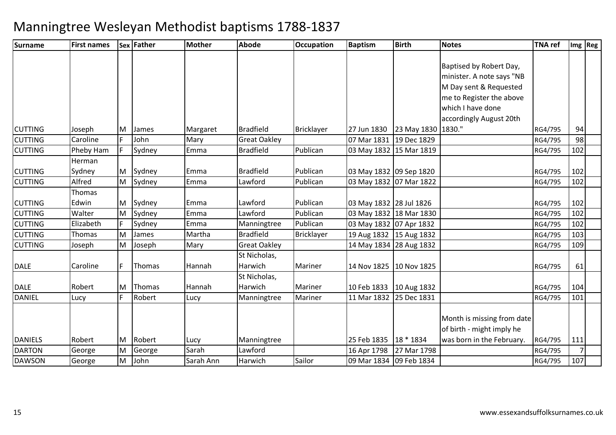| <b>Surname</b> | <b>First names</b> |    | Sex Father | <b>Mother</b> | <b>Abode</b>        | <b>Occupation</b> | <b>Baptism</b>            | <b>Birth</b>         | <b>Notes</b>               | <b>TNA</b> ref |                | Img   Reg |
|----------------|--------------------|----|------------|---------------|---------------------|-------------------|---------------------------|----------------------|----------------------------|----------------|----------------|-----------|
|                |                    |    |            |               |                     |                   |                           |                      |                            |                |                |           |
|                |                    |    |            |               |                     |                   |                           |                      | Baptised by Robert Day,    |                |                |           |
|                |                    |    |            |               |                     |                   |                           |                      | minister. A note says "NB  |                |                |           |
|                |                    |    |            |               |                     |                   |                           |                      | M Day sent & Requested     |                |                |           |
|                |                    |    |            |               |                     |                   |                           |                      | me to Register the above   |                |                |           |
|                |                    |    |            |               |                     |                   |                           |                      | which I have done          |                |                |           |
|                |                    |    |            |               |                     |                   |                           |                      | accordingly August 20th    |                |                |           |
| <b>CUTTING</b> | Joseph             | M  | James      | Margaret      | <b>Bradfield</b>    | <b>Bricklayer</b> | 27 Jun 1830               | 23 May 1830   1830." |                            | RG4/795        | 94             |           |
| <b>CUTTING</b> | Caroline           | F  | John       | Mary          | <b>Great Oakley</b> |                   | 07 Mar 1831               | 19 Dec 1829          |                            | RG4/795        | 98             |           |
| <b>CUTTING</b> | Pheby Ham          | F  | Sydney     | Emma          | <b>Bradfield</b>    | Publican          | 03 May 1832 15 Mar 1819   |                      |                            | RG4/795        | 102            |           |
|                | Herman             |    |            |               |                     |                   |                           |                      |                            |                |                |           |
| <b>CUTTING</b> | Sydney             | M  | Sydney     | Emma          | <b>Bradfield</b>    | Publican          | 03 May 1832 09 Sep 1820   |                      |                            | RG4/795        | 102            |           |
| <b>CUTTING</b> | Alfred             | M  | Sydney     | Emma          | Lawford             | Publican          | 03 May 1832 07 Mar 1822   |                      |                            | RG4/795        | 102            |           |
|                | Thomas             |    |            |               |                     |                   |                           |                      |                            |                |                |           |
| <b>CUTTING</b> | Edwin              | M  | Sydney     | Emma          | Lawford             | Publican          | 03 May 1832 28 Jul 1826   |                      |                            | RG4/795        | 102            |           |
| <b>CUTTING</b> | Walter             | M  | Sydney     | Emma          | Lawford             | Publican          | 03 May 1832 18 Mar 1830   |                      |                            | RG4/795        | 102            |           |
| <b>CUTTING</b> | Elizabeth          | F. | Sydney     | Emma          | Manningtree         | Publican          | 03 May 1832 07 Apr 1832   |                      |                            | RG4/795        | 102            |           |
| <b>CUTTING</b> | Thomas             | M  | James      | Martha        | <b>Bradfield</b>    | <b>Bricklayer</b> | 19 Aug 1832   15 Aug 1832 |                      |                            | RG4/795        | 103            |           |
| <b>CUTTING</b> | Joseph             | M  | Joseph     | Mary          | <b>Great Oakley</b> |                   | 14 May 1834 28 Aug 1832   |                      |                            | RG4/795        | 109            |           |
|                |                    |    |            |               | St Nicholas,        |                   |                           |                      |                            |                |                |           |
| <b>DALE</b>    | Caroline           | F  | Thomas     | Hannah        | Harwich             | Mariner           | 14 Nov 1825 10 Nov 1825   |                      |                            | RG4/795        | 61             |           |
|                |                    |    |            |               | St Nicholas,        |                   |                           |                      |                            |                |                |           |
| <b>DALE</b>    | Robert             | M  | Thomas     | Hannah        | Harwich             | Mariner           | 10 Feb 1833               | 10 Aug 1832          |                            | RG4/795        | 104            |           |
| <b>DANIEL</b>  | Lucy               |    | Robert     | Lucy          | Manningtree         | Mariner           | 11 Mar 1832 25 Dec 1831   |                      |                            | RG4/795        | 101            |           |
|                |                    |    |            |               |                     |                   |                           |                      |                            |                |                |           |
|                |                    |    |            |               |                     |                   |                           |                      | Month is missing from date |                |                |           |
|                |                    |    |            |               |                     |                   |                           |                      | of birth - might imply he  |                |                |           |
| <b>DANIELS</b> | Robert             | M  | Robert     | Lucy          | Manningtree         |                   | 25 Feb 1835               | 18 * 1834            | was born in the February.  | RG4/795        | 111            |           |
| <b>DARTON</b>  | George             | M  | George     | Sarah         | Lawford             |                   | 16 Apr 1798               | 27 Mar 1798          |                            | RG4/795        | $\overline{7}$ |           |
| <b>DAWSON</b>  | George             | M  | John       | Sarah Ann     | Harwich             | Sailor            | 09 Mar 1834 09 Feb 1834   |                      |                            | RG4/795        | 107            |           |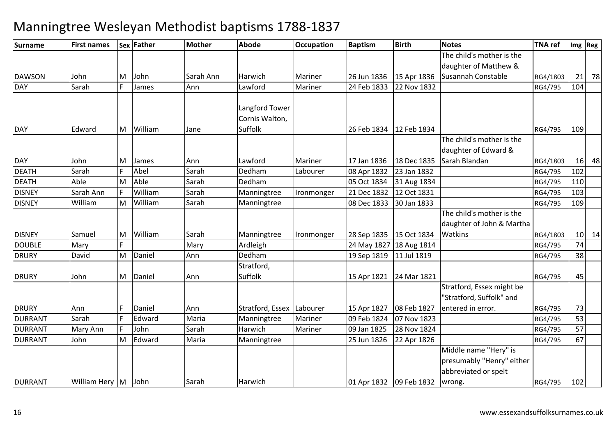#### **Surname First names Sex Father Mother Abode OccupationDccupation** Baptism **Birth Notes TNA ref Img Reg**<br>
The child's mother is the DAWSON John M John Sarah Ann Harwich Mariner 26 Jun 1836 15 Apr 1836 daughter of Matthew & Susannah ConstableRG4/1803 21 78<br>RG4/795 104 DAY Sarahh F James Ann Lawford Mariner 24 Feb 1833 24 Feb 1833 22 Nov 1832 **DAY**  EdwardMWilliam Jane Langford Tower Cornis Walton, **Suffolk**  26 Feb 1834 12 Feb 1834RG4/795 | 109 DAY JohnSarah M James Ann Lawford Mariner 17 Jan 1836 18 Dec 1835 The child's mother is the daughter of Edward & Sarah BlandanRG4/1803 16 48 DEATHH Sarah F Abel Sarah Dedham m Labourer 08 Apr 1832 23 Jan 1832<br>RG4/795 102 DEATH Able M Able Sarah Dedham 05 Oct 1834 31 Aug 1834 RG4/795 <sup>110</sup> **DISNEY**  Sarah AnnWilliam<br>William m Sarah Manningtree Ironmonger 21 Dec 1832 12 Oct 1831 RG4/795 103 DISNEY WilliamMM William Sarah Manningtree 08 Dec 1833 30 Jan 1833 RG4/795 RG4/795 109 DISNEY Samuel M William Sarah Manningtree Ironmonger 28 Sep 1835 15 Oct 1834 The child's mother is the daughter of John & Martha **Watkins**  RG4/1803 $\frac{10}{74}$  14 DOUBLEE Mary F Mary Mary Ardleigh h |24 May 1827 |18 Aug 1814 | RG4/795 | 74 DRURY DavidMM Daniel Ann Dedham 19 Sep 1819 11 Jul 1819 11 December 19 RG4/795 38<br>19 November 20 Stratford 19 November 19 November 19 November 19 November 19 November 19 November 19 November 1 **DRURY**  JohnMDaniel Ann Stratford, Suffolk 15 Apr 1821 24 Mar 1821RG4/795 45 DRURY Annn 15 F Daniel Ann Stratford, Essex Labourer 15 Apr 1827 08 Feb 1827 4 07 Nov 1823 RG4/795 53 Stratford, Essex might be "Stratford, Suffolk" and entered in error. RG4/795 <sup>73</sup>53 DURRANT Sarahh FF Edward Maria Manningtree Mariner 109 Feb 1824 DURRANT Mary Annn F John Sarah Harwich Mariner 09 Jan 1825 09 Jan 1825 28 Nov 1824 | RG4/795 | 57<br>25 Jun 1826 22 Apr 1826 | RG4/795 | 67 DURRANT JohnMM Edward Maria Manningtree 25 Jun 1826 22 Apr 1826 RG4/795 RG4/795 67 DURRANT William Hery M John Sarah Harwich 01 Apr 1832 09 Feb 1832 Middle name "Hery" is presumably "Henry" either abbreviated or spelt wrong. RG4/795<sup>102</sup>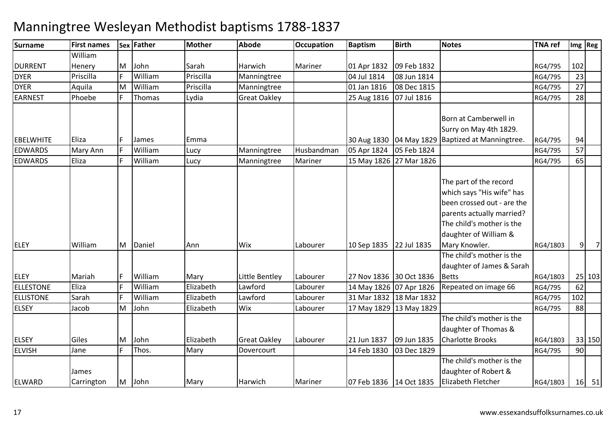### **Surname First names Sex Father Mother Abode OccupationDccupation** Baptism **Birth Notes TNA ref Img Reg** DURRENTWilliam HeneryR Priscilla F William M John Sarah Harwich Mariner 01 Apr 1832 09 Feb 1832 RG4/795 <sup>102</sup> DYERm Priscilla Manningtree 04 Jul 1814 08 Jun 1814 23<br>Priscilla Manningtree 04 Jul 1814 08 Jun 1814 DYER Aquila MM | William | Priscilla | Manningtree | 1990 | 01 Jan 1816 | 08 Dec 1815 | 1990 | 1990 | 1991 | 27<br>En El Thomas | 1991 | 1992 | 2001 | 2001 | 2002 | 2003 | 2004 | 2006 | 27 J 1894 | 2002 | 2002 | 2004 | 2004 | EARNESTT Phoebe F Thomas Lydia Great Oakley 25 Aug 1816 | 25 Aug 1816 | 07 Jul 1816 | CONTROL 28 | RG4/795 | 28 **EBELWHITE** Eliza F James Emma 1988 (Bandara 1988) Baptized at Manningtree. 05 Feb 1824 Born at Camberwell in Surry on May 4th 1829. RG4/795 <sup>94</sup>57 EDWARDSMary Ann<br>Fliza William Lucy Manningtree Husbandman 05 Apr 1824 05 Feb 1824 RG4/795 <sup>57</sup> EDWARDS**William** Lucy | Manningtree | Mariner | 15 May 1826 27 Mar 1826 | CONNET RG4/795 | 65 ELEY WilliamM Daniel Ann Wix Labourer 10 Sep 1835 22 Jul 1835 The part of the record which says "His wife" has been crossed out - are the parents actually married? The child's mother is the daughter of William & Mary Knowler. RG4/1803 <sup>9</sup> <sup>7</sup>ELEYMariah<br>Eliza William Mary Little Bentley Labourer 27 Nov 1836 30 Oct 1836<br>William Elizabeth Lawford Labourer 14 May 1826 07 Apr 1826 14 May 1826 07 Apr 1826 The child's mother is the daughter of James & Sarah Betts RG4/1803RG4/1803 25 103<br>RG4/795 62 ELLESTONE**F** William m Elizabeth Lawford Labourer 14 May 1826 07 Apr 1826 Repeated on image 66 RG4/795 62<br>1988 Roll Law Land Land Labourer 1986 1986 1986 1999 Land Labourer 1999 Labourer 1999 ELLISTONE SarahWilliam m Elizabeth Lawford Labourer 31 Mar 1832 18 Mar 1832 RG4/795 102<br>Elizabeth Luci III Labourer 1998 1994 1996 1994 1999 RG4/795 102 ELSEY JacobM John Elizabeth Wix Labourer 17 May 1829 13 May 1829 RG4/795 <sup>88</sup> ELSEY Giles M John Elizabeth Great Oakley Labourer 21 Jun 1837 09 Jun 1835 The child's mother is the daughter of Thomas & Charlotte Brooks RG4/1803 $\frac{33}{90}$  150 ELVISHH Jane F Thos. Mary Dovercourt 14 Feb 1830 03 Dec 1829 RG4/795 90 ELWARDJames CarringtonM John Mary Harwich Mariner 07 Feb 1836 14 Oct 1835 The child's mother is the daughter of Robert & Elizabeth Fletcher RG4/1803<sup>16</sup> <sup>51</sup>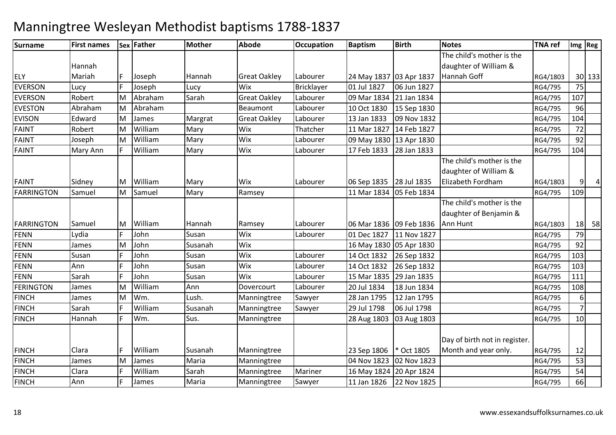#### **Surname First names Sex Father Mother Abode OccupationDccupation** Baptism **Birth Notes TNA ref Img Reg** ELY EVERSONHannah Mariah <sup>F</sup> Joseph Hannah Great Oakley Labourer 24 May 1837 03 Apr 183706 Jun 1827 The child's mother is the daughter of William & Hannah Goff RG4/1803RG4/1803 30 133<br>RG4/795 75 N Lucy F Joseph Lucy Wix Bricklayer 01 Jul 1827 06 Jun 1827 1998 RG4/795 75 EVERSON Robert MM Abraham Sarah Great Oakley Labourer 09 Mar 1834 21 Jan 1834 - RG4/795 107<br>Marshall Resursed Resursed Labourer 140 Out 1939 15 Suit 1939 EVESTON AbrahamN Edward M Abraham Beaumont Labourer 10 Oct 1830 15 Sep 1830 RG4/795 <sup>96</sup> EVISONMM James Margrat Great Oakley Labourer 13 Jan 1833 09 Nov 1832 RG4/795 104<br>Margratism Margin Windows Thatsbare 14 Mar 1937 14 Feb 1937 FAINT Robert MM William Mary Wix Thatcher 11 Mar 1827 14 Feb 1827 RG4/795 72<br>Martin Mary Wix Lakewer 2001 1920 12 1 1920 12 1 1920 1930 FAINT JosephT Mary Ann M William Mary Wix Labourer 09 May 1830 13 Apr 1830 RG4/795 <sup>92</sup> FAINTWilliam m Mary Wix Labourer 17 Feb 1833 28 Jan 1833 RG4/795 104 FAINT Sidney M William Mary Wix Labourer 06 Sep 1835 28 Jul 1835 The child's mother is the daughter of William & Elizabeth FordhamRG4/1803 9 4<br>RG4/795 109 **FARRINGTON**  Samuel MM Samuel Mary Ramsey 11 Mar 1834 05 Feb 1834 RG4/795 109<br>19 November 2014 12: The shill prochosis that RG4/795 RG4/795 RG4/795 109 FARRINGTONSamuel<br>Lydia MM William Hannah Ramsey Labourer 06 Mar 1836 09 Feb 1836<br>F John Susan Wix Labourer 01 Dec 1827 11 Nov 1827 The child's mother is the daughter of Benjamin & Ann Hunt RG4/1803 $\frac{18}{79}$  58 FENNN Lydia F John Susan Wix Labourer 01 Dec 1827 11 Nov 1827 RG4/795 79 FENNJames<br>Susan M John Susanah Wix 16 May 1830 05 Apr 1830 RG4/795 <sup>92</sup> FENNN Susan F John Susan Wix Labourer 14 Oct 1832 26 Sep 1832 RG4/795 103 FENNN Ann F John Susan Wix Labourer 14 Oct 1832 26 Sep 1832 RG4/795 103 FENNN Sarah F John Susan Wix Labourer 15 Mar 1835 29 Jan 1835 RG4/795 111 RG4/795 111 FERINGTON James M William Ann Dovercourt Labourer 20 Jul 1834 18 Jun 1834 RG4/795 <sup>108</sup> FINCHJames<br>Sarah M Wm. Lush. Manningtree Sawyer 28 Jan 1795 12 Jan 1795 RG4/795 6 7FINCHH Sarah F William m Susanah Manningtree Sawyer 29 Jul 1798 06 Jul 1798 | RG4/795<br>RG4/795  $10$ FINCHH Mannah F Wm. Sus. Manningtree 28 Aug 1803 03 Aug 1803 1803 RG4/795 10 FINCHH Clara | William Susanah Manningtree | 23 Sep 1806 \* Oct 1805 Day of birth not in register. Month and year only. RG4/795 <sup>12</sup>53 FINCHJames<br>Clara MM James Maria Manningtree 04 Nov 1823 02 Nov 1823 88 1923 RG4/795 53<br>E William Garak Manningtree Mariana 160 160 1824 89 1 1924 FINCHH Clara F William William Sarah Manningtree Mariner 16 May 1824 20 Apr 1824 | NGA/795 | 54<br>Sames Maria Manningtree Sawyer 11 Jan 1826 | 22 Nov 1825 | RG4/795 | 66 FINCHH Mann F James Maria Manningtree Sawyer 11 Jan 1826 22 Nov 1825 RG4/795 RG4/795 66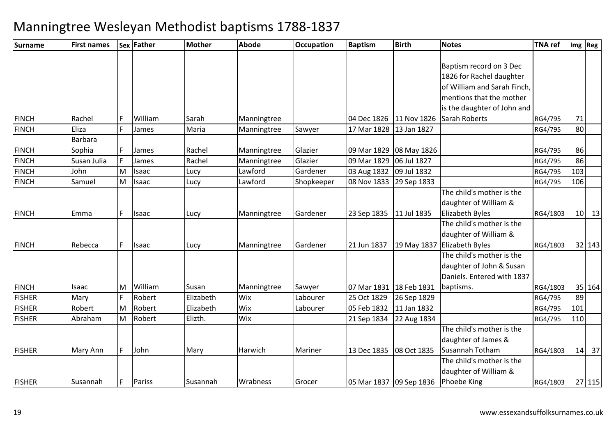| <b>Surname</b> | <b>First names</b> |   | Sex Father   | Mother    | <b>Abode</b> | <b>Occupation</b> | <b>Baptism</b>            | <b>Birth</b> | <b>Notes</b>                | <b>TNA ref</b> |     | Img Reg |
|----------------|--------------------|---|--------------|-----------|--------------|-------------------|---------------------------|--------------|-----------------------------|----------------|-----|---------|
|                |                    |   |              |           |              |                   |                           |              |                             |                |     |         |
|                |                    |   |              |           |              |                   |                           |              | Baptism record on 3 Dec     |                |     |         |
|                |                    |   |              |           |              |                   |                           |              | 1826 for Rachel daughter    |                |     |         |
|                |                    |   |              |           |              |                   |                           |              | of William and Sarah Finch, |                |     |         |
|                |                    |   |              |           |              |                   |                           |              | mentions that the mother    |                |     |         |
|                |                    |   |              |           |              |                   |                           |              | is the daughter of John and |                |     |         |
| <b>FINCH</b>   | Rachel             |   | William      | Sarah     | Manningtree  |                   | 04 Dec 1826               | 11 Nov 1826  | Sarah Roberts               | RG4/795        | 71  |         |
| <b>FINCH</b>   | Eliza              |   | James        | Maria     | Manningtree  | Sawyer            | 17 Mar 1828               | 13 Jan 1827  |                             | RG4/795        | 80  |         |
|                | <b>Barbara</b>     |   |              |           |              |                   |                           |              |                             |                |     |         |
| <b>FINCH</b>   | Sophia             |   | James        | Rachel    | Manningtree  | Glazier           | 09 Mar 1829 08 May 1826   |              |                             | RG4/795        | 86  |         |
| <b>FINCH</b>   | Susan Julia        |   | James        | Rachel    | Manningtree  | Glazier           | 09 Mar 1829               | 06 Jul 1827  |                             | RG4/795        | 86  |         |
| <b>FINCH</b>   | John               | M | Isaac        | Lucy      | Lawford      | Gardener          | 03 Aug 1832               | 09 Jul 1832  |                             | RG4/795        | 103 |         |
| <b>FINCH</b>   | Samuel             | M | <b>Isaac</b> | Lucy      | Lawford      | Shopkeeper        | 08 Nov 1833 29 Sep 1833   |              |                             | RG4/795        | 106 |         |
|                |                    |   |              |           |              |                   |                           |              | The child's mother is the   |                |     |         |
|                |                    |   |              |           |              |                   |                           |              | daughter of William &       |                |     |         |
| <b>FINCH</b>   | Emma               |   | Isaac        | Lucy      | Manningtree  | Gardener          | 23 Sep 1835               | 11 Jul 1835  | <b>Elizabeth Byles</b>      | RG4/1803       |     | $10$ 13 |
|                |                    |   |              |           |              |                   |                           |              | The child's mother is the   |                |     |         |
|                |                    |   |              |           |              |                   |                           |              | daughter of William &       |                |     |         |
| <b>FINCH</b>   | Rebecca            | F | Isaac        | Lucy      | Manningtree  | Gardener          | 21 Jun 1837               | 19 May 1837  | <b>Elizabeth Byles</b>      | RG4/1803       |     | 32 143  |
|                |                    |   |              |           |              |                   |                           |              | The child's mother is the   |                |     |         |
|                |                    |   |              |           |              |                   |                           |              | daughter of John & Susan    |                |     |         |
|                |                    |   |              |           |              |                   |                           |              | Daniels. Entered with 1837  |                |     |         |
| <b>FINCH</b>   | Isaac              | M | William      | Susan     | Manningtree  | Sawyer            | 07 Mar 1831   18 Feb 1831 |              | baptisms.                   | RG4/1803       |     | 35 164  |
| <b>FISHER</b>  | Mary               |   | Robert       | Elizabeth | Wix          | Labourer          | 25 Oct 1829               | 26 Sep 1829  |                             | RG4/795        | 89  |         |
| <b>FISHER</b>  | Robert             | M | Robert       | Elizabeth | Wix          | Labourer          | 05 Feb 1832               | 11 Jan 1832  |                             | RG4/795        | 101 |         |
| <b>FISHER</b>  | Abraham            | M | Robert       | Elizth.   | Wix          |                   | 21 Sep 1834               | 22 Aug 1834  |                             | RG4/795        | 110 |         |
|                |                    |   |              |           |              |                   |                           |              | The child's mother is the   |                |     |         |
|                |                    |   |              |           |              |                   |                           |              | daughter of James &         |                |     |         |
| <b>FISHER</b>  | Mary Ann           | F | John         | Mary      | Harwich      | Mariner           | 13 Dec 1835               | 08 Oct 1835  | Susannah Totham             | RG4/1803       | 14  | 37      |
|                |                    |   |              |           |              |                   |                           |              | The child's mother is the   |                |     |         |
|                |                    |   |              |           |              |                   |                           |              | daughter of William &       |                |     |         |
| <b>FISHER</b>  | Susannah           |   | Pariss       | Susannah  | Wrabness     | Grocer            | 05 Mar 1837 09 Sep 1836   |              | Phoebe King                 | RG4/1803       |     | 27 115  |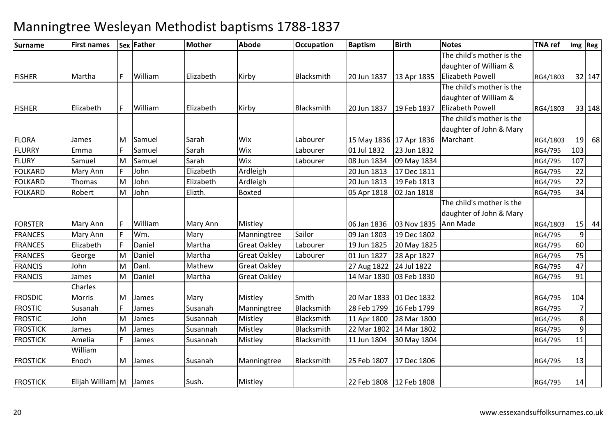| Surname         | <b>First names</b> |     | Sex Father | <b>Mother</b> | <b>Abode</b>        | Occupation | <b>Baptism</b>            | <b>Birth</b> | <b>Notes</b>              | <b>TNA</b> ref |                | Img Reg |
|-----------------|--------------------|-----|------------|---------------|---------------------|------------|---------------------------|--------------|---------------------------|----------------|----------------|---------|
|                 |                    |     |            |               |                     |            |                           |              | The child's mother is the |                |                |         |
|                 |                    |     |            |               |                     |            |                           |              | daughter of William &     |                |                |         |
| <b>FISHER</b>   | Martha             | F   | William    | Elizabeth     | Kirby               | Blacksmith | 20 Jun 1837               | 13 Apr 1835  | <b>Elizabeth Powell</b>   | RG4/1803       |                | 32 147  |
|                 |                    |     |            |               |                     |            |                           |              | The child's mother is the |                |                |         |
|                 |                    |     |            |               |                     |            |                           |              | daughter of William &     |                |                |         |
| <b>FISHER</b>   | Elizabeth          | IF. | William    | Elizabeth     | Kirby               | Blacksmith | 20 Jun 1837               | 19 Feb 1837  | <b>Elizabeth Powell</b>   | RG4/1803       |                | 33 148  |
|                 |                    |     |            |               |                     |            |                           |              | The child's mother is the |                |                |         |
|                 |                    |     |            |               |                     |            |                           |              | daughter of John & Mary   |                |                |         |
| <b>FLORA</b>    | James              | M   | Samuel     | Sarah         | Wix                 | Labourer   | 15 May 1836 17 Apr 1836   |              | Marchant                  | RG4/1803       | 19             | 68      |
| <b>FLURRY</b>   | Emma               |     | Samuel     | Sarah         | Wix                 | Labourer   | 01 Jul 1832               | 23 Jun 1832  |                           | RG4/795        | 103            |         |
| <b>FLURY</b>    | Samuel             | M   | Samuel     | Sarah         | Wix                 | Labourer   | 08 Jun 1834               | 09 May 1834  |                           | RG4/795        | 107            |         |
| <b>FOLKARD</b>  | Mary Ann           |     | John       | Elizabeth     | Ardleigh            |            | 20 Jun 1813               | 17 Dec 1811  |                           | RG4/795        | 22             |         |
| <b>FOLKARD</b>  | Thomas             | M   | John       | Elizabeth     | Ardleigh            |            | 20 Jun 1813               | 19 Feb 1813  |                           | RG4/795        | 22             |         |
| <b>FOLKARD</b>  | Robert             | M   | John       | Elizth.       | <b>Boxted</b>       |            | 05 Apr 1818               | 02 Jan 1818  |                           | RG4/795        | 34             |         |
|                 |                    |     |            |               |                     |            |                           |              | The child's mother is the |                |                |         |
|                 |                    |     |            |               |                     |            |                           |              | daughter of John & Mary   |                |                |         |
| <b>FORSTER</b>  | Mary Ann           |     | William    | Mary Ann      | Mistley             |            | 06 Jan 1836               | 03 Nov 1835  | Ann Made                  | RG4/1803       |                | $15$ 44 |
| <b>FRANCES</b>  | Mary Ann           |     | Wm.        | Mary          | Manningtree         | Sailor     | 09 Jan 1803               | 19 Dec 1802  |                           | RG4/795        | $\overline{9}$ |         |
| <b>FRANCES</b>  | Elizabeth          | E   | Daniel     | Martha        | <b>Great Oakley</b> | Labourer   | 19 Jun 1825               | 20 May 1825  |                           | RG4/795        | 60             |         |
| <b>FRANCES</b>  | George             | M   | Daniel     | Martha        | <b>Great Oakley</b> | Labourer   | 01 Jun 1827               | 28 Apr 1827  |                           | RG4/795        | 75             |         |
| <b>FRANCIS</b>  | John               | Μ   | Danl.      | Mathew        | <b>Great Oakley</b> |            | 27 Aug 1822               | 24 Jul 1822  |                           | RG4/795        | 47             |         |
| <b>FRANCIS</b>  | James              | M   | Daniel     | Martha        | <b>Great Oakley</b> |            | 14 Mar 1830               | 03 Feb 1830  |                           | RG4/795        | 91             |         |
|                 | Charles            |     |            |               |                     |            |                           |              |                           |                |                |         |
| <b>FROSDIC</b>  | Morris             | M   | James      | Mary          | Mistley             | Smith      | 20 Mar 1833 01 Dec 1832   |              |                           | RG4/795        | 104            |         |
| <b>FROSTIC</b>  | Susanah            |     | James      | Susanah       | Manningtree         | Blacksmith | 28 Feb 1799               | 16 Feb 1799  |                           | RG4/795        | $\overline{7}$ |         |
| <b>FROSTIC</b>  | John               | M   | James      | Susannah      | Mistley             | Blacksmith | 11 Apr 1800               | 28 Mar 1800  |                           | RG4/795        | 8 <sup>1</sup> |         |
| <b>FROSTICK</b> | James              | M   | James      | Susannah      | Mistley             | Blacksmith | 22 Mar 1802               | 14 Mar 1802  |                           | RG4/795        | $\overline{9}$ |         |
| <b>FROSTICK</b> | Amelia             |     | James      | Susannah      | Mistley             | Blacksmith | 11 Jun 1804               | 30 May 1804  |                           | RG4/795        | 11             |         |
|                 | William            |     |            |               |                     |            |                           |              |                           |                |                |         |
| <b>FROSTICK</b> | Enoch              | M   | James      | Susanah       | Manningtree         | Blacksmith | 25 Feb 1807               | 17 Dec 1806  |                           | RG4/795        | 13             |         |
|                 |                    |     |            |               |                     |            |                           |              |                           |                |                |         |
| <b>FROSTICK</b> | Elijah William M   |     | James      | Sush.         | Mistley             |            | 22 Feb 1808   12 Feb 1808 |              |                           | RG4/795        | 14             |         |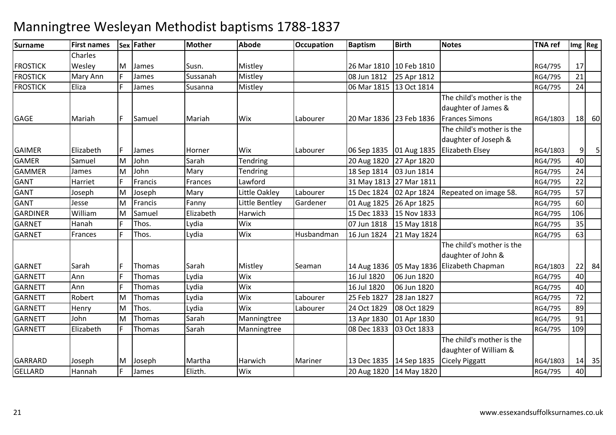#### **Surname First names Sex Father Mother Abode OccupationDccupation** Baptism **Birth Notes TNA ref Img Reg** FROSTICK FROSTICKCharles WesleyMary Ann MM James Susn. Mistley 26 Mar 1810 10 Feb 1810 10 Feb 1810 RG4/795 17<br>E James Sussexeb Mistley 2019 25 Ann 1912 25 Ann 1912 K | Mary Ann | F | James | Sussanah | Mistley | 1990 | 1991 | 25 Apr 1812 | 25 Apr 1812 | 1990 | 21 FROSTICKK [Eliza | F James | Susanna | Mistley | 106 Mar 1815 | 13 Oct 1814 | 1990 | RG4/795 | 24 GAGE Mariah <sup>F</sup> Samuel Mariah Wix Labourer 20 Mar 1836 23 Feb 1836The child's mother is the daughter of James & Frances Simons RG4/1803 <sup>18</sup> <sup>60</sup>GAIMERR Elizabeth F James Horner Wix Labourer 06 Sep 1835 01 Aug 1835 The child's mother is the daughter of Joseph & Elizabeth Elsey RG4/18033 9 5 GAMER Samuel MM John Sarah Tendring 20 Aug 1820 27 Apr 1820 RG4/795 40<br>Martin Marie Tendring 1820 27 Apr 1820 RG4 2016 1994 RG4/795 2016 GAMMERJames<br>Harriet MM John Mary Tendring 18 Sep 1814 03 Jun 1814 RG4/795 24<br>Exercise Exerces Lawford 21 May 1912 27 Mar 1914 GANTT Harriet F Francis Frances Lawford 31 May 1813 27 Mar 1811 RG4/795 <sup>22</sup> GANT JosephMM Joseph Mary Little Oakley Labourer 15 Dec 1824 02 Apr 1824 Repeated on image 58. RG4/795 57<br>M. Exercis Ferry Little Bartley Corderer 04 Aus 1935, 36 Apr 1935 GANT Jesse M Francis Fanny Little Bentley Gardener 01 Aug 1825 26 Apr 1825 RG4/795 <sup>60</sup> GARDINER WilliamT<sub>Hanah</sub> MM Samuel Elizabeth Harwich 15 Dec 1833 15 Nov 1833 RG4/795 106<br>Elizabeth Windows Mini 2011 1998 15 Min 1919 GARNETh |F |Thos. |Lydia |Wix || ||07 Jun 1818 07 Jun 1818 15 May 1818 | RG4/795 | 35<br>16 Jun 1824 | 21 May 1824 | RG4/795 | 63 GARNETT Frances F Thos. Lydia Wix Husbandman Husbandman 16 Jun 1824 21 May 1824 **GARNET**  Sarahh Thomas Sarah Mistley Seaman 14 Aug 1836 05 May 1836 Elizabeth Chapman (14 Aug 1836 1857) 0 06 Jun 1820 RG4/795 40 The child's mother is the daughter of John & RG4/1803 22 84<br>RG4/795 40 GARNETT Ann <sup>F</sup> Thomas Lydia Wix 16 Jul 1820GARNETT Annn F Thomas Lydia Wix 16 Jul 1820 06 Jun 1820 RG4/795 <sup>40</sup> GARNETT Robert MM Thomas Lydia Wix Labourer 25 Feb 1827 28 Jan 1827 RG4/795 72<br>M These Lydia Wiy Labourer 24 Oct 1939 89 Oct 1939 GARNETT Henry MM Thos. Lydia Wix Labourer 24 Oct 1829 08 Oct 1829 RG4/795 89<br>M Thomas Garak Mannisotros 142 1428 81 14220 81 14220 PM GARNETT JohnT **Elizabeth** M Thomas Sarah Manningtree 13 Apr 1830 01 Apr 1830 RG4/795 <sup>91</sup> GARNETTh |F |Thomas |Sarah | Manningtree | 1889 | 08 Dec 1833 | 08 Dec 1833 | 03 Oct 1833 | RG4/795 | 109 GARRARDJoseph<br>Hannah M Joseph Martha Harwich Mariner 13 Dec 1835 14 Sep 1835 The child's mother is the daughter of William & Cicely Piggatt RG4/1803RG4/1803 14 35<br>RG4/795 40 **GELLARD** D Hannah |F James |Elizth. |Wix | 20 Aug 1820 |14 May 1820 | 20 Aug 1820 | RG4/795 | 40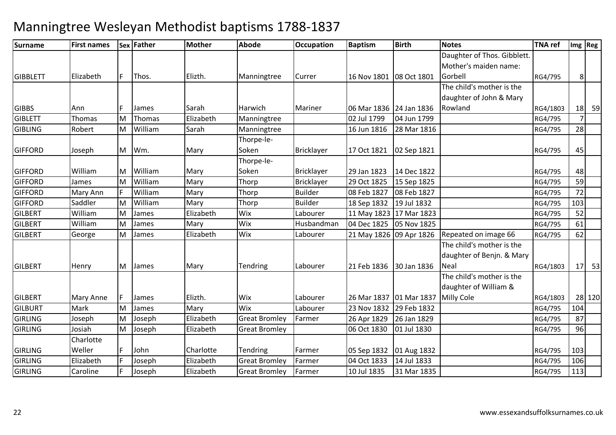| Daughter of Thos. Gibblett.<br>Mother's maiden name:<br>Elizabeth<br>Elizth.<br>16 Nov 1801 08 Oct 1801<br>Gorbell<br>RG4/795<br>8 <sup>1</sup><br>F.<br>Thos.<br>Currer<br>Manningtree<br>The child's mother is the<br>daughter of John & Mary<br>Sarah<br>Harwich<br>06 Mar 1836 24 Jan 1836<br>Rowland<br><b>GIBBS</b><br>Mariner<br>RG4/1803<br>Ann<br>James<br>Elizabeth<br>02 Jul 1799<br>7 <sup>1</sup><br><b>GIBLETT</b><br>Thomas<br>Thomas<br>04 Jun 1799<br>M<br>Manningtree<br>RG4/795<br>28<br><b>GIBLING</b><br>Robert<br>William<br>Sarah<br>16 Jun 1816<br>28 Mar 1816<br>M<br>RG4/795<br>Manningtree<br>Thorpe-le-<br><b>GIFFORD</b><br>Wm.<br>Soken<br><b>Bricklayer</b><br>17 Oct 1821<br>02 Sep 1821<br>45<br>M<br>Mary<br>RG4/795<br>Joseph<br>Thorpe-le-<br><b>GIFFORD</b><br>William<br>William<br>Mary<br>Soken<br><b>Bricklayer</b><br>48<br>M<br>29 Jan 1823<br>14 Dec 1822<br>RG4/795<br>59<br><b>GIFFORD</b><br>William<br><b>Bricklayer</b><br>29 Oct 1825<br>M<br>Mary<br>Thorp<br>15 Sep 1825<br>RG4/795<br>James<br>72<br>William<br><b>Builder</b><br><b>GIFFORD</b><br>Mary<br>Thorp<br>08 Feb 1827<br>Mary Ann<br>08 Feb 1827<br>RG4/795<br><b>Builder</b><br>103<br><b>GIFFORD</b><br>Saddler<br>M<br>William<br>18 Sep 1832<br>19 Jul 1832<br>RG4/795<br>Mary<br>Thorp<br>William<br>Elizabeth<br>Wix<br>52<br><b>GILBERT</b><br>Labourer<br>11 May 1823   17 Mar 1823<br>M<br>James<br>RG4/795<br>Wix<br>61<br><b>GILBERT</b><br>William<br>M<br>Mary<br>Husbandman<br>04 Dec 1825<br>05 Nov 1825<br>James<br>RG4/795<br>62<br>Elizabeth<br>Wix<br><b>GILBERT</b><br>M<br>Labourer<br>21 May 1826 09 Apr 1826<br>Repeated on image 66<br>RG4/795<br>James<br>George<br>The child's mother is the<br>daughter of Benjn. & Mary<br>Labourer<br>Mary<br>Tendring<br>21 Feb 1836<br>30 Jan 1836<br>Neal<br>RG4/1803<br>Henry<br>M<br>James<br>The child's mother is the<br>daughter of William &<br>Elizth.<br>Labourer<br><b>GILBERT</b><br>Wix<br>26 Mar 1837 01 Mar 1837<br>Milly Cole<br>Mary Anne<br>F.<br>James<br>RG4/1803<br>29 Feb 1832<br>104<br><b>GILBURT</b><br>Mark<br>M<br>Wix<br>23 Nov 1832<br>James<br>Mary<br>Labourer<br>RG4/795<br>87<br>Elizabeth<br><b>Great Bromley</b><br><b>GIRLING</b><br>Joseph<br>M<br>Joseph<br>Farmer<br>26 Apr 1829<br>26 Jan 1829<br>RG4/795<br>96<br><b>GIRLING</b><br>Josiah<br>Elizabeth<br>M<br>Joseph<br><b>Great Bromley</b><br>06 Oct 1830<br>01 Jul 1830<br>RG4/795<br>Charlotte<br><b>GIRLING</b><br>Weller<br>Charlotte<br>John<br>Tendring<br>Farmer<br>RG4/795<br>103<br>05 Sep 1832<br>01 Aug 1832<br><b>GIRLING</b><br>Elizabeth<br>Elizabeth<br>04 Oct 1833<br>14 Jul 1833<br>106<br>Joseph<br><b>Great Bromley</b><br>Farmer<br>RG4/795<br>Elizabeth<br>113<br><b>GIRLING</b><br>Caroline<br>Joseph<br><b>Great Bromley</b><br>Farmer<br>10 Jul 1835<br>31 Mar 1835<br>RG4/795 | Surname | <b>First names</b> | <b>Sex Father</b> | <b>Mother</b> | <b>Abode</b> | <b>Occupation</b> | <b>Baptism</b> | <b>Birth</b> | <b>Notes</b> | <b>TNA</b> ref | Img Reg |
|-----------------------------------------------------------------------------------------------------------------------------------------------------------------------------------------------------------------------------------------------------------------------------------------------------------------------------------------------------------------------------------------------------------------------------------------------------------------------------------------------------------------------------------------------------------------------------------------------------------------------------------------------------------------------------------------------------------------------------------------------------------------------------------------------------------------------------------------------------------------------------------------------------------------------------------------------------------------------------------------------------------------------------------------------------------------------------------------------------------------------------------------------------------------------------------------------------------------------------------------------------------------------------------------------------------------------------------------------------------------------------------------------------------------------------------------------------------------------------------------------------------------------------------------------------------------------------------------------------------------------------------------------------------------------------------------------------------------------------------------------------------------------------------------------------------------------------------------------------------------------------------------------------------------------------------------------------------------------------------------------------------------------------------------------------------------------------------------------------------------------------------------------------------------------------------------------------------------------------------------------------------------------------------------------------------------------------------------------------------------------------------------------------------------------------------------------------------------------------------------------------------------------------------------------------------------------------------------------------------------------------------------------------------------------------------------------------------------------------------------------------------------------------------------------------------------------------------------------------------------------------------|---------|--------------------|-------------------|---------------|--------------|-------------------|----------------|--------------|--------------|----------------|---------|
| <b>GIBBLETT</b><br><b>GILBERT</b>                                                                                                                                                                                                                                                                                                                                                                                                                                                                                                                                                                                                                                                                                                                                                                                                                                                                                                                                                                                                                                                                                                                                                                                                                                                                                                                                                                                                                                                                                                                                                                                                                                                                                                                                                                                                                                                                                                                                                                                                                                                                                                                                                                                                                                                                                                                                                                                                                                                                                                                                                                                                                                                                                                                                                                                                                                                 |         |                    |                   |               |              |                   |                |              |              |                |         |
|                                                                                                                                                                                                                                                                                                                                                                                                                                                                                                                                                                                                                                                                                                                                                                                                                                                                                                                                                                                                                                                                                                                                                                                                                                                                                                                                                                                                                                                                                                                                                                                                                                                                                                                                                                                                                                                                                                                                                                                                                                                                                                                                                                                                                                                                                                                                                                                                                                                                                                                                                                                                                                                                                                                                                                                                                                                                                   |         |                    |                   |               |              |                   |                |              |              |                |         |
|                                                                                                                                                                                                                                                                                                                                                                                                                                                                                                                                                                                                                                                                                                                                                                                                                                                                                                                                                                                                                                                                                                                                                                                                                                                                                                                                                                                                                                                                                                                                                                                                                                                                                                                                                                                                                                                                                                                                                                                                                                                                                                                                                                                                                                                                                                                                                                                                                                                                                                                                                                                                                                                                                                                                                                                                                                                                                   |         |                    |                   |               |              |                   |                |              |              |                |         |
|                                                                                                                                                                                                                                                                                                                                                                                                                                                                                                                                                                                                                                                                                                                                                                                                                                                                                                                                                                                                                                                                                                                                                                                                                                                                                                                                                                                                                                                                                                                                                                                                                                                                                                                                                                                                                                                                                                                                                                                                                                                                                                                                                                                                                                                                                                                                                                                                                                                                                                                                                                                                                                                                                                                                                                                                                                                                                   |         |                    |                   |               |              |                   |                |              |              |                |         |
|                                                                                                                                                                                                                                                                                                                                                                                                                                                                                                                                                                                                                                                                                                                                                                                                                                                                                                                                                                                                                                                                                                                                                                                                                                                                                                                                                                                                                                                                                                                                                                                                                                                                                                                                                                                                                                                                                                                                                                                                                                                                                                                                                                                                                                                                                                                                                                                                                                                                                                                                                                                                                                                                                                                                                                                                                                                                                   |         |                    |                   |               |              |                   |                |              |              |                |         |
|                                                                                                                                                                                                                                                                                                                                                                                                                                                                                                                                                                                                                                                                                                                                                                                                                                                                                                                                                                                                                                                                                                                                                                                                                                                                                                                                                                                                                                                                                                                                                                                                                                                                                                                                                                                                                                                                                                                                                                                                                                                                                                                                                                                                                                                                                                                                                                                                                                                                                                                                                                                                                                                                                                                                                                                                                                                                                   |         |                    |                   |               |              |                   |                |              |              |                | 18 59   |
|                                                                                                                                                                                                                                                                                                                                                                                                                                                                                                                                                                                                                                                                                                                                                                                                                                                                                                                                                                                                                                                                                                                                                                                                                                                                                                                                                                                                                                                                                                                                                                                                                                                                                                                                                                                                                                                                                                                                                                                                                                                                                                                                                                                                                                                                                                                                                                                                                                                                                                                                                                                                                                                                                                                                                                                                                                                                                   |         |                    |                   |               |              |                   |                |              |              |                |         |
|                                                                                                                                                                                                                                                                                                                                                                                                                                                                                                                                                                                                                                                                                                                                                                                                                                                                                                                                                                                                                                                                                                                                                                                                                                                                                                                                                                                                                                                                                                                                                                                                                                                                                                                                                                                                                                                                                                                                                                                                                                                                                                                                                                                                                                                                                                                                                                                                                                                                                                                                                                                                                                                                                                                                                                                                                                                                                   |         |                    |                   |               |              |                   |                |              |              |                |         |
|                                                                                                                                                                                                                                                                                                                                                                                                                                                                                                                                                                                                                                                                                                                                                                                                                                                                                                                                                                                                                                                                                                                                                                                                                                                                                                                                                                                                                                                                                                                                                                                                                                                                                                                                                                                                                                                                                                                                                                                                                                                                                                                                                                                                                                                                                                                                                                                                                                                                                                                                                                                                                                                                                                                                                                                                                                                                                   |         |                    |                   |               |              |                   |                |              |              |                |         |
|                                                                                                                                                                                                                                                                                                                                                                                                                                                                                                                                                                                                                                                                                                                                                                                                                                                                                                                                                                                                                                                                                                                                                                                                                                                                                                                                                                                                                                                                                                                                                                                                                                                                                                                                                                                                                                                                                                                                                                                                                                                                                                                                                                                                                                                                                                                                                                                                                                                                                                                                                                                                                                                                                                                                                                                                                                                                                   |         |                    |                   |               |              |                   |                |              |              |                |         |
|                                                                                                                                                                                                                                                                                                                                                                                                                                                                                                                                                                                                                                                                                                                                                                                                                                                                                                                                                                                                                                                                                                                                                                                                                                                                                                                                                                                                                                                                                                                                                                                                                                                                                                                                                                                                                                                                                                                                                                                                                                                                                                                                                                                                                                                                                                                                                                                                                                                                                                                                                                                                                                                                                                                                                                                                                                                                                   |         |                    |                   |               |              |                   |                |              |              |                |         |
|                                                                                                                                                                                                                                                                                                                                                                                                                                                                                                                                                                                                                                                                                                                                                                                                                                                                                                                                                                                                                                                                                                                                                                                                                                                                                                                                                                                                                                                                                                                                                                                                                                                                                                                                                                                                                                                                                                                                                                                                                                                                                                                                                                                                                                                                                                                                                                                                                                                                                                                                                                                                                                                                                                                                                                                                                                                                                   |         |                    |                   |               |              |                   |                |              |              |                |         |
|                                                                                                                                                                                                                                                                                                                                                                                                                                                                                                                                                                                                                                                                                                                                                                                                                                                                                                                                                                                                                                                                                                                                                                                                                                                                                                                                                                                                                                                                                                                                                                                                                                                                                                                                                                                                                                                                                                                                                                                                                                                                                                                                                                                                                                                                                                                                                                                                                                                                                                                                                                                                                                                                                                                                                                                                                                                                                   |         |                    |                   |               |              |                   |                |              |              |                |         |
|                                                                                                                                                                                                                                                                                                                                                                                                                                                                                                                                                                                                                                                                                                                                                                                                                                                                                                                                                                                                                                                                                                                                                                                                                                                                                                                                                                                                                                                                                                                                                                                                                                                                                                                                                                                                                                                                                                                                                                                                                                                                                                                                                                                                                                                                                                                                                                                                                                                                                                                                                                                                                                                                                                                                                                                                                                                                                   |         |                    |                   |               |              |                   |                |              |              |                |         |
|                                                                                                                                                                                                                                                                                                                                                                                                                                                                                                                                                                                                                                                                                                                                                                                                                                                                                                                                                                                                                                                                                                                                                                                                                                                                                                                                                                                                                                                                                                                                                                                                                                                                                                                                                                                                                                                                                                                                                                                                                                                                                                                                                                                                                                                                                                                                                                                                                                                                                                                                                                                                                                                                                                                                                                                                                                                                                   |         |                    |                   |               |              |                   |                |              |              |                |         |
|                                                                                                                                                                                                                                                                                                                                                                                                                                                                                                                                                                                                                                                                                                                                                                                                                                                                                                                                                                                                                                                                                                                                                                                                                                                                                                                                                                                                                                                                                                                                                                                                                                                                                                                                                                                                                                                                                                                                                                                                                                                                                                                                                                                                                                                                                                                                                                                                                                                                                                                                                                                                                                                                                                                                                                                                                                                                                   |         |                    |                   |               |              |                   |                |              |              |                |         |
|                                                                                                                                                                                                                                                                                                                                                                                                                                                                                                                                                                                                                                                                                                                                                                                                                                                                                                                                                                                                                                                                                                                                                                                                                                                                                                                                                                                                                                                                                                                                                                                                                                                                                                                                                                                                                                                                                                                                                                                                                                                                                                                                                                                                                                                                                                                                                                                                                                                                                                                                                                                                                                                                                                                                                                                                                                                                                   |         |                    |                   |               |              |                   |                |              |              |                |         |
|                                                                                                                                                                                                                                                                                                                                                                                                                                                                                                                                                                                                                                                                                                                                                                                                                                                                                                                                                                                                                                                                                                                                                                                                                                                                                                                                                                                                                                                                                                                                                                                                                                                                                                                                                                                                                                                                                                                                                                                                                                                                                                                                                                                                                                                                                                                                                                                                                                                                                                                                                                                                                                                                                                                                                                                                                                                                                   |         |                    |                   |               |              |                   |                |              |              |                |         |
|                                                                                                                                                                                                                                                                                                                                                                                                                                                                                                                                                                                                                                                                                                                                                                                                                                                                                                                                                                                                                                                                                                                                                                                                                                                                                                                                                                                                                                                                                                                                                                                                                                                                                                                                                                                                                                                                                                                                                                                                                                                                                                                                                                                                                                                                                                                                                                                                                                                                                                                                                                                                                                                                                                                                                                                                                                                                                   |         |                    |                   |               |              |                   |                |              |              |                |         |
|                                                                                                                                                                                                                                                                                                                                                                                                                                                                                                                                                                                                                                                                                                                                                                                                                                                                                                                                                                                                                                                                                                                                                                                                                                                                                                                                                                                                                                                                                                                                                                                                                                                                                                                                                                                                                                                                                                                                                                                                                                                                                                                                                                                                                                                                                                                                                                                                                                                                                                                                                                                                                                                                                                                                                                                                                                                                                   |         |                    |                   |               |              |                   |                |              |              |                |         |
|                                                                                                                                                                                                                                                                                                                                                                                                                                                                                                                                                                                                                                                                                                                                                                                                                                                                                                                                                                                                                                                                                                                                                                                                                                                                                                                                                                                                                                                                                                                                                                                                                                                                                                                                                                                                                                                                                                                                                                                                                                                                                                                                                                                                                                                                                                                                                                                                                                                                                                                                                                                                                                                                                                                                                                                                                                                                                   |         |                    |                   |               |              |                   |                |              |              |                | $17$ 53 |
|                                                                                                                                                                                                                                                                                                                                                                                                                                                                                                                                                                                                                                                                                                                                                                                                                                                                                                                                                                                                                                                                                                                                                                                                                                                                                                                                                                                                                                                                                                                                                                                                                                                                                                                                                                                                                                                                                                                                                                                                                                                                                                                                                                                                                                                                                                                                                                                                                                                                                                                                                                                                                                                                                                                                                                                                                                                                                   |         |                    |                   |               |              |                   |                |              |              |                |         |
|                                                                                                                                                                                                                                                                                                                                                                                                                                                                                                                                                                                                                                                                                                                                                                                                                                                                                                                                                                                                                                                                                                                                                                                                                                                                                                                                                                                                                                                                                                                                                                                                                                                                                                                                                                                                                                                                                                                                                                                                                                                                                                                                                                                                                                                                                                                                                                                                                                                                                                                                                                                                                                                                                                                                                                                                                                                                                   |         |                    |                   |               |              |                   |                |              |              |                |         |
|                                                                                                                                                                                                                                                                                                                                                                                                                                                                                                                                                                                                                                                                                                                                                                                                                                                                                                                                                                                                                                                                                                                                                                                                                                                                                                                                                                                                                                                                                                                                                                                                                                                                                                                                                                                                                                                                                                                                                                                                                                                                                                                                                                                                                                                                                                                                                                                                                                                                                                                                                                                                                                                                                                                                                                                                                                                                                   |         |                    |                   |               |              |                   |                |              |              |                | 28 120  |
|                                                                                                                                                                                                                                                                                                                                                                                                                                                                                                                                                                                                                                                                                                                                                                                                                                                                                                                                                                                                                                                                                                                                                                                                                                                                                                                                                                                                                                                                                                                                                                                                                                                                                                                                                                                                                                                                                                                                                                                                                                                                                                                                                                                                                                                                                                                                                                                                                                                                                                                                                                                                                                                                                                                                                                                                                                                                                   |         |                    |                   |               |              |                   |                |              |              |                |         |
|                                                                                                                                                                                                                                                                                                                                                                                                                                                                                                                                                                                                                                                                                                                                                                                                                                                                                                                                                                                                                                                                                                                                                                                                                                                                                                                                                                                                                                                                                                                                                                                                                                                                                                                                                                                                                                                                                                                                                                                                                                                                                                                                                                                                                                                                                                                                                                                                                                                                                                                                                                                                                                                                                                                                                                                                                                                                                   |         |                    |                   |               |              |                   |                |              |              |                |         |
|                                                                                                                                                                                                                                                                                                                                                                                                                                                                                                                                                                                                                                                                                                                                                                                                                                                                                                                                                                                                                                                                                                                                                                                                                                                                                                                                                                                                                                                                                                                                                                                                                                                                                                                                                                                                                                                                                                                                                                                                                                                                                                                                                                                                                                                                                                                                                                                                                                                                                                                                                                                                                                                                                                                                                                                                                                                                                   |         |                    |                   |               |              |                   |                |              |              |                |         |
|                                                                                                                                                                                                                                                                                                                                                                                                                                                                                                                                                                                                                                                                                                                                                                                                                                                                                                                                                                                                                                                                                                                                                                                                                                                                                                                                                                                                                                                                                                                                                                                                                                                                                                                                                                                                                                                                                                                                                                                                                                                                                                                                                                                                                                                                                                                                                                                                                                                                                                                                                                                                                                                                                                                                                                                                                                                                                   |         |                    |                   |               |              |                   |                |              |              |                |         |
|                                                                                                                                                                                                                                                                                                                                                                                                                                                                                                                                                                                                                                                                                                                                                                                                                                                                                                                                                                                                                                                                                                                                                                                                                                                                                                                                                                                                                                                                                                                                                                                                                                                                                                                                                                                                                                                                                                                                                                                                                                                                                                                                                                                                                                                                                                                                                                                                                                                                                                                                                                                                                                                                                                                                                                                                                                                                                   |         |                    |                   |               |              |                   |                |              |              |                |         |
|                                                                                                                                                                                                                                                                                                                                                                                                                                                                                                                                                                                                                                                                                                                                                                                                                                                                                                                                                                                                                                                                                                                                                                                                                                                                                                                                                                                                                                                                                                                                                                                                                                                                                                                                                                                                                                                                                                                                                                                                                                                                                                                                                                                                                                                                                                                                                                                                                                                                                                                                                                                                                                                                                                                                                                                                                                                                                   |         |                    |                   |               |              |                   |                |              |              |                |         |
|                                                                                                                                                                                                                                                                                                                                                                                                                                                                                                                                                                                                                                                                                                                                                                                                                                                                                                                                                                                                                                                                                                                                                                                                                                                                                                                                                                                                                                                                                                                                                                                                                                                                                                                                                                                                                                                                                                                                                                                                                                                                                                                                                                                                                                                                                                                                                                                                                                                                                                                                                                                                                                                                                                                                                                                                                                                                                   |         |                    |                   |               |              |                   |                |              |              |                |         |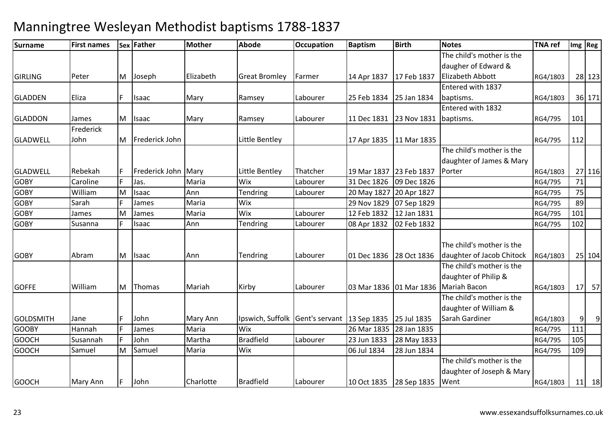| <b>Surname</b>   | <b>First names</b> |   | Sex Father          | <b>Mother</b> | <b>Abode</b>         | <b>Occupation</b>                          | <b>Baptism</b>          | <b>Birth</b> | <b>Notes</b>                             | <b>TNA ref</b> |     | $Im g$ Reg |
|------------------|--------------------|---|---------------------|---------------|----------------------|--------------------------------------------|-------------------------|--------------|------------------------------------------|----------------|-----|------------|
|                  |                    |   |                     |               |                      |                                            |                         |              | The child's mother is the                |                |     |            |
|                  |                    |   |                     |               |                      |                                            |                         |              | daugher of Edward &                      |                |     |            |
| <b>GIRLING</b>   | Peter              | M | Joseph              | Elizabeth     | <b>Great Bromley</b> | Farmer                                     | 14 Apr 1837             | 17 Feb 1837  | Elizabeth Abbott                         | RG4/1803       |     | 28 123     |
|                  |                    |   |                     |               |                      |                                            |                         |              | Entered with 1837                        |                |     |            |
| <b>GLADDEN</b>   | Eliza              |   | Isaac               | Mary          | Ramsey               | Labourer                                   | 25 Feb 1834             | 25 Jan 1834  | baptisms.                                | RG4/1803       |     | 36 171     |
|                  |                    |   |                     |               |                      |                                            |                         |              | Entered with 1832                        |                |     |            |
| <b>GLADDON</b>   | James              | M | Isaac               | Mary          | Ramsey               | Labourer                                   | 11 Dec 1831             | 23 Nov 1831  | baptisms.                                | RG4/795        | 101 |            |
|                  | Frederick          |   |                     |               |                      |                                            |                         |              |                                          |                |     |            |
| <b>GLADWELL</b>  | John               | M | Frederick John      |               | Little Bentley       |                                            | 17 Apr 1835             | 11 Mar 1835  |                                          | RG4/795        | 112 |            |
|                  |                    |   |                     |               |                      |                                            |                         |              | The child's mother is the                |                |     |            |
|                  |                    |   |                     |               |                      |                                            |                         |              | daughter of James & Mary                 |                |     |            |
| <b>GLADWELL</b>  | Rebekah            |   | Frederick John Mary |               | Little Bentley       | Thatcher                                   | 19 Mar 1837 23 Feb 1837 |              | Porter                                   | RG4/1803       |     | 27 116     |
| <b>GOBY</b>      | Caroline           |   | Jas.                | Maria         | Wix                  | Labourer                                   | 31 Dec 1826             | 09 Dec 1826  |                                          | RG4/795        | 71  |            |
| <b>GOBY</b>      | William            | M | Isaac               | Ann           | Tendring             | Labourer                                   | 20 May 1827 20 Apr 1827 |              |                                          | RG4/795        | 75  |            |
| <b>GOBY</b>      | Sarah              |   | James               | Maria         | Wix                  |                                            | 29 Nov 1829             | 07 Sep 1829  |                                          | RG4/795        | 89  |            |
| <b>GOBY</b>      | James              | M | James               | Maria         | Wix                  | Labourer                                   | 12 Feb 1832             | 12 Jan 1831  |                                          | RG4/795        | 101 |            |
| <b>GOBY</b>      | Susanna            |   | Isaac               | Ann           | Tendring             | Labourer                                   | 08 Apr 1832             | 02 Feb 1832  |                                          | RG4/795        | 102 |            |
|                  |                    |   |                     |               |                      |                                            |                         |              |                                          |                |     |            |
|                  |                    |   |                     |               |                      |                                            |                         |              | The child's mother is the                |                |     |            |
| <b>GOBY</b>      | Abram              | M | Isaac               | Ann           | Tendring             | Labourer                                   | 01 Dec 1836             | 28 Oct 1836  | daughter of Jacob Chitock                | RG4/1803       |     | 25 104     |
|                  |                    |   |                     |               |                      |                                            |                         |              | The child's mother is the                |                |     |            |
|                  |                    |   |                     |               |                      |                                            |                         |              | daughter of Philip &                     |                |     |            |
| <b>GOFFE</b>     | William            | M | Thomas              | Mariah        | Kirby                | Labourer                                   |                         |              | 03 Mar 1836   01 Mar 1836   Mariah Bacon | RG4/1803       | 17  | 57         |
|                  |                    |   |                     |               |                      |                                            |                         |              | The child's mother is the                |                |     |            |
|                  |                    |   |                     |               |                      |                                            |                         |              | daughter of William &                    |                |     |            |
| <b>GOLDSMITH</b> | Jane               | E | John                | Mary Ann      | Ipswich, Suffolk     | Gent's servant   13 Sep 1835   25 Jul 1835 |                         |              | Sarah Gardiner                           | RG4/1803       | 9   | 9          |
| <b>GOOBY</b>     | Hannah             |   | James               | Maria         | Wix                  |                                            | 26 Mar 1835             | 28 Jan 1835  |                                          | RG4/795        | 111 |            |
| <b>GOOCH</b>     | Susannah           |   | John                | Martha        | <b>Bradfield</b>     | Labourer                                   | 23 Jun 1833             | 28 May 1833  |                                          | RG4/795        | 105 |            |
| <b>GOOCH</b>     | Samuel             | M | Samuel              | Maria         | Wix                  |                                            | 06 Jul 1834             | 28 Jun 1834  |                                          | RG4/795        | 109 |            |
|                  |                    |   |                     |               |                      |                                            |                         |              | The child's mother is the                |                |     |            |
|                  |                    |   |                     |               |                      |                                            |                         |              | daughter of Joseph & Mary                |                |     |            |
| <b>GOOCH</b>     | Mary Ann           |   | John                | Charlotte     | <b>Bradfield</b>     | Labourer                                   | 10 Oct 1835 28 Sep 1835 |              | Went                                     | RG4/1803       |     | $11$ 18    |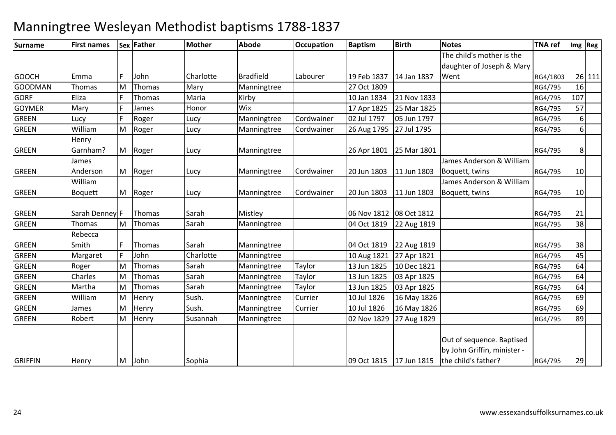| <b>Surname</b> | <b>First names</b> |   | Sex Father | <b>Mother</b> | <b>Abode</b>     | <b>Occupation</b> | <b>Baptism</b>          | <b>Birth</b> | <b>Notes</b>                                             | <b>TNA</b> ref |          | Img Reg |
|----------------|--------------------|---|------------|---------------|------------------|-------------------|-------------------------|--------------|----------------------------------------------------------|----------------|----------|---------|
|                |                    |   |            |               |                  |                   |                         |              | The child's mother is the                                |                |          |         |
|                |                    |   |            |               |                  |                   |                         |              | daughter of Joseph & Mary                                |                |          |         |
| <b>GOOCH</b>   | Emma               |   | John       | Charlotte     | <b>Bradfield</b> | Labourer          | 19 Feb 1837             | 14 Jan 1837  | Went                                                     | RG4/1803       |          | 26 111  |
| <b>GOODMAN</b> | Thomas             | м | Thomas     | Mary          | Manningtree      |                   | 27 Oct 1809             |              |                                                          | RG4/795        | 16       |         |
| <b>GORF</b>    | Eliza              |   | Thomas     | Maria         | Kirby            |                   | 10 Jan 1834             | 21 Nov 1833  |                                                          | RG4/795        | 107      |         |
| <b>GOYMER</b>  | Mary               |   | James      | Honor         | Wix              |                   | 17 Apr 1825             | 25 Mar 1825  |                                                          | RG4/795        | 57       |         |
| <b>GREEN</b>   | Lucy               |   | Roger      | Lucy          | Manningtree      | Cordwainer        | 02 Jul 1797             | 05 Jun 1797  |                                                          | RG4/795        | $6 \mid$ |         |
| <b>GREEN</b>   | William            | M | Roger      | Lucy          | Manningtree      | Cordwainer        | 26 Aug 1795             | 27 Jul 1795  |                                                          | RG4/795        | $6 \mid$ |         |
|                | Henry              |   |            |               |                  |                   |                         |              |                                                          |                |          |         |
| <b>GREEN</b>   | Garnham?           | M | Roger      | Lucy          | Manningtree      |                   | 26 Apr 1801             | 25 Mar 1801  |                                                          | RG4/795        | 8        |         |
|                | James              |   |            |               |                  |                   |                         |              | James Anderson & William                                 |                |          |         |
| <b>GREEN</b>   | Anderson           | M | Roger      | Lucy          | Manningtree      | Cordwainer        | 20 Jun 1803             | 11 Jun 1803  | Boquett, twins                                           | RG4/795        | 10       |         |
|                | William            |   |            |               |                  |                   |                         |              | James Anderson & William                                 |                |          |         |
| <b>GREEN</b>   | <b>Boquett</b>     | M | Roger      | Lucy          | Manningtree      | Cordwainer        | 20 Jun 1803             | 11 Jun 1803  | Boquett, twins                                           | RG4/795        | 10       |         |
| <b>GREEN</b>   | Sarah Denney F     |   | Thomas     | Sarah         | Mistley          |                   | 06 Nov 1812 08 Oct 1812 |              |                                                          | RG4/795        | 21       |         |
| <b>GREEN</b>   | Thomas             | M | Thomas     | Sarah         | Manningtree      |                   | 04 Oct 1819             | 22 Aug 1819  |                                                          | RG4/795        | 38       |         |
|                | Rebecca            |   |            |               |                  |                   |                         |              |                                                          |                |          |         |
| <b>GREEN</b>   | Smith              |   | Thomas     | Sarah         | Manningtree      |                   | 04 Oct 1819             | 22 Aug 1819  |                                                          | RG4/795        | 38       |         |
| <b>GREEN</b>   | Margaret           |   | John       | Charlotte     | Manningtree      |                   | 10 Aug 1821             | 27 Apr 1821  |                                                          | RG4/795        | 45       |         |
| <b>GREEN</b>   | Roger              | м | Thomas     | Sarah         | Manningtree      | Taylor            | 13 Jun 1825             | 10 Dec 1821  |                                                          | RG4/795        | 64       |         |
| <b>GREEN</b>   | Charles            | м | Thomas     | Sarah         | Manningtree      | Taylor            | 13 Jun 1825             | 03 Apr 1825  |                                                          | RG4/795        | 64       |         |
| <b>GREEN</b>   | Martha             | M | Thomas     | Sarah         | Manningtree      | Taylor            | 13 Jun 1825             | 03 Apr 1825  |                                                          | RG4/795        | 64       |         |
| <b>GREEN</b>   | William            | М | Henry      | Sush.         | Manningtree      | Currier           | 10 Jul 1826             | 16 May 1826  |                                                          | RG4/795        | 69       |         |
| <b>GREEN</b>   | James              | M | Henry      | Sush.         | Manningtree      | Currier           | 10 Jul 1826             | 16 May 1826  |                                                          | RG4/795        | 69       |         |
| <b>GREEN</b>   | Robert             | M | Henry      | Susannah      | Manningtree      |                   | 02 Nov 1829             | 27 Aug 1829  |                                                          | RG4/795        | 89       |         |
|                |                    |   |            |               |                  |                   |                         |              | Out of sequence. Baptised<br>by John Griffin, minister - |                |          |         |
| <b>GRIFFIN</b> | Henry              | M | John       | Sophia        |                  |                   | 09 Oct 1815             | 17 Jun 1815  | the child's father?                                      | RG4/795        | 29       |         |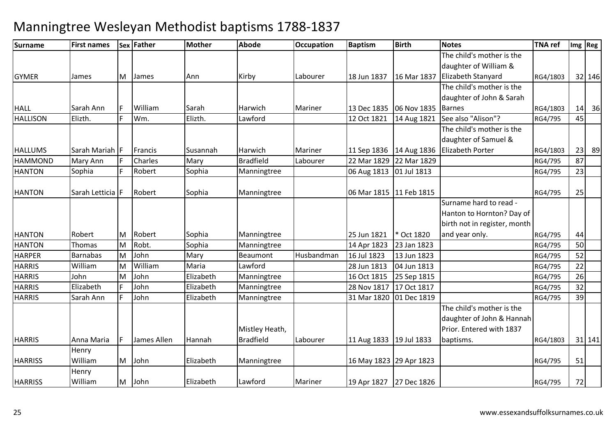| Surname         | <b>First names</b> |    | Sex Father  | <b>Mother</b> | <b>Abode</b>     | <b>Occupation</b> | <b>Baptism</b>            | <b>Birth</b>              | <b>Notes</b>                 | <b>TNA</b> ref |    | Img Reg |
|-----------------|--------------------|----|-------------|---------------|------------------|-------------------|---------------------------|---------------------------|------------------------------|----------------|----|---------|
|                 |                    |    |             |               |                  |                   |                           |                           | The child's mother is the    |                |    |         |
|                 |                    |    |             |               |                  |                   |                           |                           | daughter of William &        |                |    |         |
| <b>GYMER</b>    | James              | M  | James       | Ann           | Kirby            | Labourer          | 18 Jun 1837               | 16 Mar 1837               | Elizabeth Stanyard           | RG4/1803       |    | 32 146  |
|                 |                    |    |             |               |                  |                   |                           |                           | The child's mother is the    |                |    |         |
|                 |                    |    |             |               |                  |                   |                           |                           | daughter of John & Sarah     |                |    |         |
| <b>HALL</b>     | Sarah Ann          |    | William     | Sarah         | Harwich          | Mariner           |                           | 13 Dec 1835   06 Nov 1835 | <b>Barnes</b>                | RG4/1803       |    | $14$ 36 |
| <b>HALLISON</b> | Elizth.            |    | Wm.         | Elizth.       | Lawford          |                   | 12 Oct 1821               | 14 Aug 1821               | See also "Alison"?           | RG4/795        | 45 |         |
|                 |                    |    |             |               |                  |                   |                           |                           | The child's mother is the    |                |    |         |
|                 |                    |    |             |               |                  |                   |                           |                           | daughter of Samuel &         |                |    |         |
| <b>HALLUMS</b>  | Sarah Mariah F     |    | Francis     | Susannah      | Harwich          | Mariner           | 11 Sep 1836   14 Aug 1836 |                           | <b>Elizabeth Porter</b>      | RG4/1803       |    | 23 89   |
| <b>HAMMOND</b>  | Mary Ann           |    | Charles     | Mary          | <b>Bradfield</b> | Labourer          | 22 Mar 1829               | 22 Mar 1829               |                              | RG4/795        | 87 |         |
| <b>HANTON</b>   | Sophia             |    | Robert      | Sophia        | Manningtree      |                   | 06 Aug 1813 01 Jul 1813   |                           |                              | RG4/795        | 23 |         |
|                 |                    |    |             |               |                  |                   |                           |                           |                              |                |    |         |
| <b>HANTON</b>   | Sarah Letticia F   |    | Robert      | Sophia        | Manningtree      |                   | 06 Mar 1815   11 Feb 1815 |                           |                              | RG4/795        | 25 |         |
|                 |                    |    |             |               |                  |                   |                           |                           | Surname hard to read -       |                |    |         |
|                 |                    |    |             |               |                  |                   |                           |                           | Hanton to Hornton? Day of    |                |    |         |
|                 |                    |    |             |               |                  |                   |                           |                           | birth not in register, month |                |    |         |
| <b>HANTON</b>   | Robert             | M  | Robert      | Sophia        | Manningtree      |                   | 25 Jun 1821               | * Oct 1820                | and year only.               | RG4/795        | 44 |         |
| <b>HANTON</b>   | <b>Thomas</b>      | M  | Robt.       | Sophia        | Manningtree      |                   | 14 Apr 1823               | 23 Jan 1823               |                              | RG4/795        | 50 |         |
| <b>HARPER</b>   | Barnabas           | M  | John        | Mary          | Beaumont         | Husbandman        | 16 Jul 1823               | 13 Jun 1823               |                              | RG4/795        | 52 |         |
| <b>HARRIS</b>   | William            | Μ  | William     | Maria         | Lawford          |                   | 28 Jun 1813               | 04 Jun 1813               |                              | RG4/795        | 22 |         |
| <b>HARRIS</b>   | John               | M  | John        | Elizabeth     | Manningtree      |                   | 16 Oct 1815               | 25 Sep 1815               |                              | RG4/795        | 26 |         |
| <b>HARRIS</b>   | Elizabeth          |    | John        | Elizabeth     | Manningtree      |                   | 28 Nov 1817               | 17 Oct 1817               |                              | RG4/795        | 32 |         |
| <b>HARRIS</b>   | Sarah Ann          |    | John        | Elizabeth     | Manningtree      |                   | 31 Mar 1820               | 01 Dec 1819               |                              | RG4/795        | 39 |         |
|                 |                    |    |             |               |                  |                   |                           |                           | The child's mother is the    |                |    |         |
|                 |                    |    |             |               |                  |                   |                           |                           | daughter of John & Hannah    |                |    |         |
|                 |                    |    |             |               | Mistley Heath,   |                   |                           |                           | Prior. Entered with 1837     |                |    |         |
| <b>HARRIS</b>   | Anna Maria         | IF | James Allen | Hannah        | <b>Bradfield</b> | Labourer          | 11 Aug 1833 19 Jul 1833   |                           | baptisms.                    | RG4/1803       |    | 31 141  |
|                 | Henry              |    |             |               |                  |                   |                           |                           |                              |                |    |         |
| <b>HARRISS</b>  | William            | M  | John        | Elizabeth     | Manningtree      |                   | 16 May 1823 29 Apr 1823   |                           |                              | RG4/795        | 51 |         |
|                 | Henry              |    |             |               |                  |                   |                           |                           |                              |                |    |         |
| <b>HARRISS</b>  | William            | M  | John        | Elizabeth     | Lawford          | Mariner           | 19 Apr 1827 27 Dec 1826   |                           |                              | RG4/795        | 72 |         |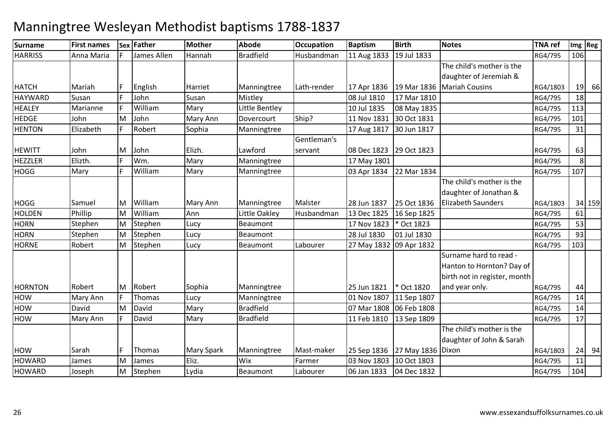| <b>Surname</b> | <b>First names</b> | Sex | Father      | <b>Mother</b>     | Abode            | Occupation  | <b>Baptism</b>          | <b>Birth</b>      | <b>Notes</b>                 | <b>TNA ref</b> | Img Reg        |        |
|----------------|--------------------|-----|-------------|-------------------|------------------|-------------|-------------------------|-------------------|------------------------------|----------------|----------------|--------|
| <b>HARRISS</b> | Anna Maria         |     | James Allen | Hannah            | <b>Bradfield</b> | Husbandman  | 11 Aug 1833             | 19 Jul 1833       |                              | RG4/795        | 106            |        |
|                |                    |     |             |                   |                  |             |                         |                   | The child's mother is the    |                |                |        |
|                |                    |     |             |                   |                  |             |                         |                   | daughter of Jeremiah &       |                |                |        |
| <b>HATCH</b>   | Mariah             |     | English     | Harriet           | Manningtree      | Lath-render | 17 Apr 1836             | 19 Mar 1836       | <b>Mariah Cousins</b>        | RG4/1803       |                | 19 66  |
| <b>HAYWARD</b> | Susan              |     | John        | Susan             | Mistley          |             | 08 Jul 1810             | 17 Mar 1810       |                              | RG4/795        | 18             |        |
| <b>HEALEY</b>  | Marianne           |     | William     | Mary              | Little Bentley   |             | 10 Jul 1835             | 08 May 1835       |                              | RG4/795        | 113            |        |
| <b>HEDGE</b>   | John               | M   | John        | Mary Ann          | Dovercourt       | Ship?       | 11 Nov 1831             | 30 Oct 1831       |                              | RG4/795        | 101            |        |
| <b>HENTON</b>  | Elizabeth          |     | Robert      | Sophia            | Manningtree      |             | 17 Aug 1817             | 30 Jun 1817       |                              | RG4/795        | 31             |        |
|                |                    |     |             |                   |                  | Gentleman's |                         |                   |                              |                |                |        |
| <b>HEWITT</b>  | John               | М   | John        | Elizh.            | Lawford          | servant     | 08 Dec 1823             | 29 Oct 1823       |                              | RG4/795        | 63             |        |
| <b>HEZZLER</b> | Elizth.            |     | Wm.         | Mary              | Manningtree      |             | 17 May 1801             |                   |                              | RG4/795        | 8 <sup>1</sup> |        |
| <b>HOGG</b>    | Mary               |     | William     | Mary              | Manningtree      |             | 03 Apr 1834             | 22 Mar 1834       |                              | RG4/795        | 107            |        |
|                |                    |     |             |                   |                  |             |                         |                   | The child's mother is the    |                |                |        |
|                |                    |     |             |                   |                  |             |                         |                   | daughter of Jonathan &       |                |                |        |
| <b>HOGG</b>    | Samuel             | M   | William     | Mary Ann          | Manningtree      | Malster     | 28 Jun 1837             | 25 Oct 1836       | <b>Elizabeth Saunders</b>    | RG4/1803       |                | 34 159 |
| <b>HOLDEN</b>  | Phillip            | M   | William     | Ann               | Little Oakley    | Husbandman  | 13 Dec 1825             | 16 Sep 1825       |                              | RG4/795        | 61             |        |
| <b>HORN</b>    | Stephen            | M   | Stephen     | Lucy              | Beaumont         |             | 17 Nov 1823             | * Oct 1823        |                              | RG4/795        | 53             |        |
| <b>HORN</b>    | Stephen            | M   | Stephen     | Lucy              | Beaumont         |             | 28 Jul 1830             | 01 Jul 1830       |                              | RG4/795        | 93             |        |
| <b>HORNE</b>   | Robert             | M   | Stephen     | Lucy              | Beaumont         | Labourer    | 27 May 1832 09 Apr 1832 |                   |                              | RG4/795        | 103            |        |
|                |                    |     |             |                   |                  |             |                         |                   | Surname hard to read -       |                |                |        |
|                |                    |     |             |                   |                  |             |                         |                   | Hanton to Hornton? Day of    |                |                |        |
|                |                    |     |             |                   |                  |             |                         |                   | birth not in register, month |                |                |        |
| <b>HORNTON</b> | Robert             | M   | Robert      | Sophia            | Manningtree      |             | 25 Jun 1821             | * Oct 1820        | and year only.               | RG4/795        | 44             |        |
| HOW            | Mary Ann           |     | Thomas      | Lucy              | Manningtree      |             | 01 Nov 1807             | 11 Sep 1807       |                              | RG4/795        | 14             |        |
| HOW            | David              | M   | David       | Mary              | <b>Bradfield</b> |             | 07 Mar 1808 06 Feb 1808 |                   |                              | RG4/795        | 14             |        |
| HOW            | Mary Ann           |     | David       | Mary              | <b>Bradfield</b> |             | 11 Feb 1810             | 13 Sep 1809       |                              | RG4/795        | 17             |        |
|                |                    |     |             |                   |                  |             |                         |                   | The child's mother is the    |                |                |        |
|                |                    |     |             |                   |                  |             |                         |                   | daughter of John & Sarah     |                |                |        |
| <b>HOW</b>     | Sarah              |     | Thomas      | <b>Mary Spark</b> | Manningtree      | Mast-maker  | 25 Sep 1836             | 27 May 1836 Dixon |                              | RG4/1803       | 24             | 94     |
| <b>HOWARD</b>  | James              | M   | James       | Eliz.             | Wix              | Farmer      | 03 Nov 1803             | 10 Oct 1803       |                              | RG4/795        | 11             |        |
| <b>HOWARD</b>  | Joseph             | M   | Stephen     | Lydia             | Beaumont         | Labourer    | 06 Jan 1833             | 04 Dec 1832       |                              | RG4/795        | 104            |        |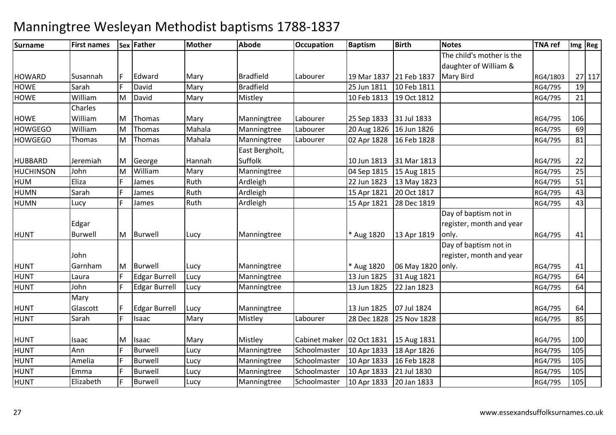| Surname          | <b>First names</b> |   | Sex Father           | <b>Mother</b> | <b>Abode</b>     | Occupation                  | <b>Baptism</b>          | <b>Birth</b> | <b>Notes</b>              | <b>TNA ref</b> |     | Img   Reg |
|------------------|--------------------|---|----------------------|---------------|------------------|-----------------------------|-------------------------|--------------|---------------------------|----------------|-----|-----------|
|                  |                    |   |                      |               |                  |                             |                         |              | The child's mother is the |                |     |           |
|                  |                    |   |                      |               |                  |                             |                         |              | daughter of William &     |                |     |           |
| <b>HOWARD</b>    | Susannah           |   | Edward               | Mary          | <b>Bradfield</b> | Labourer                    | 19 Mar 1837 21 Feb 1837 |              | Mary Bird                 | RG4/1803       |     | 27 117    |
| <b>HOWE</b>      | Sarah              |   | David                | Mary          | <b>Bradfield</b> |                             | 25 Jun 1811             | 10 Feb 1811  |                           | RG4/795        | 19  |           |
| <b>HOWE</b>      | William            | M | David                | Mary          | Mistley          |                             | 10 Feb 1813             | 19 Oct 1812  |                           | RG4/795        | 21  |           |
|                  | Charles            |   |                      |               |                  |                             |                         |              |                           |                |     |           |
| <b>HOWE</b>      | William            | M | Thomas               | Mary          | Manningtree      | Labourer                    | 25 Sep 1833             | 31 Jul 1833  |                           | RG4/795        | 106 |           |
| <b>HOWGEGO</b>   | William            | м | Thomas               | Mahala        | Manningtree      | Labourer                    | 20 Aug 1826             | 16 Jun 1826  |                           | RG4/795        | 69  |           |
| <b>HOWGEGO</b>   | Thomas             | M | Thomas               | Mahala        | Manningtree      | Labourer                    | 02 Apr 1828             | 16 Feb 1828  |                           | RG4/795        | 81  |           |
|                  |                    |   |                      |               | East Bergholt,   |                             |                         |              |                           |                |     |           |
| <b>HUBBARD</b>   | Jeremiah           | M | George               | Hannah        | Suffolk          |                             | 10 Jun 1813             | 31 Mar 1813  |                           | RG4/795        | 22  |           |
| <b>HUCHINSON</b> | John               | м | William              | Mary          | Manningtree      |                             | 04 Sep 1815             | 15 Aug 1815  |                           | RG4/795        | 25  |           |
| <b>HUM</b>       | Eliza              |   | James                | Ruth          | Ardleigh         |                             | 22 Jun 1823             | 13 May 1823  |                           | RG4/795        | 51  |           |
| <b>HUMN</b>      | Sarah              |   | James                | Ruth          | Ardleigh         |                             | 15 Apr 1821             | 20 Oct 1817  |                           | RG4/795        | 43  |           |
| <b>HUMN</b>      | Lucy               |   | James                | Ruth          | Ardleigh         |                             | 15 Apr 1821             | 28 Dec 1819  |                           | RG4/795        | 43  |           |
|                  |                    |   |                      |               |                  |                             |                         |              | Day of baptism not in     |                |     |           |
|                  | Edgar              |   |                      |               |                  |                             |                         |              | register, month and year  |                |     |           |
| <b>HUNT</b>      | <b>Burwell</b>     | M | Burwell              | Lucy          | Manningtree      |                             | * Aug 1820              | 13 Apr 1819  | only.                     | RG4/795        | 41  |           |
|                  |                    |   |                      |               |                  |                             |                         |              | Day of baptism not in     |                |     |           |
|                  | John               |   |                      |               |                  |                             |                         |              | register, month and year  |                |     |           |
| <b>HUNT</b>      | Garnham            | M | Burwell              | Lucy          | Manningtree      |                             | * Aug 1820              | 06 May 1820  | only.                     | RG4/795        | 41  |           |
| <b>HUNT</b>      | Laura              |   | <b>Edgar Burrell</b> | Lucy          | Manningtree      |                             | 13 Jun 1825             | 31 Aug 1821  |                           | RG4/795        | 64  |           |
| <b>HUNT</b>      | John               |   | <b>Edgar Burrell</b> | Lucy          | Manningtree      |                             | 13 Jun 1825             | 22 Jan 1823  |                           | RG4/795        | 64  |           |
|                  | Mary               |   |                      |               |                  |                             |                         |              |                           |                |     |           |
| <b>HUNT</b>      | Glascott           |   | <b>Edgar Burrell</b> | Lucy          | Manningtree      |                             | 13 Jun 1825             | 07 Jul 1824  |                           | RG4/795        | 64  |           |
| <b>HUNT</b>      | Sarah              |   | Isaac                | Mary          | Mistley          | Labourer                    | 28 Dec 1828             | 25 Nov 1828  |                           | RG4/795        | 85  |           |
|                  |                    |   |                      |               |                  |                             |                         |              |                           |                |     |           |
| <b>HUNT</b>      | Isaac              | M | Isaac                | Mary          | Mistley          | Cabinet maker   02 Oct 1831 |                         | 15 Aug 1831  |                           | RG4/795        | 100 |           |
| <b>HUNT</b>      | Ann                |   | <b>Burwell</b>       | Lucy          | Manningtree      | Schoolmaster                | 10 Apr 1833             | 18 Apr 1826  |                           | RG4/795        | 105 |           |
| <b>HUNT</b>      | Amelia             |   | <b>Burwell</b>       | Lucy          | Manningtree      | Schoolmaster                | 10 Apr 1833             | 16 Feb 1828  |                           | RG4/795        | 105 |           |
| <b>HUNT</b>      | Emma               |   | Burwell              | Lucy          | Manningtree      | Schoolmaster                | 10 Apr 1833             | 21 Jul 1830  |                           | RG4/795        | 105 |           |
| <b>HUNT</b>      | Elizabeth          |   | <b>Burwell</b>       | Lucy          | Manningtree      | Schoolmaster                | 10 Apr 1833             | 20 Jan 1833  |                           | RG4/795        | 105 |           |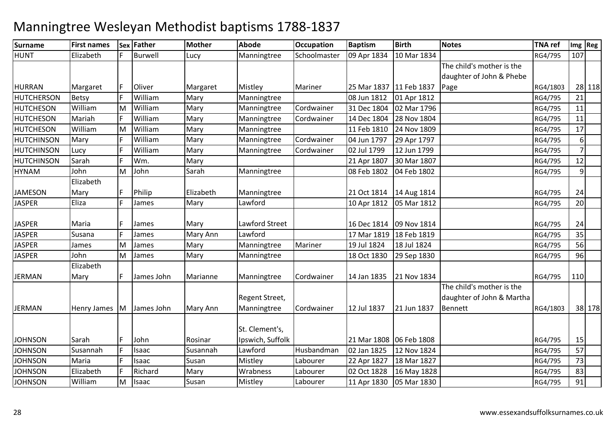### **Surname First names Sex Father Mother Abode OccupationOccupation Baptism**<br>**Schoolmaster** 09 Apr 1834 **Birth Notes TNA ref Img Reg** HUNT Elizabethh |F |Burwell | Lucy | Manningtree | Schoolmaster | 09 Apr 1834 | 10 Mar 1834 | RG4/795 | 107 HURRANMargaret F Oliver Margaret Mistley Mariner 25 Mar 1837 11 Feb 1837<br>Betsy F William Mary Manningtree 08 Jun 1812 01 Apr 1812 The child's mother is the daughter of John & Phebe PageRG4/1803 28 118<br>RG4/795 21 HUTCHERSONWilliam<br>William Mary Manningtree 08 Jun 1812 01 Apr 1812 RG4/795 <sup>21</sup> **HUTCHESON**  WilliamMariah MM William Mary Manningtree Cordwainer 31 Dec 1804 02 Mar 1796 RG4/795 11<br>E William Mary Mannisotres Cordwainer 44 Dec 1804 20 No. 4904 RG4 RG4/795 11 **HUTCHESON William**<br>William m Mary Manningtree Cordwainer 14 Dec 1804 28 Nov 1804 RG4/795 11<br>RG4/795 11 **HUTCHESON** William<br>Marv MM William Mary Manningtree 11 Feb 1810 24 Nov 1809 RG4/795 17<br>E William Mary Manningtree Cardwriter 04 1207 29 1 1707 HUTCHINSONMary F William<br>Lucy F William Mary Manningtree Cordwainer 04 Jun 1797 29 Apr 1797 RG4/795 6 7HUTCHINSONLucy F William<br>Sarah F Wm m Mary Manningtree Cordwainer 02 Jul 1799 12 Jun 1799 12 Manningtree RG4/795  $12$ HUTCHINSONN Sarah F Wm. Mary 121 Apr 1807 30 Mar 1807 20 Mar 1807 RG4/795 12 HYNAM John MM John Sarah Manningtree 08 Feb 1802 04 Feb 1802 1802 RG4/795 9**JAMESON** Elizabeth Maryy F F Philip **Elizabeth Manningtree 21 Oct 1814** 14 Aug 1814 4 RG4/795 24 JASPERR Eliza F James Mary Lawford 10 Apr 1812 05 Mar 1812 1998 RG4/795 20 JASPERR Maria F James Mary Lawford Street 16 Dec 1814 09 Nov 1814 16 Nov 1814 RG4/795 24 JASPERR Susana F James Mary Ann Lawford 17 Mar 1819 18 Feb 1819 18 RG4/795 35 **JASPER**  James MM James Mary Manningtree Mariner 19 Jul 1824 18 Jul 1824 RG4/795 56<br>Mariana Mary Manningtree Mariner 19 Jul 1824 18 Jul 1824 JASPER John MM James Mary Manningtree 1830 1830 29 Sep 1830 1880 1880 RG4/795 96 JERMANElizabeth Maryy F James John Marianne Manningtree Cordwainer 14 Jan 1835 21 Nov 1834| 21 Nov 1834 | RG4/795 | 110 JERMAN Henry James MJames John Mary Ann Regent Street, Manningtree Cordwainer | 12 Jul 1837 | 21 Jun 1837 The child's mother is the daughter of John & Martha Bennett RG4/1803 <sup>38</sup> <sup>178</sup>JOHNSONN Sarah F John Rosinar St. Clement's, Ipswich, Suffolk21 Mar 1808 06 Feb 1808<br>02 Jan 1825 12 Nov 1824 8 RG4/795 15 **JOHNSON** N Susannah F Isaac Susannah Lawford Husbandman 02 Jan 1825 12 Nov 1824 RG4/795 57 JOHNSON Maria <sup>F</sup> Isaac Susan Mistley Labourer 22 Apr 1827 18 Mar 1827 RG4/795 <sup>73</sup> JOHNSONN Elizabeth F Richard Mary Wrabness Labourer 02 Oct 1828 16 May 1828 RG4/795 83 JOHNSON WilliamMM |Isaac Susan Mistley |Labourer | 11 Apr 1830 | 05 Mar 1830 | Nissember 184/795 | 91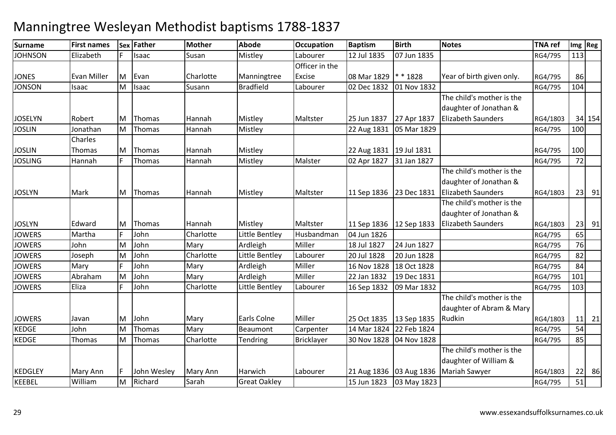| <b>Surname</b> | <b>First names</b> |   | Sex Father  | <b>Mother</b> | <b>Abode</b>        | <b>Occupation</b> | <b>Baptism</b>            | <b>Birth</b>              | <b>Notes</b>              | <b>TNA ref</b> |     | Img Reg   |
|----------------|--------------------|---|-------------|---------------|---------------------|-------------------|---------------------------|---------------------------|---------------------------|----------------|-----|-----------|
| <b>JOHNSON</b> | Elizabeth          |   | Isaac       | Susan         | Mistley             | Labourer          | 12 Jul 1835               | 07 Jun 1835               |                           | RG4/795        | 113 |           |
|                |                    |   |             |               |                     | Officer in the    |                           |                           |                           |                |     |           |
| <b>JONES</b>   | <b>Evan Miller</b> | M | Evan        | Charlotte     | Manningtree         | Excise            | 08 Mar 1829               | $*1828$                   | Year of birth given only. | RG4/795        | 86  |           |
| <b>JONSON</b>  | Isaac              | м | Isaac       | Susann        | <b>Bradfield</b>    | Labourer          | 02 Dec 1832               | 01 Nov 1832               |                           | RG4/795        | 104 |           |
|                |                    |   |             |               |                     |                   |                           |                           | The child's mother is the |                |     |           |
|                |                    |   |             |               |                     |                   |                           |                           | daughter of Jonathan &    |                |     |           |
| <b>JOSELYN</b> | Robert             | М | Thomas      | Hannah        | Mistley             | Maltster          | 25 Jun 1837               | 27 Apr 1837               | <b>Elizabeth Saunders</b> | RG4/1803       |     | 34 154    |
| <b>JOSLIN</b>  | Jonathan           | M | Thomas      | Hannah        | Mistley             |                   | 22 Aug 1831               | 05 Mar 1829               |                           | RG4/795        | 100 |           |
|                | Charles            |   |             |               |                     |                   |                           |                           |                           |                |     |           |
| <b>JOSLIN</b>  | Thomas             | M | Thomas      | Hannah        | Mistley             |                   | 22 Aug 1831   19 Jul 1831 |                           |                           | RG4/795        | 100 |           |
| <b>JOSLING</b> | Hannah             |   | Thomas      | Hannah        | Mistley             | Malster           | 02 Apr 1827               | 31 Jan 1827               |                           | RG4/795        | 72  |           |
|                |                    |   |             |               |                     |                   |                           |                           | The child's mother is the |                |     |           |
|                |                    |   |             |               |                     |                   |                           |                           | daughter of Jonathan &    |                |     |           |
| <b>JOSLYN</b>  | Mark               | M | Thomas      | Hannah        | Mistley             | Maltster          | 11 Sep 1836 23 Dec 1831   |                           | <b>Elizabeth Saunders</b> | RG4/1803       |     | $23$ 91   |
|                |                    |   |             |               |                     |                   |                           |                           | The child's mother is the |                |     |           |
|                |                    |   |             |               |                     |                   |                           |                           | daughter of Jonathan &    |                |     |           |
| <b>JOSLYN</b>  | Edward             | M | Thomas      | Hannah        | Mistley             | Maltster          | 11 Sep 1836 12 Sep 1833   |                           | <b>Elizabeth Saunders</b> | RG4/1803       |     | $23$ 91   |
| <b>JOWERS</b>  | Martha             |   | John        | Charlotte     | Little Bentley      | Husbandman        | 04 Jun 1826               |                           |                           | RG4/795        | 65  |           |
| <b>JOWERS</b>  | John               | M | John        | Mary          | Ardleigh            | Miller            | 18 Jul 1827               | 24 Jun 1827               |                           | RG4/795        | 76  |           |
| <b>JOWERS</b>  | Joseph             | М | John        | Charlotte     | Little Bentley      | Labourer          | 20 Jul 1828               | 20 Jun 1828               |                           | RG4/795        | 82  |           |
| <b>JOWERS</b>  | Mary               |   | John        | Mary          | Ardleigh            | Miller            | 16 Nov 1828               | 18 Oct 1828               |                           | RG4/795        | 84  |           |
| <b>JOWERS</b>  | Abraham            | M | John        | Mary          | Ardleigh            | Miller            | 22 Jan 1832               | 19 Dec 1831               |                           | RG4/795        | 101 |           |
| <b>JOWERS</b>  | Eliza              |   | John        | Charlotte     | Little Bentley      | Labourer          | 16 Sep 1832               | 09 Mar 1832               |                           | RG4/795        | 103 |           |
|                |                    |   |             |               |                     |                   |                           |                           | The child's mother is the |                |     |           |
|                |                    |   |             |               |                     |                   |                           |                           | daughter of Abram & Mary  |                |     |           |
| <b>JOWERS</b>  | Javan              | M | John        | Mary          | Earls Colne         | Miller            | 25 Oct 1835               | 13 Sep 1835               | Rudkin                    | RG4/1803       |     | $11 \ 21$ |
| <b>KEDGE</b>   | John               | M | Thomas      | Mary          | Beaumont            | Carpenter         | 14 Mar 1824               | 22 Feb 1824               |                           | RG4/795        | 54  |           |
| <b>KEDGE</b>   | Thomas             | M | Thomas      | Charlotte     | Tendring            | <b>Bricklayer</b> | 30 Nov 1828               | 04 Nov 1828               |                           | RG4/795        | 85  |           |
|                |                    |   |             |               |                     |                   |                           |                           | The child's mother is the |                |     |           |
|                |                    |   |             |               |                     |                   |                           |                           | daughter of William &     |                |     |           |
| <b>KEDGLEY</b> | Mary Ann           |   | John Wesley | Mary Ann      | Harwich             | Labourer          |                           | 21 Aug 1836   03 Aug 1836 | <b>Mariah Sawyer</b>      | RG4/1803       | 22  | 86        |
| <b>KEEBEL</b>  | William            | M | Richard     | Sarah         | <b>Great Oakley</b> |                   | 15 Jun 1823               | 03 May 1823               |                           | RG4/795        | 51  |           |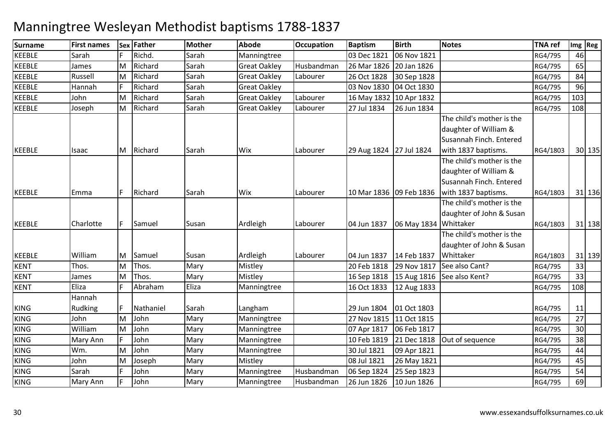| Richd.<br>Sarah<br>F.<br>Sarah<br>Manningtree<br>06 Nov 1821<br>03 Dec 1821<br>RG4/795<br>46<br>Sarah<br>Husbandman<br>65<br>Richard<br><b>Great Oakley</b><br>James<br>M<br>26 Mar 1826<br>20 Jan 1826<br>RG4/795<br>84<br>Russell<br>Richard<br>Sarah<br><b>Great Oakley</b><br>26 Oct 1828<br>30 Sep 1828<br>RG4/795<br>M<br>Labourer<br>96<br>Richard<br>Sarah<br><b>KEEBLE</b><br>Hannah<br><b>Great Oakley</b><br>03 Nov 1830<br>04 Oct 1830<br>RG4/795<br>103<br>John<br>M<br>Richard<br>Sarah<br><b>Great Oakley</b><br>Labourer<br>16 May 1832 10 Apr 1832<br>RG4/795<br>Sarah<br>Richard<br>27 Jul 1834<br>108<br>Joseph<br>M<br><b>Great Oakley</b><br>Labourer<br>26 Jun 1834<br>RG4/795<br>The child's mother is the<br>daughter of William &<br>Susannah Finch. Entered<br>Richard<br>29 Aug 1824 27 Jul 1824<br>with 1837 baptisms.<br>Sarah<br>Wix<br>Labourer<br>RG4/1803<br>30 135<br>M<br>Isaac<br>The child's mother is the<br>daughter of William &<br>Susannah Finch. Entered<br>Richard<br>with 1837 baptisms.<br>F<br>Sarah<br>Wix<br>Labourer<br>10 Mar 1836 09 Feb 1836<br>31 136<br>Emma<br>RG4/1803<br>The child's mother is the<br>daughter of John & Susan<br>Samuel<br>Ardleigh<br>06 May 1834 Whittaker<br>Charlotte<br>F.<br>Susan<br>Labourer<br>04 Jun 1837<br>RG4/1803<br>31 138<br>The child's mother is the<br>daughter of John & Susan<br>William<br>Ardleigh<br>14 Feb 1837<br>Whittaker<br>Susan<br>Labourer<br>04 Jun 1837<br>31 139<br>M<br>Samuel<br>RG4/1803<br>Thos.<br>Thos.<br>Mary<br>Mistley<br>See also Cant?<br>M<br>20 Feb 1818<br>29 Nov 1817<br>33<br>RG4/795<br>Thos.<br>Mary<br>Mistley<br>33<br>M<br>15 Aug 1816 See also Kent?<br>James<br>16 Sep 1818<br>RG4/795<br>Eliza<br>Eliza<br>108<br>Abraham<br>16 Oct 1833<br>Manningtree<br>12 Aug 1833<br>RG4/795<br>Hannah<br>Rudking<br>Nathaniel<br>01 Oct 1803<br>11<br>F.<br>Sarah<br>Langham<br>29 Jun 1804<br>RG4/795<br>John<br>Mary<br>27<br>M<br>John<br>Manningtree<br>27 Nov 1815 11 Oct 1815<br>RG4/795<br>30<br>William<br>John<br>M<br>Mary<br>Manningtree<br>07 Apr 1817<br>06 Feb 1817<br>RG4/795<br><b>KING</b><br>John<br>38<br>Mary<br>Out of sequence<br>Mary Ann<br>Manningtree<br>10 Feb 1819<br>21 Dec 1818<br>RG4/795<br>John<br>44<br>Wm.<br>M<br>Mary<br>30 Jul 1821<br>09 Apr 1821<br>Manningtree<br>RG4/795<br>45<br>Mary<br>Mistley<br>08 Jul 1821<br>John<br>M<br>Joseph<br>26 May 1821<br>RG4/795<br>Sarah<br>John<br>54<br>Husbandman<br>Mary<br>Manningtree<br>06 Sep 1824<br>25 Sep 1823<br>RG4/795<br>69<br>John<br>Mary<br>Husbandman<br>26 Jun 1826<br>10 Jun 1826<br>Mary Ann<br>Manningtree<br>RG4/795 | Surname       | <b>First names</b> | Sex | <b>Father</b> | Mother | <b>Abode</b> | <b>Occupation</b> | <b>Baptism</b> | <b>Birth</b> | <b>Notes</b> | <b>TNA ref</b> | Img Reg |
|-------------------------------------------------------------------------------------------------------------------------------------------------------------------------------------------------------------------------------------------------------------------------------------------------------------------------------------------------------------------------------------------------------------------------------------------------------------------------------------------------------------------------------------------------------------------------------------------------------------------------------------------------------------------------------------------------------------------------------------------------------------------------------------------------------------------------------------------------------------------------------------------------------------------------------------------------------------------------------------------------------------------------------------------------------------------------------------------------------------------------------------------------------------------------------------------------------------------------------------------------------------------------------------------------------------------------------------------------------------------------------------------------------------------------------------------------------------------------------------------------------------------------------------------------------------------------------------------------------------------------------------------------------------------------------------------------------------------------------------------------------------------------------------------------------------------------------------------------------------------------------------------------------------------------------------------------------------------------------------------------------------------------------------------------------------------------------------------------------------------------------------------------------------------------------------------------------------------------------------------------------------------------------------------------------------------------------------------------------------------------------------------------------------------------------------------------------------------------------------------------------------------------------------------------------------------------------------------------------------------------------------------------------|---------------|--------------------|-----|---------------|--------|--------------|-------------------|----------------|--------------|--------------|----------------|---------|
|                                                                                                                                                                                                                                                                                                                                                                                                                                                                                                                                                                                                                                                                                                                                                                                                                                                                                                                                                                                                                                                                                                                                                                                                                                                                                                                                                                                                                                                                                                                                                                                                                                                                                                                                                                                                                                                                                                                                                                                                                                                                                                                                                                                                                                                                                                                                                                                                                                                                                                                                                                                                                                                       | <b>KEEBLE</b> |                    |     |               |        |              |                   |                |              |              |                |         |
|                                                                                                                                                                                                                                                                                                                                                                                                                                                                                                                                                                                                                                                                                                                                                                                                                                                                                                                                                                                                                                                                                                                                                                                                                                                                                                                                                                                                                                                                                                                                                                                                                                                                                                                                                                                                                                                                                                                                                                                                                                                                                                                                                                                                                                                                                                                                                                                                                                                                                                                                                                                                                                                       | <b>KEEBLE</b> |                    |     |               |        |              |                   |                |              |              |                |         |
|                                                                                                                                                                                                                                                                                                                                                                                                                                                                                                                                                                                                                                                                                                                                                                                                                                                                                                                                                                                                                                                                                                                                                                                                                                                                                                                                                                                                                                                                                                                                                                                                                                                                                                                                                                                                                                                                                                                                                                                                                                                                                                                                                                                                                                                                                                                                                                                                                                                                                                                                                                                                                                                       | <b>KEEBLE</b> |                    |     |               |        |              |                   |                |              |              |                |         |
|                                                                                                                                                                                                                                                                                                                                                                                                                                                                                                                                                                                                                                                                                                                                                                                                                                                                                                                                                                                                                                                                                                                                                                                                                                                                                                                                                                                                                                                                                                                                                                                                                                                                                                                                                                                                                                                                                                                                                                                                                                                                                                                                                                                                                                                                                                                                                                                                                                                                                                                                                                                                                                                       |               |                    |     |               |        |              |                   |                |              |              |                |         |
|                                                                                                                                                                                                                                                                                                                                                                                                                                                                                                                                                                                                                                                                                                                                                                                                                                                                                                                                                                                                                                                                                                                                                                                                                                                                                                                                                                                                                                                                                                                                                                                                                                                                                                                                                                                                                                                                                                                                                                                                                                                                                                                                                                                                                                                                                                                                                                                                                                                                                                                                                                                                                                                       | <b>KEEBLE</b> |                    |     |               |        |              |                   |                |              |              |                |         |
|                                                                                                                                                                                                                                                                                                                                                                                                                                                                                                                                                                                                                                                                                                                                                                                                                                                                                                                                                                                                                                                                                                                                                                                                                                                                                                                                                                                                                                                                                                                                                                                                                                                                                                                                                                                                                                                                                                                                                                                                                                                                                                                                                                                                                                                                                                                                                                                                                                                                                                                                                                                                                                                       | <b>KEEBLE</b> |                    |     |               |        |              |                   |                |              |              |                |         |
|                                                                                                                                                                                                                                                                                                                                                                                                                                                                                                                                                                                                                                                                                                                                                                                                                                                                                                                                                                                                                                                                                                                                                                                                                                                                                                                                                                                                                                                                                                                                                                                                                                                                                                                                                                                                                                                                                                                                                                                                                                                                                                                                                                                                                                                                                                                                                                                                                                                                                                                                                                                                                                                       |               |                    |     |               |        |              |                   |                |              |              |                |         |
|                                                                                                                                                                                                                                                                                                                                                                                                                                                                                                                                                                                                                                                                                                                                                                                                                                                                                                                                                                                                                                                                                                                                                                                                                                                                                                                                                                                                                                                                                                                                                                                                                                                                                                                                                                                                                                                                                                                                                                                                                                                                                                                                                                                                                                                                                                                                                                                                                                                                                                                                                                                                                                                       |               |                    |     |               |        |              |                   |                |              |              |                |         |
|                                                                                                                                                                                                                                                                                                                                                                                                                                                                                                                                                                                                                                                                                                                                                                                                                                                                                                                                                                                                                                                                                                                                                                                                                                                                                                                                                                                                                                                                                                                                                                                                                                                                                                                                                                                                                                                                                                                                                                                                                                                                                                                                                                                                                                                                                                                                                                                                                                                                                                                                                                                                                                                       |               |                    |     |               |        |              |                   |                |              |              |                |         |
|                                                                                                                                                                                                                                                                                                                                                                                                                                                                                                                                                                                                                                                                                                                                                                                                                                                                                                                                                                                                                                                                                                                                                                                                                                                                                                                                                                                                                                                                                                                                                                                                                                                                                                                                                                                                                                                                                                                                                                                                                                                                                                                                                                                                                                                                                                                                                                                                                                                                                                                                                                                                                                                       | <b>KEEBLE</b> |                    |     |               |        |              |                   |                |              |              |                |         |
|                                                                                                                                                                                                                                                                                                                                                                                                                                                                                                                                                                                                                                                                                                                                                                                                                                                                                                                                                                                                                                                                                                                                                                                                                                                                                                                                                                                                                                                                                                                                                                                                                                                                                                                                                                                                                                                                                                                                                                                                                                                                                                                                                                                                                                                                                                                                                                                                                                                                                                                                                                                                                                                       |               |                    |     |               |        |              |                   |                |              |              |                |         |
|                                                                                                                                                                                                                                                                                                                                                                                                                                                                                                                                                                                                                                                                                                                                                                                                                                                                                                                                                                                                                                                                                                                                                                                                                                                                                                                                                                                                                                                                                                                                                                                                                                                                                                                                                                                                                                                                                                                                                                                                                                                                                                                                                                                                                                                                                                                                                                                                                                                                                                                                                                                                                                                       |               |                    |     |               |        |              |                   |                |              |              |                |         |
|                                                                                                                                                                                                                                                                                                                                                                                                                                                                                                                                                                                                                                                                                                                                                                                                                                                                                                                                                                                                                                                                                                                                                                                                                                                                                                                                                                                                                                                                                                                                                                                                                                                                                                                                                                                                                                                                                                                                                                                                                                                                                                                                                                                                                                                                                                                                                                                                                                                                                                                                                                                                                                                       |               |                    |     |               |        |              |                   |                |              |              |                |         |
|                                                                                                                                                                                                                                                                                                                                                                                                                                                                                                                                                                                                                                                                                                                                                                                                                                                                                                                                                                                                                                                                                                                                                                                                                                                                                                                                                                                                                                                                                                                                                                                                                                                                                                                                                                                                                                                                                                                                                                                                                                                                                                                                                                                                                                                                                                                                                                                                                                                                                                                                                                                                                                                       | <b>KEEBLE</b> |                    |     |               |        |              |                   |                |              |              |                |         |
|                                                                                                                                                                                                                                                                                                                                                                                                                                                                                                                                                                                                                                                                                                                                                                                                                                                                                                                                                                                                                                                                                                                                                                                                                                                                                                                                                                                                                                                                                                                                                                                                                                                                                                                                                                                                                                                                                                                                                                                                                                                                                                                                                                                                                                                                                                                                                                                                                                                                                                                                                                                                                                                       |               |                    |     |               |        |              |                   |                |              |              |                |         |
|                                                                                                                                                                                                                                                                                                                                                                                                                                                                                                                                                                                                                                                                                                                                                                                                                                                                                                                                                                                                                                                                                                                                                                                                                                                                                                                                                                                                                                                                                                                                                                                                                                                                                                                                                                                                                                                                                                                                                                                                                                                                                                                                                                                                                                                                                                                                                                                                                                                                                                                                                                                                                                                       |               |                    |     |               |        |              |                   |                |              |              |                |         |
|                                                                                                                                                                                                                                                                                                                                                                                                                                                                                                                                                                                                                                                                                                                                                                                                                                                                                                                                                                                                                                                                                                                                                                                                                                                                                                                                                                                                                                                                                                                                                                                                                                                                                                                                                                                                                                                                                                                                                                                                                                                                                                                                                                                                                                                                                                                                                                                                                                                                                                                                                                                                                                                       | <b>KEEBLE</b> |                    |     |               |        |              |                   |                |              |              |                |         |
|                                                                                                                                                                                                                                                                                                                                                                                                                                                                                                                                                                                                                                                                                                                                                                                                                                                                                                                                                                                                                                                                                                                                                                                                                                                                                                                                                                                                                                                                                                                                                                                                                                                                                                                                                                                                                                                                                                                                                                                                                                                                                                                                                                                                                                                                                                                                                                                                                                                                                                                                                                                                                                                       |               |                    |     |               |        |              |                   |                |              |              |                |         |
|                                                                                                                                                                                                                                                                                                                                                                                                                                                                                                                                                                                                                                                                                                                                                                                                                                                                                                                                                                                                                                                                                                                                                                                                                                                                                                                                                                                                                                                                                                                                                                                                                                                                                                                                                                                                                                                                                                                                                                                                                                                                                                                                                                                                                                                                                                                                                                                                                                                                                                                                                                                                                                                       |               |                    |     |               |        |              |                   |                |              |              |                |         |
|                                                                                                                                                                                                                                                                                                                                                                                                                                                                                                                                                                                                                                                                                                                                                                                                                                                                                                                                                                                                                                                                                                                                                                                                                                                                                                                                                                                                                                                                                                                                                                                                                                                                                                                                                                                                                                                                                                                                                                                                                                                                                                                                                                                                                                                                                                                                                                                                                                                                                                                                                                                                                                                       | <b>KEEBLE</b> |                    |     |               |        |              |                   |                |              |              |                |         |
|                                                                                                                                                                                                                                                                                                                                                                                                                                                                                                                                                                                                                                                                                                                                                                                                                                                                                                                                                                                                                                                                                                                                                                                                                                                                                                                                                                                                                                                                                                                                                                                                                                                                                                                                                                                                                                                                                                                                                                                                                                                                                                                                                                                                                                                                                                                                                                                                                                                                                                                                                                                                                                                       | <b>KENT</b>   |                    |     |               |        |              |                   |                |              |              |                |         |
|                                                                                                                                                                                                                                                                                                                                                                                                                                                                                                                                                                                                                                                                                                                                                                                                                                                                                                                                                                                                                                                                                                                                                                                                                                                                                                                                                                                                                                                                                                                                                                                                                                                                                                                                                                                                                                                                                                                                                                                                                                                                                                                                                                                                                                                                                                                                                                                                                                                                                                                                                                                                                                                       | <b>KENT</b>   |                    |     |               |        |              |                   |                |              |              |                |         |
|                                                                                                                                                                                                                                                                                                                                                                                                                                                                                                                                                                                                                                                                                                                                                                                                                                                                                                                                                                                                                                                                                                                                                                                                                                                                                                                                                                                                                                                                                                                                                                                                                                                                                                                                                                                                                                                                                                                                                                                                                                                                                                                                                                                                                                                                                                                                                                                                                                                                                                                                                                                                                                                       | <b>KENT</b>   |                    |     |               |        |              |                   |                |              |              |                |         |
|                                                                                                                                                                                                                                                                                                                                                                                                                                                                                                                                                                                                                                                                                                                                                                                                                                                                                                                                                                                                                                                                                                                                                                                                                                                                                                                                                                                                                                                                                                                                                                                                                                                                                                                                                                                                                                                                                                                                                                                                                                                                                                                                                                                                                                                                                                                                                                                                                                                                                                                                                                                                                                                       |               |                    |     |               |        |              |                   |                |              |              |                |         |
|                                                                                                                                                                                                                                                                                                                                                                                                                                                                                                                                                                                                                                                                                                                                                                                                                                                                                                                                                                                                                                                                                                                                                                                                                                                                                                                                                                                                                                                                                                                                                                                                                                                                                                                                                                                                                                                                                                                                                                                                                                                                                                                                                                                                                                                                                                                                                                                                                                                                                                                                                                                                                                                       | <b>KING</b>   |                    |     |               |        |              |                   |                |              |              |                |         |
|                                                                                                                                                                                                                                                                                                                                                                                                                                                                                                                                                                                                                                                                                                                                                                                                                                                                                                                                                                                                                                                                                                                                                                                                                                                                                                                                                                                                                                                                                                                                                                                                                                                                                                                                                                                                                                                                                                                                                                                                                                                                                                                                                                                                                                                                                                                                                                                                                                                                                                                                                                                                                                                       | <b>KING</b>   |                    |     |               |        |              |                   |                |              |              |                |         |
|                                                                                                                                                                                                                                                                                                                                                                                                                                                                                                                                                                                                                                                                                                                                                                                                                                                                                                                                                                                                                                                                                                                                                                                                                                                                                                                                                                                                                                                                                                                                                                                                                                                                                                                                                                                                                                                                                                                                                                                                                                                                                                                                                                                                                                                                                                                                                                                                                                                                                                                                                                                                                                                       | <b>KING</b>   |                    |     |               |        |              |                   |                |              |              |                |         |
|                                                                                                                                                                                                                                                                                                                                                                                                                                                                                                                                                                                                                                                                                                                                                                                                                                                                                                                                                                                                                                                                                                                                                                                                                                                                                                                                                                                                                                                                                                                                                                                                                                                                                                                                                                                                                                                                                                                                                                                                                                                                                                                                                                                                                                                                                                                                                                                                                                                                                                                                                                                                                                                       |               |                    |     |               |        |              |                   |                |              |              |                |         |
|                                                                                                                                                                                                                                                                                                                                                                                                                                                                                                                                                                                                                                                                                                                                                                                                                                                                                                                                                                                                                                                                                                                                                                                                                                                                                                                                                                                                                                                                                                                                                                                                                                                                                                                                                                                                                                                                                                                                                                                                                                                                                                                                                                                                                                                                                                                                                                                                                                                                                                                                                                                                                                                       | <b>KING</b>   |                    |     |               |        |              |                   |                |              |              |                |         |
|                                                                                                                                                                                                                                                                                                                                                                                                                                                                                                                                                                                                                                                                                                                                                                                                                                                                                                                                                                                                                                                                                                                                                                                                                                                                                                                                                                                                                                                                                                                                                                                                                                                                                                                                                                                                                                                                                                                                                                                                                                                                                                                                                                                                                                                                                                                                                                                                                                                                                                                                                                                                                                                       | <b>KING</b>   |                    |     |               |        |              |                   |                |              |              |                |         |
|                                                                                                                                                                                                                                                                                                                                                                                                                                                                                                                                                                                                                                                                                                                                                                                                                                                                                                                                                                                                                                                                                                                                                                                                                                                                                                                                                                                                                                                                                                                                                                                                                                                                                                                                                                                                                                                                                                                                                                                                                                                                                                                                                                                                                                                                                                                                                                                                                                                                                                                                                                                                                                                       | <b>KING</b>   |                    |     |               |        |              |                   |                |              |              |                |         |
|                                                                                                                                                                                                                                                                                                                                                                                                                                                                                                                                                                                                                                                                                                                                                                                                                                                                                                                                                                                                                                                                                                                                                                                                                                                                                                                                                                                                                                                                                                                                                                                                                                                                                                                                                                                                                                                                                                                                                                                                                                                                                                                                                                                                                                                                                                                                                                                                                                                                                                                                                                                                                                                       | <b>KING</b>   |                    |     |               |        |              |                   |                |              |              |                |         |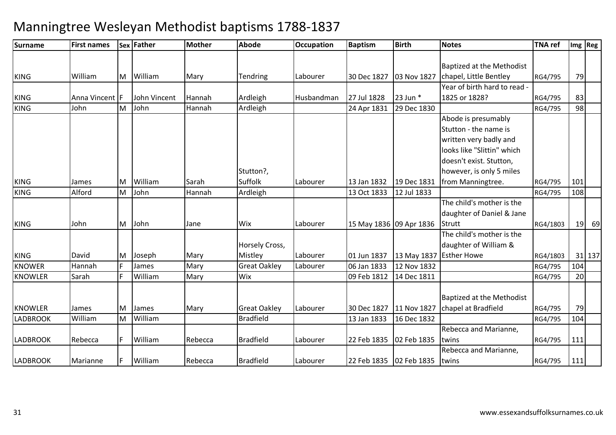### **Surname First names Sex Father Mother Abode OccupationDccupation** Baptism **Birth Notes TNA ref Img Reg** KING WilliamM William Mary Tendring Labourer 30 Dec 1827 03 Nov 1827 Baptized at the Methodist chapel, Little Bentley RG4/795 <sup>79</sup>KING Anna Vincent <sup>F</sup> John Vincent Hannah Ardleigh Husbandman 27 Jul 1828 23 Jun \* Year of birth hard to read - 1825 or 1828? RG4/795RG4/795 83<br>RG4/795 98 98 KING John MM John 1989 Hannah Ardleigh 24 Apr 1831 29 Dec 1830 RG4/795 98 KING James MWilliam Sarah<br>John Hannah Stutton?. Suffolk Labourer 13 Jan 1832 19 Dec 1831<br>Ardleigh 13 Oct 1833 12 Jul 1833 12 Jul 1833 Abode is presumably Stutton - the name is written very badly and looks like "Slittin" which doesn't exist. Stutton, however, is only 5 miles from Manningtree. RG4/795 <sup>101</sup>108 KING Alford MM John 13 Hannah Ardleigh 13 Oct 1833 12 Jul 1833 RG4/795 108<br>13 Oct 1833 12 Jul 1833 RG4/795 RG4/795 RG4/795 RG4/795 RG4/795 RG4/795 RG4/795 RG4/795 RG4/795 RG4/795 RG4/79 KING John M John Jane Wix Labourer 15 May 1836 09 Apr 1836 The child's mother is the daughter of Daniel & Jane **Strutt**  RG4/1803 <sup>19</sup> <sup>69</sup>KINGDavid<br>Hannah M**Joseph Mary**<br>James Mary Horsely Cross, Mistley 1.1 Labourer 101 Jun 1837 13 May 1837 Esther Howe 12 Nov 1832 The child's mother is the daughter of William & RG4/1803 31 137 KNOWERR Hannah F James Mary Great Oakley Labourer 06 Jan 1833 12 Nov 1832 RG4/795 104 KNOWLERSarah **IF** William m Mary Wix 09 Feb 1812 14 Dec 1811 RG4/795 20 KNOWLER James M James Mary Great Oakley Labourer 30 Dec 1827 11 Nov 1827 Baptized at the Methodist chapel at Bradfield RG4/795 <sup>79</sup>104 LADBROOK WilliamMM William Bradfield 13 Jan 1833 16 Dec 1832 RG4/795 104 LADBROOK Rebecca <sup>F</sup> William Rebecca Bradfield Labourer 22 Feb 1835 02 Feb 1835 Rebecca and Marianne, twins RG4/795 <sup>111</sup>LADBROOKK |Marianne |F |William |Rebecca |Bradfield |Labourer |22 Feb 1835 |02 Feb 1835 Rebecca and Marianne, twins RG4/795<sup>111</sup>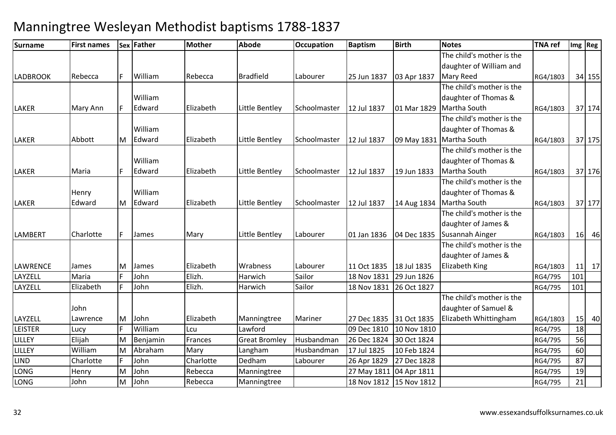| <b>Surname</b>  | <b>First names</b> |    | Sex Father | <b>Mother</b> | <b>Abode</b>         | <b>Occupation</b> | <b>Baptism</b>          | <b>Birth</b> | <b>Notes</b>              | <b>TNA ref</b> |     | Img Reg |
|-----------------|--------------------|----|------------|---------------|----------------------|-------------------|-------------------------|--------------|---------------------------|----------------|-----|---------|
|                 |                    |    |            |               |                      |                   |                         |              | The child's mother is the |                |     |         |
|                 |                    |    |            |               |                      |                   |                         |              | daughter of William and   |                |     |         |
| <b>LADBROOK</b> | Rebecca            | F. | William    | Rebecca       | Bradfield            | Labourer          | 25 Jun 1837             | 03 Apr 1837  | <b>Mary Reed</b>          | RG4/1803       |     | 34 155  |
|                 |                    |    |            |               |                      |                   |                         |              | The child's mother is the |                |     |         |
|                 |                    |    | William    |               |                      |                   |                         |              | daughter of Thomas &      |                |     |         |
| <b>LAKER</b>    | Mary Ann           |    | Edward     | Elizabeth     | Little Bentley       | Schoolmaster      | 12 Jul 1837             | 01 Mar 1829  | Martha South              | RG4/1803       |     | 37 174  |
|                 |                    |    |            |               |                      |                   |                         |              | The child's mother is the |                |     |         |
|                 |                    |    | William    |               |                      |                   |                         |              | daughter of Thomas &      |                |     |         |
| <b>LAKER</b>    | Abbott             | M  | Edward     | Elizabeth     | Little Bentley       | Schoolmaster      | 12 Jul 1837             | 09 May 1831  | Martha South              | RG4/1803       |     | 37 175  |
|                 |                    |    |            |               |                      |                   |                         |              | The child's mother is the |                |     |         |
|                 |                    |    | William    |               |                      |                   |                         |              | daughter of Thomas &      |                |     |         |
| <b>LAKER</b>    | Maria              |    | Edward     | Elizabeth     | Little Bentley       | Schoolmaster      | 12 Jul 1837             | 19 Jun 1833  | Martha South              | RG4/1803       |     | 37 176  |
|                 |                    |    |            |               |                      |                   |                         |              | The child's mother is the |                |     |         |
|                 | Henry              |    | William    |               |                      |                   |                         |              | daughter of Thomas &      |                |     |         |
| <b>LAKER</b>    | Edward             | M  | Edward     | Elizabeth     | Little Bentley       | Schoolmaster      | 12 Jul 1837             | 14 Aug 1834  | Martha South              | RG4/1803       |     | 37 177  |
|                 |                    |    |            |               |                      |                   |                         |              | The child's mother is the |                |     |         |
|                 |                    |    |            |               |                      |                   |                         |              | daughter of James &       |                |     |         |
| <b>LAMBERT</b>  | Charlotte          |    | James      | Mary          | Little Bentley       | Labourer          | 01 Jan 1836             | 04 Dec 1835  | Susannah Ainger           | RG4/1803       |     | 16 46   |
|                 |                    |    |            |               |                      |                   |                         |              | The child's mother is the |                |     |         |
|                 |                    |    |            |               |                      |                   |                         |              | daughter of James &       |                |     |         |
| <b>LAWRENCE</b> | James              | M  | James      | Elizabeth     | Wrabness             | Labourer          | 11 Oct 1835             | 18 Jul 1835  | Elizabeth King            | RG4/1803       | 11  | 17      |
| LAYZELL         | Maria              |    | John       | Elizh.        | Harwich              | Sailor            | 18 Nov 1831             | 29 Jun 1826  |                           | RG4/795        | 101 |         |
| LAYZELL         | Elizabeth          | F  | John       | Elizh.        | Harwich              | Sailor            | 18 Nov 1831             | 26 Oct 1827  |                           | RG4/795        | 101 |         |
|                 |                    |    |            |               |                      |                   |                         |              | The child's mother is the |                |     |         |
|                 | John               |    |            |               |                      |                   |                         |              | daughter of Samuel &      |                |     |         |
| LAYZELL         | Lawrence           | M  | John       | Elizabeth     | Manningtree          | Mariner           | 27 Dec 1835 31 Oct 1835 |              | Elizabeth Whittingham     | RG4/1803       |     | $15$ 40 |
| <b>LEISTER</b>  | Lucy               |    | William    | Lcu           | Lawford              |                   | 09 Dec 1810             | 10 Nov 1810  |                           | RG4/795        | 18  |         |
| LILLEY          | Elijah             | M  | Benjamin   | Frances       | <b>Great Bromley</b> | Husbandman        | 26 Dec 1824             | 30 Oct 1824  |                           | RG4/795        | 56  |         |
| LILLEY          | William            | M  | Abraham    | Mary          | Langham              | Husbandman        | 17 Jul 1825             | 10 Feb 1824  |                           | RG4/795        | 60  |         |
| <b>LIND</b>     | Charlotte          |    | John       | Charlotte     | Dedham               | Labourer          | 26 Apr 1829             | 27 Dec 1828  |                           | RG4/795        | 87  |         |
| LONG            | Henry              | M  | John       | Rebecca       | Manningtree          |                   | 27 May 1811 04 Apr 1811 |              |                           | RG4/795        | 19  |         |
| LONG            | John               | м  | John       | Rebecca       | Manningtree          |                   | 18 Nov 1812             | 15 Nov 1812  |                           | RG4/795        | 21  |         |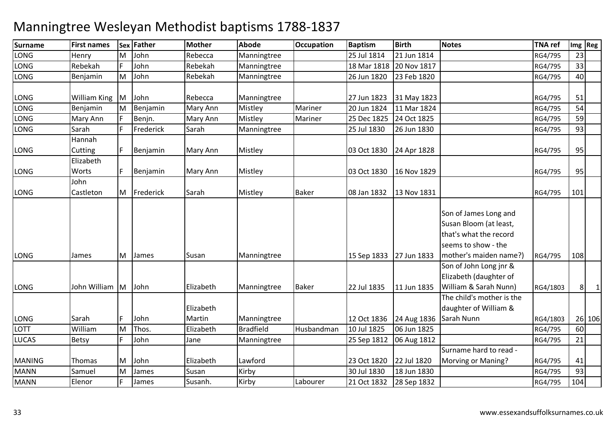| <b>Surname</b> | <b>First names</b> | <b>Sex</b> | <b>Father</b> | <b>Mother</b>       | <b>Abode</b>     | <b>Occupation</b> | <b>Baptism</b> | <b>Birth</b> | <b>Notes</b>                                                                                                               | <b>TNA ref</b> |     | $Im g$ Reg     |
|----------------|--------------------|------------|---------------|---------------------|------------------|-------------------|----------------|--------------|----------------------------------------------------------------------------------------------------------------------------|----------------|-----|----------------|
| LONG           | Henry              | M          | John          | Rebecca             | Manningtree      |                   | 25 Jul 1814    | 21 Jun 1814  |                                                                                                                            | RG4/795        | 23  |                |
| <b>LONG</b>    | Rebekah            |            | John          | Rebekah             | Manningtree      |                   | 18 Mar 1818    | 20 Nov 1817  |                                                                                                                            | RG4/795        | 33  |                |
| LONG           | Benjamin           | M          | John          | Rebekah             | Manningtree      |                   | 26 Jun 1820    | 23 Feb 1820  |                                                                                                                            | RG4/795        | 40  |                |
|                |                    |            |               |                     |                  |                   |                |              |                                                                                                                            |                |     |                |
| LONG           | William King M     |            | John          | Rebecca             | Manningtree      |                   | 27 Jun 1823    | 31 May 1823  |                                                                                                                            | RG4/795        | 51  |                |
| <b>LONG</b>    | Benjamin           | M          | Benjamin      | Mary Ann            | Mistley          | Mariner           | 20 Jun 1824    | 11 Mar 1824  |                                                                                                                            | RG4/795        | 54  |                |
| LONG           | Mary Ann           |            | Benjn.        | Mary Ann            | Mistley          | Mariner           | 25 Dec 1825    | 24 Oct 1825  |                                                                                                                            | RG4/795        | 59  |                |
| <b>LONG</b>    | Sarah              |            | Frederick     | Sarah               | Manningtree      |                   | 25 Jul 1830    | 26 Jun 1830  |                                                                                                                            | RG4/795        | 93  |                |
|                | Hannah             |            |               |                     |                  |                   |                |              |                                                                                                                            |                |     |                |
| <b>LONG</b>    | Cutting            |            | Benjamin      | Mary Ann            | Mistley          |                   | 03 Oct 1830    | 24 Apr 1828  |                                                                                                                            | RG4/795        | 95  |                |
|                | Elizabeth          |            |               |                     |                  |                   |                |              |                                                                                                                            |                |     |                |
| LONG           | Worts              |            | Benjamin      | Mary Ann            | Mistley          |                   | 03 Oct 1830    | 16 Nov 1829  |                                                                                                                            | RG4/795        | 95  |                |
|                | John               |            |               |                     |                  |                   |                |              |                                                                                                                            |                |     |                |
| LONG           | Castleton          | M          | Frederick     | Sarah               | Mistley          | <b>Baker</b>      | 08 Jan 1832    | 13 Nov 1831  |                                                                                                                            | RG4/795        | 101 |                |
| <b>LONG</b>    | James              | IM.        | James         | Susan               | Manningtree      |                   | 15 Sep 1833    | 27 Jun 1833  | Son of James Long and<br>Susan Bloom (at least,<br>that's what the record<br>seems to show - the<br>mother's maiden name?) | RG4/795        | 108 |                |
| LONG           | John William M     |            | John          | Elizabeth           | Manningtree      | <b>Baker</b>      | 22 Jul 1835    | 11 Jun 1835  | Son of John Long jnr &<br>Elizabeth (daughter of<br>William & Sarah Nunn)                                                  | RG4/1803       | 8   | $\overline{1}$ |
| <b>LONG</b>    | Sarah              |            | John          | Elizabeth<br>Martin | Manningtree      |                   | 12 Oct 1836    | 24 Aug 1836  | The child's mother is the<br>daughter of William &<br>Sarah Nunn                                                           | RG4/1803       |     | 26 106         |
| <b>LOTT</b>    | William            | lM.        | Thos.         | Elizabeth           | <b>Bradfield</b> | Husbandman        | 10 Jul 1825    | 06 Jun 1825  |                                                                                                                            | RG4/795        | 60  |                |
| <b>LUCAS</b>   | Betsy              |            | John          | Jane                | Manningtree      |                   | 25 Sep 1812    | 06 Aug 1812  |                                                                                                                            | RG4/795        | 21  |                |
| <b>MANING</b>  | Thomas             | M          | John          | Elizabeth           | Lawford          |                   | 23 Oct 1820    | 22 Jul 1820  | Surname hard to read -<br>Morving or Maning?                                                                               | RG4/795        | 41  |                |
| <b>MANN</b>    | Samuel             | M          | James         | Susan               | Kirby            |                   | 30 Jul 1830    | 18 Jun 1830  |                                                                                                                            | RG4/795        | 93  |                |
| <b>MANN</b>    | Elenor             |            | James         | Susanh.             | Kirby            | Labourer          | 21 Oct 1832    | 28 Sep 1832  |                                                                                                                            | RG4/795        | 104 |                |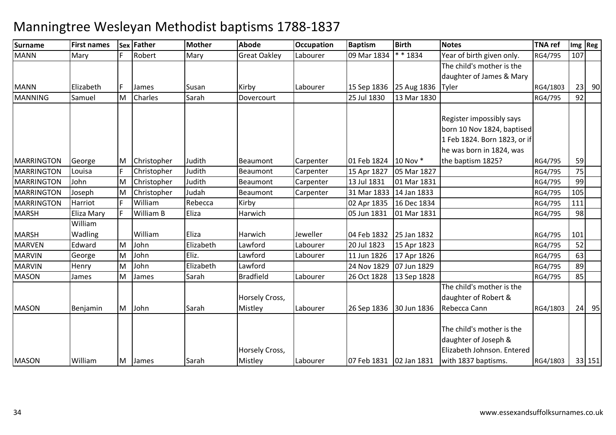| <b>Surname</b>    | <b>First names</b> |    | Sex Father  | <b>Mother</b> | <b>Abode</b>              | <b>Occupation</b> | <b>Baptism</b>            | <b>Birth</b>            | <b>Notes</b>                                                                                           | <b>TNA</b> ref |     | Img Reg |
|-------------------|--------------------|----|-------------|---------------|---------------------------|-------------------|---------------------------|-------------------------|--------------------------------------------------------------------------------------------------------|----------------|-----|---------|
| <b>MANN</b>       | Mary               |    | Robert      | Mary          | <b>Great Oakley</b>       | Labourer          | 09 Mar 1834               | * * 1834                | Year of birth given only.                                                                              | RG4/795        | 107 |         |
|                   |                    |    |             |               |                           |                   |                           |                         | The child's mother is the                                                                              |                |     |         |
|                   |                    |    |             |               |                           |                   |                           |                         | daughter of James & Mary                                                                               |                |     |         |
| <b>MANN</b>       | Elizabeth          | F. | James       | Susan         | Kirby                     | Labourer          |                           | 15 Sep 1836 25 Aug 1836 | Tyler                                                                                                  | RG4/1803       | 23  | 90      |
| <b>MANNING</b>    | Samuel             | M  | Charles     | Sarah         | Dovercourt                |                   | 25 Jul 1830               | 13 Mar 1830             |                                                                                                        | RG4/795        | 92  |         |
|                   |                    |    |             |               |                           |                   |                           |                         | Register impossibly says<br>born 10 Nov 1824, baptised<br>1 Feb 1824. Born 1823, or if                 |                |     |         |
|                   |                    |    |             |               |                           |                   |                           |                         | he was born in 1824, was                                                                               |                |     |         |
| MARRINGTON        | George             | M  | Christopher | Judith        | <b>Beaumont</b>           | Carpenter         | 01 Feb 1824               | 10 Nov *                | the baptism 1825?                                                                                      | RG4/795        | 59  |         |
| <b>MARRINGTON</b> | Louisa             |    | Christopher | Judith        | <b>Beaumont</b>           | Carpenter         | 15 Apr 1827               | 05 Mar 1827             |                                                                                                        | RG4/795        | 75  |         |
| <b>MARRINGTON</b> | John               | M  | Christopher | Judith        | Beaumont                  | Carpenter         | 13 Jul 1831               | 01 Mar 1831             |                                                                                                        | RG4/795        | 99  |         |
| <b>MARRINGTON</b> | Joseph             | M  | Christopher | Judah         | Beaumont                  | Carpenter         | 31 Mar 1833               | 14 Jan 1833             |                                                                                                        | RG4/795        | 105 |         |
| <b>MARRINGTON</b> | Harriot            |    | William     | Rebecca       | Kirby                     |                   | 02 Apr 1835               | 16 Dec 1834             |                                                                                                        | RG4/795        | 111 |         |
| <b>MARSH</b>      | Eliza Mary         |    | William B   | Eliza         | Harwich                   |                   | 05 Jun 1831               | 01 Mar 1831             |                                                                                                        | RG4/795        | 98  |         |
|                   | William            |    |             |               |                           |                   |                           |                         |                                                                                                        |                |     |         |
| <b>MARSH</b>      | Wadling            |    | William     | Eliza         | Harwich                   | Jeweller          | 04 Feb 1832               | 25 Jan 1832             |                                                                                                        | RG4/795        | 101 |         |
| <b>MARVEN</b>     | Edward             | M  | John        | Elizabeth     | Lawford                   | Labourer          | 20 Jul 1823               | 15 Apr 1823             |                                                                                                        | RG4/795        | 52  |         |
| <b>MARVIN</b>     | George             | M  | John        | Eliz.         | Lawford                   | Labourer          | 11 Jun 1826               | 17 Apr 1826             |                                                                                                        | RG4/795        | 63  |         |
| <b>MARVIN</b>     | Henry              | M  | John        | Elizabeth     | Lawford                   |                   | 24 Nov 1829               | 07 Jun 1829             |                                                                                                        | RG4/795        | 89  |         |
| <b>MASON</b>      | James              | M  | James       | Sarah         | <b>Bradfield</b>          | Labourer          | 26 Oct 1828               | 13 Sep 1828             |                                                                                                        | RG4/795        | 85  |         |
| <b>MASON</b>      | Benjamin           | M  | John        | Sarah         | Horsely Cross,<br>Mistley | Labourer          | 26 Sep 1836               | 30 Jun 1836             | The child's mother is the<br>daughter of Robert &<br>Rebecca Cann                                      | RG4/1803       |     | $24$ 95 |
| <b>MASON</b>      | William            | M  | James       | Sarah         | Horsely Cross,<br>Mistley | Labourer          | 07 Feb 1831   02 Jan 1831 |                         | The child's mother is the<br>daughter of Joseph &<br>Elizabeth Johnson. Entered<br>with 1837 baptisms. | RG4/1803       |     | 33 151  |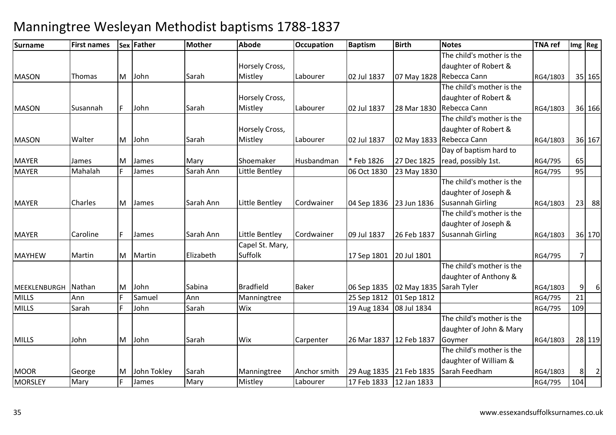| <b>Surname</b> | <b>First names</b> |    | Sex Father   | Mother    | <b>Abode</b>     | <b>Occupation</b> | <b>Baptism</b>            | <b>Birth</b> | Notes                     | <b>TNA</b> ref |                | Img   Reg      |
|----------------|--------------------|----|--------------|-----------|------------------|-------------------|---------------------------|--------------|---------------------------|----------------|----------------|----------------|
|                |                    |    |              |           |                  |                   |                           |              | The child's mother is the |                |                |                |
|                |                    |    |              |           | Horsely Cross,   |                   |                           |              | daughter of Robert &      |                |                |                |
| <b>MASON</b>   | Thomas             | M  | John         | Sarah     | Mistley          | Labourer          | 02 Jul 1837               |              | 07 May 1828 Rebecca Cann  | RG4/1803       |                | 35 165         |
|                |                    |    |              |           |                  |                   |                           |              | The child's mother is the |                |                |                |
|                |                    |    |              |           | Horsely Cross,   |                   |                           |              | daughter of Robert &      |                |                |                |
| <b>MASON</b>   | Susannah           | F  | John         | Sarah     | Mistley          | Labourer          | 02 Jul 1837               | 28 Mar 1830  | Rebecca Cann              | RG4/1803       |                | 36 166         |
|                |                    |    |              |           |                  |                   |                           |              | The child's mother is the |                |                |                |
|                |                    |    |              |           | Horsely Cross,   |                   |                           |              | daughter of Robert &      |                |                |                |
| <b>MASON</b>   | Walter             | M  | John         | Sarah     | Mistley          | Labourer          | 02 Jul 1837               |              | 02 May 1833 Rebecca Cann  | RG4/1803       |                | 36 167         |
|                |                    |    |              |           |                  |                   |                           |              | Day of baptism hard to    |                |                |                |
| <b>MAYER</b>   | James              | M  | <b>James</b> | Mary      | Shoemaker        | Husbandman        | *Feb 1826                 | 27 Dec 1825  | read, possibly 1st.       | RG4/795        | 65             |                |
| <b>MAYER</b>   | Mahalah            |    | James        | Sarah Ann | Little Bentley   |                   | 06 Oct 1830               | 23 May 1830  |                           | RG4/795        | 95             |                |
|                |                    |    |              |           |                  |                   |                           |              | The child's mother is the |                |                |                |
|                |                    |    |              |           |                  |                   |                           |              | daughter of Joseph &      |                |                |                |
| <b>MAYER</b>   | Charles            | M  | James        | Sarah Ann | Little Bentley   | Cordwainer        | 04 Sep 1836               | 23 Jun 1836  | <b>Susannah Girling</b>   | RG4/1803       | 23             | 88             |
|                |                    |    |              |           |                  |                   |                           |              | The child's mother is the |                |                |                |
|                |                    |    |              |           |                  |                   |                           |              | daughter of Joseph &      |                |                |                |
| <b>MAYER</b>   | Caroline           | F  | James        | Sarah Ann | Little Bentley   | Cordwainer        | 09 Jul 1837               | 26 Feb 1837  | <b>Susannah Girling</b>   | RG4/1803       |                | 36 170         |
|                |                    |    |              |           | Capel St. Mary,  |                   |                           |              |                           |                |                |                |
| <b>MAYHEW</b>  | Martin             | M  | Martin       | Elizabeth | <b>Suffolk</b>   |                   | 17 Sep 1801               | 20 Jul 1801  |                           | RG4/795        | $\overline{7}$ |                |
|                |                    |    |              |           |                  |                   |                           |              | The child's mother is the |                |                |                |
|                |                    |    |              |           |                  |                   |                           |              | daughter of Anthony &     |                |                |                |
| MEEKLENBURGH   | Nathan             | M  | John         | Sabina    | <b>Bradfield</b> | <b>Baker</b>      | 06 Sep 1835               | 02 May 1835  | Sarah Tyler               | RG4/1803       | 9              | $6 \mid$       |
| <b>MILLS</b>   | Ann                |    | Samuel       | Ann       | Manningtree      |                   | 25 Sep 1812               | 01 Sep 1812  |                           | RG4/795        | 21             |                |
| <b>MILLS</b>   | Sarah              |    | John         | Sarah     | Wix              |                   | 19 Aug 1834               | 08 Jul 1834  |                           | RG4/795        | 109            |                |
|                |                    |    |              |           |                  |                   |                           |              | The child's mother is the |                |                |                |
|                |                    |    |              |           |                  |                   |                           |              | daughter of John & Mary   |                |                |                |
| <b>MILLS</b>   | John               | M  | John         | Sarah     | <b>Wix</b>       | Carpenter         | 26 Mar 1837   12 Feb 1837 |              | Goymer                    | RG4/1803       |                | 28 119         |
|                |                    |    |              |           |                  |                   |                           |              | The child's mother is the |                |                |                |
|                |                    |    |              |           |                  |                   |                           |              | daughter of William &     |                |                |                |
| <b>MOOR</b>    | George             | M  | John Tokley  | Sarah     | Manningtree      | Anchor smith      | 29 Aug 1835 21 Feb 1835   |              | Sarah Feedham             | RG4/1803       | 8 <sup>1</sup> | $\overline{2}$ |
| <b>MORSLEY</b> | Mary               | F. | James        | Mary      | Mistley          | Labourer          | 17 Feb 1833               | 12 Jan 1833  |                           | RG4/795        | 104            |                |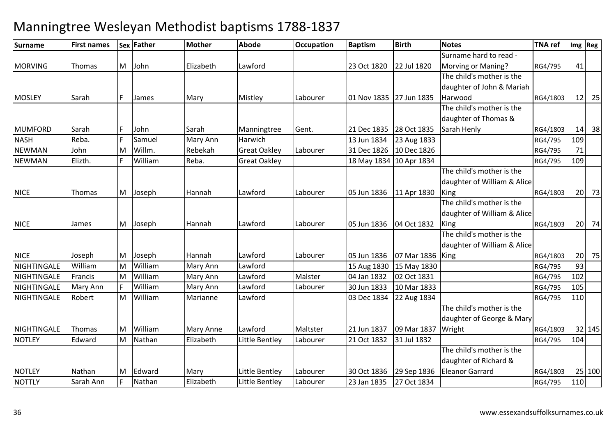| Surname        | <b>First names</b> |    | Sex Father   | <b>Mother</b>    | <b>Abode</b>        | <b>Occupation</b> | <b>Baptism</b>          | <b>Birth</b> | <b>Notes</b>                | <b>TNA</b> ref |     | Img Reg |
|----------------|--------------------|----|--------------|------------------|---------------------|-------------------|-------------------------|--------------|-----------------------------|----------------|-----|---------|
|                |                    |    |              |                  |                     |                   |                         |              | Surname hard to read -      |                |     |         |
| <b>MORVING</b> | Thomas             | M  | John         | Elizabeth        | Lawford             |                   | 23 Oct 1820             | 22 Jul 1820  | Morving or Maning?          | RG4/795        | 41  |         |
|                |                    |    |              |                  |                     |                   |                         |              | The child's mother is the   |                |     |         |
|                |                    |    |              |                  |                     |                   |                         |              | daughter of John & Mariah   |                |     |         |
| <b>MOSLEY</b>  | Sarah              | F. | <b>James</b> | Mary             | Mistley             | Labourer          | 01 Nov 1835 27 Jun 1835 |              | Harwood                     | RG4/1803       |     | $12$ 25 |
|                |                    |    |              |                  |                     |                   |                         |              | The child's mother is the   |                |     |         |
|                |                    |    |              |                  |                     |                   |                         |              | daughter of Thomas &        |                |     |         |
| <b>MUMFORD</b> | Sarah              | F  | John         | Sarah            | Manningtree         | Gent.             | 21 Dec 1835 28 Oct 1835 |              | Sarah Henly                 | RG4/1803       |     | $14$ 38 |
| <b>NASH</b>    | Reba.              |    | Samuel       | Mary Ann         | Harwich             |                   | 13 Jun 1834             | 23 Aug 1833  |                             | RG4/795        | 109 |         |
| <b>NEWMAN</b>  | John               | M  | Willm.       | Rebekah          | <b>Great Oakley</b> | Labourer          | 31 Dec 1826             | 10 Dec 1826  |                             | RG4/795        | 71  |         |
| <b>NEWMAN</b>  | Elizth.            |    | William      | Reba.            | <b>Great Oakley</b> |                   | 18 May 1834 10 Apr 1834 |              |                             | RG4/795        | 109 |         |
|                |                    |    |              |                  |                     |                   |                         |              | The child's mother is the   |                |     |         |
|                |                    |    |              |                  |                     |                   |                         |              | daughter of William & Alice |                |     |         |
| <b>NICE</b>    | <b>Thomas</b>      | M  | Joseph       | Hannah           | Lawford             | Labourer          | 05 Jun 1836             | 11 Apr 1830  | King                        | RG4/1803       |     | $20$ 73 |
|                |                    |    |              |                  |                     |                   |                         |              | The child's mother is the   |                |     |         |
|                |                    |    |              |                  |                     |                   |                         |              | daughter of William & Alice |                |     |         |
| <b>NICE</b>    | James              | M  | Joseph       | Hannah           | Lawford             | Labourer          | 05 Jun 1836             | 04 Oct 1832  | King                        | RG4/1803       |     | 20 74   |
|                |                    |    |              |                  |                     |                   |                         |              | The child's mother is the   |                |     |         |
|                |                    |    |              |                  |                     |                   |                         |              | daughter of William & Alice |                |     |         |
| <b>NICE</b>    | Joseph             | M  | Joseph       | Hannah           | Lawford             | Labourer          | 05 Jun 1836             | 07 Mar 1836  | King                        | RG4/1803       |     | 20 75   |
| NIGHTINGALE    | William            | M  | William      | Mary Ann         | Lawford             |                   | 15 Aug 1830             | 15 May 1830  |                             | RG4/795        | 93  |         |
| NIGHTINGALE    | Francis            | M  | William      | Mary Ann         | Lawford             | Malster           | 04 Jan 1832             | 02 Oct 1831  |                             | RG4/795        | 102 |         |
| NIGHTINGALE    | <b>Mary Ann</b>    |    | William      | Mary Ann         | Lawford             | Labourer          | 30 Jun 1833             | 10 Mar 1833  |                             | RG4/795        | 105 |         |
| NIGHTINGALE    | Robert             | M  | William      | Marianne         | Lawford             |                   | 03 Dec 1834             | 22 Aug 1834  |                             | RG4/795        | 110 |         |
|                |                    |    |              |                  |                     |                   |                         |              | The child's mother is the   |                |     |         |
|                |                    |    |              |                  |                     |                   |                         |              | daughter of George & Mary   |                |     |         |
| NIGHTINGALE    | Thomas             | M  | William      | <b>Mary Anne</b> | Lawford             | Maltster          | 21 Jun 1837             | 09 Mar 1837  | Wright                      | RG4/1803       |     | 32 145  |
| <b>NOTLEY</b>  | Edward             | M  | Nathan       | Elizabeth        | Little Bentley      | Labourer          | 21 Oct 1832             | 31 Jul 1832  |                             | RG4/795        | 104 |         |
|                |                    |    |              |                  |                     |                   |                         |              | The child's mother is the   |                |     |         |
|                |                    |    |              |                  |                     |                   |                         |              | daughter of Richard &       |                |     |         |
| <b>NOTLEY</b>  | Nathan             | M  | Edward       | Mary             | Little Bentley      | Labourer          | 30 Oct 1836             | 29 Sep 1836  | <b>Eleanor Garrard</b>      | RG4/1803       |     | 25 100  |
| <b>NOTTLY</b>  | Sarah Ann          | F  | Nathan       | Elizabeth        | Little Bentley      | Labourer          | 23 Jan 1835             | 27 Oct 1834  |                             | RG4/795        | 110 |         |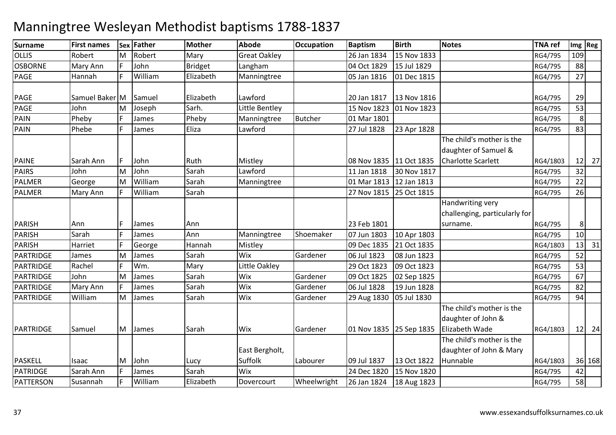| <b>Surname</b>      | <b>First names</b> |   | Sex Father    | <b>Mother</b>  | <b>Abode</b>              | <b>Occupation</b> | <b>Baptism</b>             | <b>Birth</b> | <b>Notes</b>                                         | <b>TNA ref</b> |     | Img Reg |
|---------------------|--------------------|---|---------------|----------------|---------------------------|-------------------|----------------------------|--------------|------------------------------------------------------|----------------|-----|---------|
| <b>OLLIS</b>        | Robert             | M | Robert        | Mary           | <b>Great Oakley</b>       |                   | 26 Jan 1834                | 15 Nov 1833  |                                                      | RG4/795        | 109 |         |
| <b>OSBORNE</b>      | Mary Ann           |   | John          | <b>Bridget</b> | Langham                   |                   | 04 Oct 1829                | 15 Jul 1829  |                                                      | RG4/795        | 88  |         |
| <b>PAGE</b>         | Hannah             |   | William       | Elizabeth      | Manningtree               |                   | 05 Jan 1816                | 01 Dec 1815  |                                                      | RG4/795        | 27  |         |
| <b>PAGE</b>         | Samuel Baker M     |   | Samuel        | Elizabeth      | Lawford                   |                   | 20 Jan 1817                | 13 Nov 1816  |                                                      | RG4/795        | 29  |         |
| <b>PAGE</b>         | John               | M | Joseph        | Sarh.          | Little Bentley            |                   | 15 Nov 1823                | 01 Nov 1823  |                                                      | RG4/795        | 53  |         |
| PAIN                | Pheby              |   | James         | Pheby          | Manningtree               | <b>Butcher</b>    | 01 Mar 1801                |              |                                                      | RG4/795        | 8   |         |
| PAIN                | Phebe              |   | James         | Eliza          | Lawford                   |                   | 27 Jul 1828                | 23 Apr 1828  |                                                      | RG4/795        | 83  |         |
|                     |                    |   |               |                |                           |                   |                            |              | The child's mother is the<br>daughter of Samuel &    |                |     |         |
| <b>PAINE</b>        | Sarah Ann          | F | John          | Ruth           | Mistley                   |                   | 08 Nov 1835 11 Oct 1835    |              | <b>Charlotte Scarlett</b>                            | RG4/1803       | 12  | 27      |
| <b>PAIRS</b>        | John               | M | John          | Sarah          | Lawford                   |                   | 11 Jan 1818                | 30 Nov 1817  |                                                      | RG4/795        | 32  |         |
| <b>PALMER</b>       | George             | M | William       | Sarah          | Manningtree               |                   | 01 Mar 1813                | 12 Jan 1813  |                                                      | RG4/795        | 22  |         |
| PALMER              | Mary Ann           | F | William       | Sarah          |                           |                   | 27 Nov 1815                | 25 Oct 1815  |                                                      | RG4/795        | 26  |         |
|                     |                    |   |               |                |                           |                   |                            |              | Handwriting very<br>challenging, particularly for    |                |     |         |
| <b>PARISH</b>       | Ann                |   | James         | Ann            |                           |                   | 23 Feb 1801                |              | surname.                                             | RG4/795        | 8   |         |
| <b>PARISH</b>       | Sarah              |   | James         | Ann            | Manningtree               | Shoemaker         | 07 Jun 1803                | 10 Apr 1803  |                                                      | RG4/795        | 10  |         |
| <b>PARISH</b>       | Harriet            |   | George        | Hannah         | Mistley                   |                   | 09 Dec 1835                | 21 Oct 1835  |                                                      | RG4/1803       | 13  | 31      |
| PARTRIDGE           | James              | M | James         | Sarah          | Wix                       | Gardener          | 06 Jul 1823                | 08 Jun 1823  |                                                      | RG4/795        | 52  |         |
| PARTRIDGE           | Rachel             |   | Wm.           | Mary           | Little Oakley             |                   | 29 Oct 1823                | 09 Oct 1823  |                                                      | RG4/795        | 53  |         |
| PARTRIDGE           | John               | M | James         | Sarah          | Wix                       | Gardener          | 09 Oct 1825                | 02 Sep 1825  |                                                      | RG4/795        | 67  |         |
| PARTRIDGE           | Mary Ann           |   | James         | Sarah          | Wix                       | Gardener          | 06 Jul 1828                | 19 Jun 1828  |                                                      | RG4/795        | 82  |         |
| PARTRIDGE           | William            | M | James         | Sarah          | Wix                       | Gardener          | 29 Aug 1830                | 05 Jul 1830  |                                                      | RG4/795        | 94  |         |
|                     |                    |   |               |                |                           |                   |                            |              | The child's mother is the<br>daughter of John &      |                |     |         |
| PARTRIDGE           | Samuel             | M | James         | Sarah          | Wix                       | Gardener          | 01 Nov 1835 25 Sep 1835    |              | Elizabeth Wade                                       | RG4/1803       | 12  | 24      |
|                     |                    |   |               |                | East Bergholt,<br>Suffolk |                   |                            |              | The child's mother is the<br>daughter of John & Mary |                |     |         |
| PASKELL<br>PATRIDGE | Isaac<br>Sarah Ann | M | John<br>James | Lucy<br>Sarah  | Wix                       | Labourer          | 09 Jul 1837<br>24 Dec 1820 | 13 Oct 1822  | Hunnable                                             | RG4/1803       | 42  | 36 168  |
|                     |                    |   |               |                |                           |                   |                            | 15 Nov 1820  |                                                      | RG4/795        |     |         |
| PATTERSON           | Susannah           |   | William       | Elizabeth      | Dovercourt                | Wheelwright       | 26 Jan 1824                | 18 Aug 1823  |                                                      | RG4/795        | 58  |         |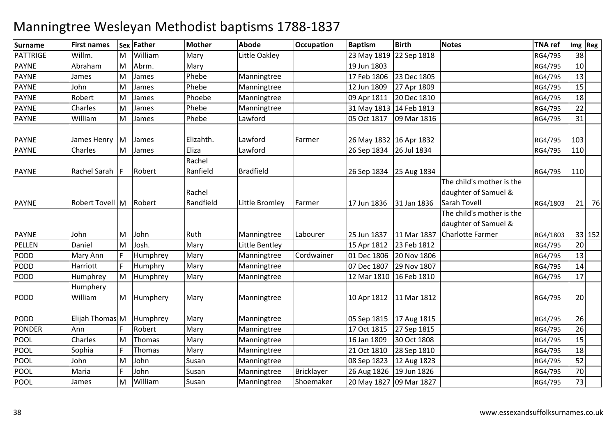| <b>Surname</b> | <b>First names</b>     |          | Sex Father | <b>Mother</b>       | <b>Abode</b>     | <b>Occupation</b> | <b>Baptism</b>            | <b>Birth</b> | <b>Notes</b>                                                      | <b>TNA ref</b> | Img Reg |        |
|----------------|------------------------|----------|------------|---------------------|------------------|-------------------|---------------------------|--------------|-------------------------------------------------------------------|----------------|---------|--------|
| PATTRIGE       | Willm.                 | M        | William    | Mary                | Little Oakley    |                   | 23 May 1819 22 Sep 1818   |              |                                                                   | RG4/795        | 38      |        |
| <b>PAYNE</b>   | Abraham                | M        | Abrm.      | Mary                |                  |                   | 19 Jun 1803               |              |                                                                   | RG4/795        | 10      |        |
| <b>PAYNE</b>   | James                  | M        | James      | Phebe               | Manningtree      |                   | 17 Feb 1806               | 23 Dec 1805  |                                                                   | RG4/795        | 13      |        |
| <b>PAYNE</b>   | John                   | M        | James      | Phebe               | Manningtree      |                   | 12 Jun 1809               | 27 Apr 1809  |                                                                   | RG4/795        | 15      |        |
| <b>PAYNE</b>   | Robert                 | M        | James      | Phoebe              | Manningtree      |                   | 09 Apr 1811               | 20 Dec 1810  |                                                                   | RG4/795        | 18      |        |
| <b>PAYNE</b>   | Charles                | M        | James      | Phebe               | Manningtree      |                   | 31 May 1813 14 Feb 1813   |              |                                                                   | RG4/795        | 22      |        |
| PAYNE          | William                | M        | James      | Phebe               | Lawford          |                   | 05 Oct 1817               | 09 Mar 1816  |                                                                   | RG4/795        | 31      |        |
| <b>PAYNE</b>   | James Henry            | <b>M</b> | James      | Elizahth.           | Lawford          | Farmer            | 26 May 1832 16 Apr 1832   |              |                                                                   | RG4/795        | 103     |        |
| <b>PAYNE</b>   | Charles                | M        | James      | Eliza               | Lawford          |                   | 26 Sep 1834               | 26 Jul 1834  |                                                                   | RG4/795        | 110     |        |
| <b>PAYNE</b>   | Rachel Sarah           |          | Robert     | Rachel<br>Ranfield  | <b>Bradfield</b> |                   | 26 Sep 1834               | 25 Aug 1834  |                                                                   | RG4/795        | 110     |        |
| <b>PAYNE</b>   | Robert Tovell M Robert |          |            | Rachel<br>Randfield | Little Bromley   | Farmer            | 17 Jun 1836               | 31 Jan 1836  | The child's mother is the<br>daughter of Samuel &<br>Sarah Tovell | RG4/1803       | 21      | 76     |
|                |                        |          |            |                     |                  |                   |                           |              | The child's mother is the                                         |                |         |        |
|                |                        |          |            |                     |                  |                   |                           |              | daughter of Samuel &                                              |                |         |        |
| <b>PAYNE</b>   | John                   | IM.      | John       | Ruth                | Manningtree      | Labourer          | 25 Jun 1837               | 11 Mar 1837  | Charlotte Farmer                                                  | RG4/1803       |         | 33 152 |
| PELLEN         | Daniel                 | M        | Josh.      | Mary                | Little Bentley   |                   | 15 Apr 1812               | 23 Feb 1812  |                                                                   | RG4/795        | 20      |        |
| PODD           | Mary Ann               |          | Humphrey   | Mary                | Manningtree      | Cordwainer        | 01 Dec 1806               | 20 Nov 1806  |                                                                   | RG4/795        | 13      |        |
| PODD           | Harriott               |          | Humphry    | Mary                | Manningtree      |                   | 07 Dec 1807               | 29 Nov 1807  |                                                                   | RG4/795        | 14      |        |
| PODD           | Humphrey               | M        | Humphrey   | Mary                | Manningtree      |                   | 12 Mar 1810               | 16 Feb 1810  |                                                                   | RG4/795        | 17      |        |
|                | Humphery               |          |            |                     |                  |                   |                           |              |                                                                   |                |         |        |
| <b>PODD</b>    | William                | M        | Humphery   | Mary                | Manningtree      |                   | 10 Apr 1812               | 11 Mar 1812  |                                                                   | RG4/795        | 20      |        |
| PODD           | Elijah Thomas M        |          | Humphrey   | Mary                | Manningtree      |                   | 05 Sep 1815   17 Aug 1815 |              |                                                                   | RG4/795        | 26      |        |
| <b>PONDER</b>  | Ann                    |          | Robert     | Mary                | Manningtree      |                   | 17 Oct 1815               | 27 Sep 1815  |                                                                   | RG4/795        | 26      |        |
| POOL           | Charles                | M        | Thomas     | Mary                | Manningtree      |                   | 16 Jan 1809               | 30 Oct 1808  |                                                                   | RG4/795        | 15      |        |
| <b>POOL</b>    | Sophia                 |          | Thomas     | Mary                | Manningtree      |                   | 21 Oct 1810               | 28 Sep 1810  |                                                                   | RG4/795        | 18      |        |
| <b>POOL</b>    | John                   | M        | John       | Susan               | Manningtree      |                   | 08 Sep 1823               | 12 Aug 1823  |                                                                   | RG4/795        | 52      |        |
| <b>POOL</b>    | Maria                  |          | John       | Susan               | Manningtree      | Bricklayer        | 26 Aug 1826               | 19 Jun 1826  |                                                                   | RG4/795        | 70      |        |
| <b>POOL</b>    | James                  | M        | William    | Susan               | Manningtree      | Shoemaker         | 20 May 1827 09 Mar 1827   |              |                                                                   | RG4/795        | 73      |        |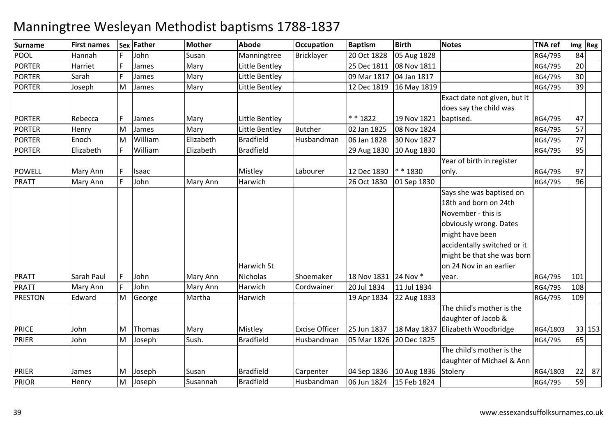### **Surname First names Sex Father Mother Abode OccupationOccupation Baptism**<br>Bricklaver 20 Oct 1828 **Birth Notes TNA ref Img Reg** POOL Hannahh F John Susan Manningtree Bricklayer 20 Oct 1828  $\log 1828$  RG4/795 84 PORTERR Harriet F James Mary Little Bentley 25 Dec 1811 08 Nov 1811 1864/795 20 PORTERR Sarah F James Mary Little Bentley 09 Mar 1817 04 Jan 1817 1898 1864/795 30 PORTER Joseph MM James Mary Little Bentley 12 Dec 1819 16 May 1819 RG4/795 39 PORTERRebecca F James Mary Little Bentley \*\*1822 19 Nov 1821 Exact date not given, but it does say the child was 19 Nov 1821 baptised. RG4/795 <sup>47</sup> $\overline{57}$ PORTER**Henry** M1 James Mary Little Bentley Butcher 02 Jan 1825 08 Nov 1824 RG4/795 57<br>Ad William Flischeth Readfield Unchercharge Of Ly 4838 20 No. 4837 PORTER Enoch M William Elizabeth Bradfield Husbandman 06 Jan 1828 30 Nov 1827 RG4/795 <sup>77</sup> PORTER Elizabeth <sup>F</sup> Williamm Elizabeth Bradfield 29 Aug 1830 10 Aug 1830 RG4/795 95 POWELL Mary Annn |F |Isaac | Mistley |Labourer |12 Dec 1830 |\* \* 1830 0 01 Sep 1830 RG4/795 96 Year of birth in register only. RG4/795 <sup>97</sup>96 PRATT Mary Annn F John Mary Ann Harwich 126 Oct 1830 PRATTSarah Paul F John Mary Ann<br>Mary Ann F John Mary Ann Mary Ann Harwich St Nicholas Shoemaker 18 Nov 1831 24 Nov \*<br>Harwich Cordwainer 20 Jul 1834 11 Jul 18 Says she was baptised on 18th and born on 24th November - this is obviously wrong. Dates might have been accidentally switched or it might be that she was born on 24 Nov in an earlier year. RG4/795 <sup>101</sup>108 PRATT Mary Annn F John Mary Ann Harwich Cordwainer 20 Jul 1834 11 Jul 1834 RG4/795 108<br>22 Aug 1833 RG4/795 109 PRESTON Edward MM George Martha Harwich 19 Apr 1834 22 Aug 1833 RG4/795 109<br>19 Apr 1834 22 Aug 1833 PRICE JohnR<sub>John</sub> M Thomas Mary Mistley Excise Officer 25 Jun 1837 18 May 1837 The chlid's mother is the daughter of Jacob & 18 May 1837 Elizabeth Woodbridge RG4/1803 33 153<br>RG4/795 65 PRIERMM Joseph Sush. Bradfield Husbandman 05 Mar 1826 20 Dec 1825 RG4/795 65<br>RG4/795 B PRIER James M Joseph Susan Bradfield Carpenter 04 Sep 1836 10 Aug 1836 StoleryThe child's mother is the daughter of Michael & Ann RG4/1803 $\frac{22}{59}$  87 PRIOR**Henry** MJoseph Susannah Bradfield Husbandman 06 Jun 1824 15 Feb 1824 RG4/795 <sup>59</sup>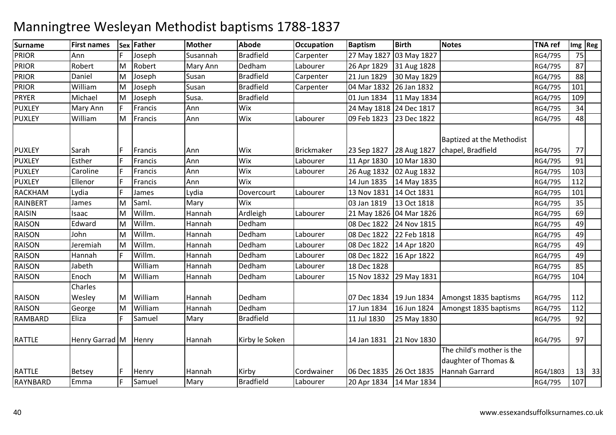| <b>Surname</b>  | <b>First names</b>   | <b>Sex</b> | <b>Father</b> | Mother   | <b>Abode</b>     | <b>Occupation</b> | <b>Baptism</b>          | <b>Birth</b>              | <b>Notes</b>                                      | <b>TNA</b> ref | Img Reg |         |
|-----------------|----------------------|------------|---------------|----------|------------------|-------------------|-------------------------|---------------------------|---------------------------------------------------|----------------|---------|---------|
| <b>PRIOR</b>    | Ann                  |            | Joseph        | Susannah | <b>Bradfield</b> | Carpenter         | 27 May 1827             | 03 May 1827               |                                                   | RG4/795        | 75      |         |
| <b>PRIOR</b>    | Robert               | M          | Robert        | Mary Ann | Dedham           | Labourer          | 26 Apr 1829             | 31 Aug 1828               |                                                   | RG4/795        | 87      |         |
| <b>PRIOR</b>    | Daniel               | M          | Joseph        | Susan    | <b>Bradfield</b> | Carpenter         | 21 Jun 1829             | 30 May 1829               |                                                   | RG4/795        | 88      |         |
| <b>PRIOR</b>    | William              | M          | Joseph        | Susan    | <b>Bradfield</b> | Carpenter         | 04 Mar 1832             | 26 Jan 1832               |                                                   | RG4/795        | 101     |         |
| <b>PRYER</b>    | Michael              | M          | Joseph        | Susa.    | <b>Bradfield</b> |                   | 01 Jun 1834             | 11 May 1834               |                                                   | RG4/795        | 109     |         |
| <b>PUXLEY</b>   | Mary Ann             |            | Francis       | Ann      | Wix              |                   |                         | 24 May 1818 24 Dec 1817   |                                                   | RG4/795        | 34      |         |
| <b>PUXLEY</b>   | William              | M          | Francis       | Ann      | Wix              | Labourer          | 09 Feb 1823             | 23 Dec 1822               |                                                   | RG4/795        | 48      |         |
|                 |                      |            |               |          |                  |                   |                         |                           | <b>Baptized at the Methodist</b>                  |                |         |         |
| <b>PUXLEY</b>   | Sarah                |            | Francis       | Ann      | <b>Wix</b>       | <b>Brickmaker</b> | 23 Sep 1827             | 28 Aug 1827               | chapel, Bradfield                                 | RG4/795        | 77      |         |
| <b>PUXLEY</b>   | Esther               |            | Francis       | Ann      | Wix              | Labourer          | 11 Apr 1830             | 10 Mar 1830               |                                                   | RG4/795        | 91      |         |
| <b>PUXLEY</b>   | Caroline             |            | Francis       | Ann      | Wix              | Labourer          |                         | 26 Aug 1832   02 Aug 1832 |                                                   | RG4/795        | 103     |         |
| <b>PUXLEY</b>   | Ellenor              |            | Francis       | Ann      | Wix              |                   | 14 Jun 1835             | 14 May 1835               |                                                   | RG4/795        | 112     |         |
| <b>RACKHAM</b>  | Lydia                |            | James         | Lydia    | Dovercourt       | Labourer          | 13 Nov 1831 14 Oct 1831 |                           |                                                   | RG4/795        | 101     |         |
| <b>RAINBERT</b> | James                | M          | Saml.         | Mary     | Wix              |                   | 03 Jan 1819             | 13 Oct 1818               |                                                   | RG4/795        | 35      |         |
| <b>RAISIN</b>   | <b>Isaac</b>         | M          | Willm.        | Hannah   | Ardleigh         | Labourer          |                         | 21 May 1826 04 Mar 1826   |                                                   | RG4/795        | 69      |         |
| <b>RAISON</b>   | Edward               | M          | Willm.        | Hannah   | Dedham           |                   | 08 Dec 1822             | 24 Nov 1815               |                                                   | RG4/795        | 49      |         |
| <b>RAISON</b>   | John                 | M          | Willm.        | Hannah   | Dedham           | Labourer          | 08 Dec 1822             | 22 Feb 1818               |                                                   | RG4/795        | 49      |         |
| <b>RAISON</b>   | Jeremiah             | M          | Willm.        | Hannah   | Dedham           | Labourer          | 08 Dec 1822             | 14 Apr 1820               |                                                   | RG4/795        | 49      |         |
| <b>RAISON</b>   | Hannah               |            | Willm.        | Hannah   | Dedham           | Labourer          | 08 Dec 1822             | 16 Apr 1822               |                                                   | RG4/795        | 49      |         |
| <b>RAISON</b>   | Jabeth               |            | William       | Hannah   | Dedham           | Labourer          | 18 Dec 1828             |                           |                                                   | RG4/795        | 85      |         |
| <b>RAISON</b>   | Enoch                | M          | William       | Hannah   | Dedham           | Labourer          | 15 Nov 1832             | 29 May 1831               |                                                   | RG4/795        | 104     |         |
|                 | Charles              |            |               |          |                  |                   |                         |                           |                                                   |                |         |         |
| <b>RAISON</b>   | Wesley               | M          | William       | Hannah   | Dedham           |                   |                         | 07 Dec 1834 19 Jun 1834   | Amongst 1835 baptisms                             | RG4/795        | 112     |         |
| <b>RAISON</b>   | George               | M          | William       | Hannah   | Dedham           |                   | 17 Jun 1834             | 16 Jun 1824               | Amongst 1835 baptisms                             | RG4/795        | 112     |         |
| <b>RAMBARD</b>  | Eliza                |            | Samuel        | Mary     | <b>Bradfield</b> |                   | 11 Jul 1830             | 25 May 1830               |                                                   | RG4/795        | 92      |         |
| <b>RATTLE</b>   | Henry Garrad M Henry |            |               | Hannah   | Kirby le Soken   |                   | 14 Jan 1831             | 21 Nov 1830               |                                                   | RG4/795        | 97      |         |
|                 |                      |            |               |          |                  |                   |                         |                           | The child's mother is the<br>daughter of Thomas & |                |         |         |
| <b>RATTLE</b>   | <b>Betsey</b>        |            | Henry         | Hannah   | Kirby            | Cordwainer        | 06 Dec 1835 26 Oct 1835 |                           | Hannah Garrard                                    | RG4/1803       |         | $13$ 33 |
| <b>RAYNBARD</b> | Emma                 |            | Samuel        | Mary     | <b>Bradfield</b> | Labourer          |                         | 20 Apr 1834   14 Mar 1834 |                                                   | RG4/795        | 107     |         |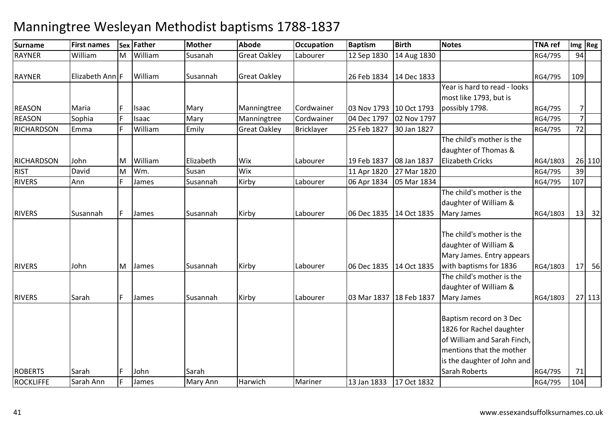| <b>Surname</b>    | <b>First names</b>          | Sex | Father  | <b>Mother</b> | <b>Abode</b>        | <b>Occupation</b> | <b>Baptism</b>            | <b>Birth</b> | <b>Notes</b>                 | <b>TNA ref</b> |                | Img Reg      |
|-------------------|-----------------------------|-----|---------|---------------|---------------------|-------------------|---------------------------|--------------|------------------------------|----------------|----------------|--------------|
| <b>RAYNER</b>     | William                     | M   | William | Susanah       | <b>Great Oakley</b> | Labourer          | 12 Sep 1830               | 14 Aug 1830  |                              | RG4/795        | 94             |              |
| <b>RAYNER</b>     | Elizabeth Ann <sup>IF</sup> |     | William | Susannah      | <b>Great Oakley</b> |                   | 26 Feb 1834               | 14 Dec 1833  |                              | RG4/795        | 109            |              |
|                   |                             |     |         |               |                     |                   |                           |              | Year is hard to read - looks |                |                |              |
|                   |                             |     |         |               |                     |                   |                           |              | most like 1793, but is       |                |                |              |
| <b>REASON</b>     | Maria                       |     | Isaac   | Mary          | Manningtree         | Cordwainer        | 03 Nov 1793 10 Oct 1793   |              | possibly 1798.               | RG4/795        | 7 <sup>1</sup> |              |
| <b>REASON</b>     | Sophia                      |     | Isaac   | Mary          | Manningtree         | Cordwainer        | 04 Dec 1797               | 02 Nov 1797  |                              | RG4/795        | $\overline{7}$ |              |
| <b>RICHARDSON</b> | Emma                        |     | William | Emily         | <b>Great Oakley</b> | Bricklayer        | 25 Feb 1827               | 30 Jan 1827  |                              | RG4/795        | 72             |              |
|                   |                             |     |         |               |                     |                   |                           |              | The child's mother is the    |                |                |              |
|                   |                             |     |         |               |                     |                   |                           |              | daughter of Thomas &         |                |                |              |
| <b>RICHARDSON</b> | John                        | M   | William | Elizabeth     | Wix                 | Labourer          | 19 Feb 1837               | 08 Jan 1837  | <b>Elizabeth Cricks</b>      | RG4/1803       |                | 26 110       |
| <b>RIST</b>       | David                       | M   | Wm.     | Susan         | Wix                 |                   | 11 Apr 1820               | 27 Mar 1820  |                              | RG4/795        | 39             |              |
| <b>RIVERS</b>     | Ann                         |     | James   | Susannah      | Kirby               | Labourer          | 06 Apr 1834               | 05 Mar 1834  |                              | RG4/795        | 107            |              |
|                   |                             |     |         |               |                     |                   |                           |              | The child's mother is the    |                |                |              |
|                   |                             |     |         |               |                     |                   |                           |              | daughter of William &        |                |                |              |
| <b>RIVERS</b>     | Susannah                    | F.  | James   | Susannah      | Kirby               | Labourer          | 06 Dec 1835 14 Oct 1835   |              | <b>Mary James</b>            | RG4/1803       |                | $13 \mid 32$ |
|                   |                             |     |         |               |                     |                   |                           |              |                              |                |                |              |
|                   |                             |     |         |               |                     |                   |                           |              | The child's mother is the    |                |                |              |
|                   |                             |     |         |               |                     |                   |                           |              | daughter of William &        |                |                |              |
|                   |                             |     |         |               |                     |                   |                           |              | Mary James. Entry appears    |                |                |              |
| <b>RIVERS</b>     | John                        | M   | James   | Susannah      | Kirby               | Labourer          | 06 Dec 1835 14 Oct 1835   |              | with baptisms for 1836       | RG4/1803       |                | $17$ 56      |
|                   |                             |     |         |               |                     |                   |                           |              | The child's mother is the    |                |                |              |
|                   |                             |     |         |               |                     |                   |                           |              | daughter of William &        |                |                |              |
| <b>RIVERS</b>     | Sarah                       | F.  | James   | Susannah      | Kirby               | Labourer          | 03 Mar 1837   18 Feb 1837 |              | <b>Mary James</b>            | RG4/1803       |                | 27 113       |
|                   |                             |     |         |               |                     |                   |                           |              |                              |                |                |              |
|                   |                             |     |         |               |                     |                   |                           |              | Baptism record on 3 Dec      |                |                |              |
|                   |                             |     |         |               |                     |                   |                           |              | 1826 for Rachel daughter     |                |                |              |
|                   |                             |     |         |               |                     |                   |                           |              | of William and Sarah Finch,  |                |                |              |
|                   |                             |     |         |               |                     |                   |                           |              | mentions that the mother     |                |                |              |
|                   |                             |     |         |               |                     |                   |                           |              | is the daughter of John and  |                |                |              |
| <b>ROBERTS</b>    | Sarah                       | F   | John    | Sarah         |                     |                   |                           |              | Sarah Roberts                | RG4/795        | 71             |              |
| <b>ROCKLIFFE</b>  | Sarah Ann                   | F   | James   | Mary Ann      | Harwich             | Mariner           | 13 Jan 1833               | 17 Oct 1832  |                              | RG4/795        | 104            |              |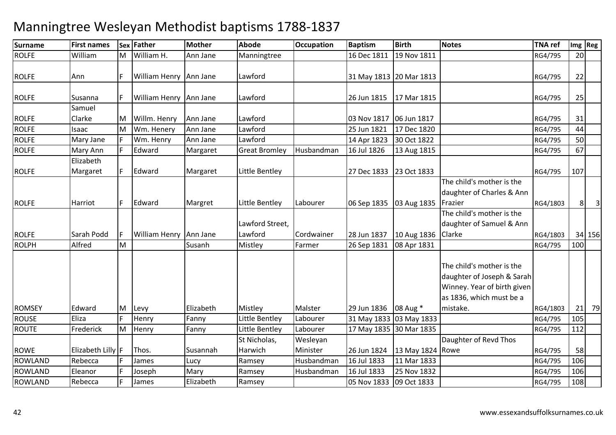### **Surname First names Sex Father Mother Abode OccupationOccupation** Baptism<br>16 Dec 1811 **Birth Notes TNA ref Img Reg** ROLFE WilliamMM | William H. Ann Jane Manningtree 16 0ec 1811 19 Nov 1811 19 Nov 1811 RG4/795 20 **ROLFE**  Ann <sup>F</sup> William Henry Ann Jane Lawford 31 May 1813 20 Mar 1813RG4/795 22 ROLFESusanna F William Henry JAnn Jane Lawford 26 Jun 1815 17 Mar 18155 RG4/795 25 ROLFE ROLFESamuel ClarkeMM | Willm. Henry | Ann Jane | Lawford | 1990 | 03 Nov 1817 | 06 Jun 1817 | 1990 | 1990 | 1990 | 1990 | 1990 | <br>Martin Llengwy - Ann Jane | Lawford | 1990 | 25 Jun 1931 | 17 Dec 1939 | 1990 | 1990 | 1990 | 2001 | 2001 | 14 Isaac MM Wm. Henery Ann Jane Lawford 25 Jun 1821 17 Dec 1820 RG4/795 44<br>E. Wiss Henry Ann Jane Lawford 1996 1820 2001 1822 2001 1822 ROLFEMary Jane F Wm. Henry Ann Jane Lawford<br>Mary Ann F Edward Margaret Great Br 14 Apr 1823<br>Husbandman 16 Jul 1826 30 Oct 1822 RG4/795 50<br>13 Aug 1815 ROLFE Mary Annn F Edward Margaret Great Bromley Husbandman 16 Jul 1826 13 Aug 1815 | RG4/795 ROLFEElizabeth Margaret F Edward Margaret Little Bentley 27 Dec 1833 23 Oct 1833 RG4/795 <sup>107</sup> ROLFEE 1993 | Harriot | F | Edward | Margret | Little Bentley | Labourer | 06 Sep 1835 | 03 Aug 1835 The child's mother is the daughter of Charles & Ann 03 Aug 1835 Frazier RG4/1803 $\begin{array}{c|c} 3 & 8 & 3 \end{array}$ ROLFE Sarah PoddWilliam Henry Ann Jane Lawford Street, Lawford Cordwainer 28 Jun 1837 10 Aug 1836 Clarke 08 Apr 1831 The child's mother is the daughter of Samuel & Ann RG4/1803 34 156<br>RG4/795 100 ROLPH Alfred MM Susanh Mistley Farmer 26 Sep 1831 08 Apr 1831 RG4/795 100 ROMSEYEdward<br>Eliza M Levy Elizabeth Mistley Malster 29 Jun 1836 08 Aug \* The child's mother is the daughter of Joseph & Sarah Winney. Year of birth given as 1836, which must be a mistake. RG4/1803RG4/1803 21 79<br>RG4/795 105 **ROUSE** E F Eliza F Henry Fanny Little Bentley Labourer 31 May 1833 03 May 1833 RG4/795 <sup>105</sup> **ROUTE**  Frederick M Henry M Henry Fanny Little Bentley Labourer 17 May 1835 30 Mar 1835 RG4/795 RG4/795 112<br>Result in the Statistics Medicine ROWE $E$ Iizabeth Lilly  $|F|$  Thos. Susannah St Nicholas, HarwichRamsey Wesleyan Ministerr 126 Jun 1824 | 13 May 1824 | Rowe 11 Mar 1833 Daughter of Revd Thos RG4/795 58 106 ROWLANDD Rebecca F James Lucy Ramsey Husbandman 16 Jul 1833 11 Mar 1833 RG4/795 106 ROWLANDD Eleanor F Joseph Mary Ramsey Husbandman 16 Jul 1833 25 Nov 1832 RG4/795 106 ROWLANDD Rebecca F James Elizabeth Ramsey 105 Nov 1833 09 Oct 1833 RG4/795 108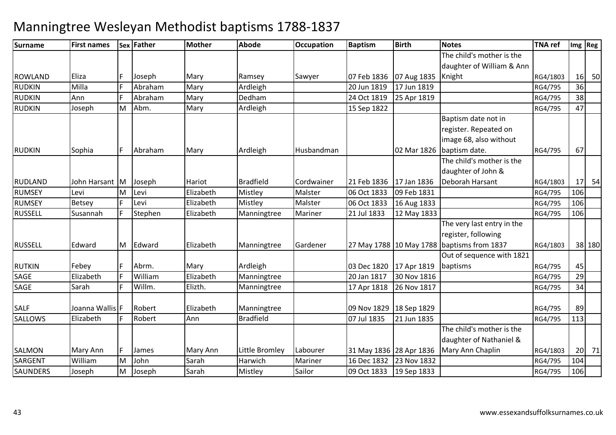| Surname         | <b>First names</b> |   | Sex Father | <b>Mother</b> | <b>Abode</b>     | <b>Occupation</b> | <b>Baptism</b>            | <b>Birth</b>            | <b>Notes</b>               | <b>TNA ref</b> |     | Img Reg |
|-----------------|--------------------|---|------------|---------------|------------------|-------------------|---------------------------|-------------------------|----------------------------|----------------|-----|---------|
|                 |                    |   |            |               |                  |                   |                           |                         | The child's mother is the  |                |     |         |
|                 |                    |   |            |               |                  |                   |                           |                         | daughter of William & Ann  |                |     |         |
| <b>ROWLAND</b>  | Eliza              |   | Joseph     | Mary          | Ramsey           | Sawyer            | 07 Feb 1836               | 07 Aug 1835             | Knight                     | RG4/1803       | 16  | 50      |
| <b>RUDKIN</b>   | Milla              |   | Abraham    | Mary          | Ardleigh         |                   | 20 Jun 1819               | 17 Jun 1819             |                            | RG4/795        | 36  |         |
| <b>RUDKIN</b>   | Ann                |   | Abraham    | Mary          | Dedham           |                   | 24 Oct 1819               | 25 Apr 1819             |                            | RG4/795        | 38  |         |
| <b>RUDKIN</b>   | Joseph             | M | Abm.       | Mary          | Ardleigh         |                   | 15 Sep 1822               |                         |                            | RG4/795        | 47  |         |
|                 |                    |   |            |               |                  |                   |                           |                         | Baptism date not in        |                |     |         |
|                 |                    |   |            |               |                  |                   |                           |                         | register. Repeated on      |                |     |         |
|                 |                    |   |            |               |                  |                   |                           |                         | image 68, also without     |                |     |         |
| <b>RUDKIN</b>   | Sophia             |   | Abraham    | Mary          | Ardleigh         | Husbandman        |                           | 02 Mar 1826             | baptism date.              | RG4/795        | 67  |         |
|                 |                    |   |            |               |                  |                   |                           |                         | The child's mother is the  |                |     |         |
|                 |                    |   |            |               |                  |                   |                           |                         | daughter of John &         |                |     |         |
| <b>RUDLAND</b>  | John Harsant  M    |   | Joseph     | Hariot        | <b>Bradfield</b> | Cordwainer        | 21 Feb 1836               | 17 Jan 1836             | Deborah Harsant            | RG4/1803       | 17  | 54      |
| <b>RUMSEY</b>   | Levi               | M | Levi       | Elizabeth     | Mistley          | Malster           | 06 Oct 1833               | 09 Feb 1831             |                            | RG4/795        | 106 |         |
| <b>RUMSEY</b>   | Betsey             |   | Levi       | Elizabeth     | Mistley          | Malster           | 06 Oct 1833               | 16 Aug 1833             |                            | RG4/795        | 106 |         |
| <b>RUSSELL</b>  | Susannah           |   | Stephen    | Elizabeth     | Manningtree      | Mariner           | 21 Jul 1833               | 12 May 1833             |                            | RG4/795        | 106 |         |
|                 |                    |   |            |               |                  |                   |                           |                         | The very last entry in the |                |     |         |
|                 |                    |   |            |               |                  |                   |                           |                         | register, following        |                |     |         |
| <b>RUSSELL</b>  | Edward             | M | Edward     | Elizabeth     | Manningtree      | Gardener          |                           | 27 May 1788 10 May 1788 | baptisms from 1837         | RG4/1803       |     | 38 180  |
|                 |                    |   |            |               |                  |                   |                           |                         | Out of sequence with 1821  |                |     |         |
| <b>RUTKIN</b>   | Febey              |   | Abrm.      | Mary          | Ardleigh         |                   | 03 Dec 1820               | 17 Apr 1819             | baptisms                   | RG4/795        | 45  |         |
| SAGE            | Elizabeth          |   | William    | Elizabeth     | Manningtree      |                   | 20 Jan 1817               | 30 Nov 1816             |                            | RG4/795        | 29  |         |
| SAGE            | Sarah              |   | Willm.     | Elizth.       | Manningtree      |                   | 17 Apr 1818               | 26 Nov 1817             |                            | RG4/795        | 34  |         |
|                 |                    |   |            |               |                  |                   |                           |                         |                            |                |     |         |
| <b>SALF</b>     | Joanna Wallis F    |   | Robert     | Elizabeth     | Manningtree      |                   | 09 Nov 1829   18 Sep 1829 |                         |                            | RG4/795        | 89  |         |
| <b>SALLOWS</b>  | Elizabeth          |   | Robert     | Ann           | <b>Bradfield</b> |                   | 07 Jul 1835               | 21 Jun 1835             |                            | RG4/795        | 113 |         |
|                 |                    |   |            |               |                  |                   |                           |                         | The child's mother is the  |                |     |         |
|                 |                    |   |            |               |                  |                   |                           |                         | daughter of Nathaniel &    |                |     |         |
| <b>SALMON</b>   | Mary Ann           |   | James      | Mary Ann      | Little Bromley   | Labourer          | 31 May 1836 28 Apr 1836   |                         | Mary Ann Chaplin           | RG4/1803       | 20  | 71      |
| <b>SARGENT</b>  | William            | M | John       | Sarah         | Harwich          | Mariner           | 16 Dec 1832               | 23 Nov 1832             |                            | RG4/795        | 104 |         |
| <b>SAUNDERS</b> | Joseph             | M | Joseph     | Sarah         | Mistley          | Sailor            | 09 Oct 1833               | 19 Sep 1833             |                            | RG4/795        | 106 |         |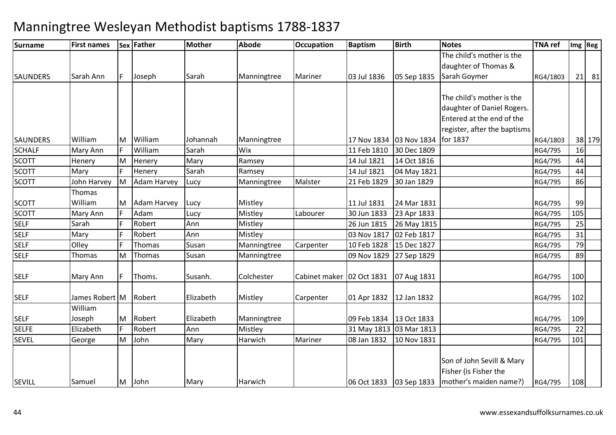| <b>Surname</b>  | <b>First names</b> |    | Sex Father         | <b>Mother</b> | <b>Abode</b> | <b>Occupation</b>           | <b>Baptism</b>          | <b>Birth</b>            | <b>Notes</b>                                       | <b>TNA</b> ref |     | Img Reg |
|-----------------|--------------------|----|--------------------|---------------|--------------|-----------------------------|-------------------------|-------------------------|----------------------------------------------------|----------------|-----|---------|
|                 |                    |    |                    |               |              |                             |                         |                         | The child's mother is the<br>daughter of Thomas &  |                |     |         |
| <b>SAUNDERS</b> | Sarah Ann          | F. | Joseph             | Sarah         | Manningtree  | Mariner                     | 03 Jul 1836             | 05 Sep 1835             | Sarah Goymer                                       | RG4/1803       |     | $21$ 81 |
|                 |                    |    |                    |               |              |                             |                         |                         |                                                    |                |     |         |
|                 |                    |    |                    |               |              |                             |                         |                         | The child's mother is the                          |                |     |         |
|                 |                    |    |                    |               |              |                             |                         |                         | daughter of Daniel Rogers.                         |                |     |         |
|                 |                    |    |                    |               |              |                             |                         |                         | Entered at the end of the                          |                |     |         |
|                 |                    |    |                    |               |              |                             |                         |                         | register, after the baptisms                       |                |     |         |
| <b>SAUNDERS</b> | William            | M  | William            | Johannah      | Manningtree  |                             | 17 Nov 1834             | 03 Nov 1834             | for 1837                                           | RG4/1803       |     | 38 179  |
| <b>SCHALF</b>   | Mary Ann           |    | William            | Sarah         | <b>Wix</b>   |                             | 11 Feb 1810             | 30 Dec 1809             |                                                    | RG4/795        | 16  |         |
| <b>SCOTT</b>    | Henery             | M  | Henery             | Mary          | Ramsey       |                             | 14 Jul 1821             | 14 Oct 1816             |                                                    | RG4/795        | 44  |         |
| <b>SCOTT</b>    | Mary               |    | Henery             | Sarah         | Ramsey       |                             | 14 Jul 1821             | 04 May 1821             |                                                    | RG4/795        | 44  |         |
| <b>SCOTT</b>    | John Harvey        | M  | <b>Adam Harvey</b> | Lucy          | Manningtree  | Malster                     | 21 Feb 1829             | 30 Jan 1829             |                                                    | RG4/795        | 86  |         |
|                 | Thomas             |    |                    |               |              |                             |                         |                         |                                                    |                |     |         |
| <b>SCOTT</b>    | William            | M  | <b>Adam Harvey</b> | Lucy          | Mistley      |                             | 11 Jul 1831             | 24 Mar 1831             |                                                    | RG4/795        | 99  |         |
| <b>SCOTT</b>    | Mary Ann           |    | Adam               | Lucy          | Mistley      | Labourer                    | 30 Jun 1833             | 23 Apr 1833             |                                                    | RG4/795        | 105 |         |
| <b>SELF</b>     | Sarah              |    | Robert             | Ann           | Mistley      |                             | 26 Jun 1815             | 26 May 1815             |                                                    | RG4/795        | 25  |         |
| <b>SELF</b>     | Mary               |    | Robert             | Ann           | Mistley      |                             | 03 Nov 1817             | 02 Feb 1817             |                                                    | RG4/795        | 31  |         |
| <b>SELF</b>     | Olley              |    | <b>Thomas</b>      | Susan         | Manningtree  | Carpenter                   | 10 Feb 1828             | 15 Dec 1827             |                                                    | RG4/795        | 79  |         |
| <b>SELF</b>     | Thomas             | M  | Thomas             | Susan         | Manningtree  |                             | 09 Nov 1829             | 27 Sep 1829             |                                                    | RG4/795        | 89  |         |
| <b>SELF</b>     | Mary Ann           | F. | Thoms.             | Susanh.       | Colchester   | Cabinet maker   02 Oct 1831 |                         | 07 Aug 1831             |                                                    | RG4/795        | 100 |         |
| <b>SELF</b>     | James Robert M     |    | Robert             | Elizabeth     | Mistley      | Carpenter                   | 01 Apr 1832             | 12 Jan 1832             |                                                    | RG4/795        | 102 |         |
|                 | William            |    |                    |               |              |                             |                         |                         |                                                    |                |     |         |
| <b>SELF</b>     | Joseph             | M  | Robert             | Elizabeth     | Manningtree  |                             | 09 Feb 1834 13 Oct 1833 |                         |                                                    | RG4/795        | 109 |         |
| <b>SELFE</b>    | Elizabeth          | F. | Robert             | Ann           | Mistley      |                             |                         | 31 May 1813 03 Mar 1813 |                                                    | RG4/795        | 22  |         |
| <b>SEVEL</b>    | George             | M  | John               | Mary          | Harwich      | Mariner                     | 08 Jan 1832             | 10 Nov 1831             |                                                    | RG4/795        | 101 |         |
|                 |                    |    |                    |               |              |                             |                         |                         | Son of John Sevill & Mary<br>Fisher (is Fisher the |                |     |         |
| <b>SEVILL</b>   | Samuel             | M  | John               | Mary          | Harwich      |                             | 06 Oct 1833             | 03 Sep 1833             | mother's maiden name?)                             | RG4/795        | 108 |         |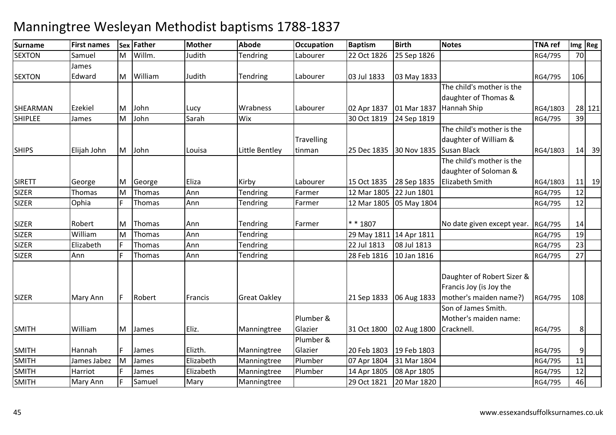#### **Surname First names Sex Father Mother Abode OccupationOccupation Baptism**<br>Labourer 22 Oct 1826 **Birth Notes TNA ref Img Reg SEXTON**  Samuel MM Willm. Judith Tendring Labourer 22 Oct 1826 25 Sep 1826 RG4/795 70 **SEXTON** James EdwardMM William Judith Tendring Labourer 03 Jul 1833 03 May 1833 RG4/795 106<br>
Here is the still continued by the still continued by the still continued by the still continued by the still SHEARMAN Ezekiel M John Lucy Wrabness Labourer 02 Apr 1837 01 Mar 1837 The child's mother is the daughter of Thomas & Hannah ShipRG4/1803 28 121<br>RG4/795 39 SHIPLEE James M John Sarah Wix 30 Oct 1819 24 Sep 1819 RG4/795 <sup>39</sup> **SHIPS**  Elijah JohnM John Louisa Little Bentley **Travelling** tinman25 Dec 1835 The child's mother is the daughter of William & 30 Nov 1835 Susan Black RG4/1803 <sup>14</sup> <sup>39</sup>SIRETT George MM George Eliza Kirby Labourer 15 Oct 1835 28 Sep 1835 The child's mother is the daughter of Soloman & Elizabeth SmithRG4/1803 11 19<br>RG4/795 12 SIZERThomas<br>Ophia MM Thomas Ann Tendring Farmer 12 Mar 1805 22 Jun 1801 RG4/795 12<br>E Thomas Ann Tendring Farmer 12 Mar 1995 95 Mar 1994 SIZERR Cophia F Thomas Ann Tendring Farmer 12 Mar 1805 05 May 1804 RG4/795 12 SIZER Robert MM Thomas Ann Tendring Farmer \* 1807 No date given except year. RG4/795 14<br>M Thomas Ann Tendring Tendring 20 May 1911 14 Ann 1914 SIZER WilliamElizabeth MM Thomas Ann Tendring 29 May 1811 14 Apr 1811 114 Apr 2011 1812 19 RG4/795 19<br>En Thomas Ann Tendring 1991 1992 1991 1992 1994 1993 SIZERR Clizabeth F Thomas Ann Tendring 22 Jul 1813 08 Jul 1813 22 Jul 1813 23 SIZERR Ann F Thomas Ann Tendring 28 Feb 1816 10 Jan 1816 10 Jan 1816 RG4/795 27 SIZERR Mary Ann F Robert Francis Great Oakley 21 Sep 1833 06 Aug 1833 Daughter of Robert Sizer & Francis Joy (is Joy the mother's maiden name?) RG4/795 <sup>108</sup>SMITH WilliamM James Eliz. Manningtree Plumber & Glazier 31 Oct 1800 02 Aug 1800Son of James Smith. Mother's maiden name: Cracknell. RG4/7958SMITH Hannah <sup>F</sup> James Elizth. Manningtree Plumber & Glazier 20 Feb 1803 19 Feb 1803 RG4/795 911 SMITHJames Jabez<br>Harriot M James Elizabeth Manningtree Plumber 07 Apr 1804 31 Mar 1804 RG4/795 <sup>11</sup> SMITHH Harriot F James Elizabeth Manningtree Plumber 14 Apr 1805 08 Apr 1805 | RG4/795 | 12 SMITHH Mary Ann F Samuel Mary Manningtree 29 Oct 1821 20 Mar 1820 RG4/795 46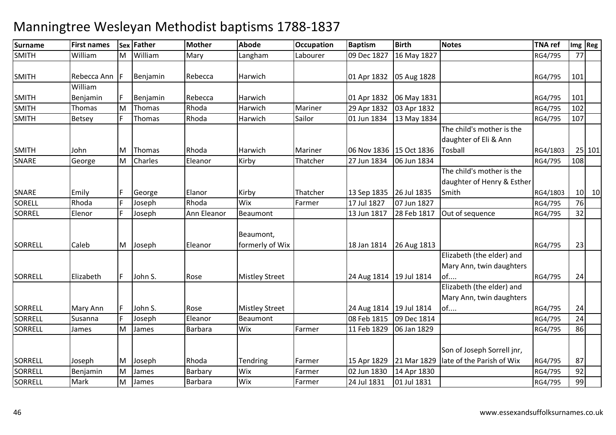| <b>Surname</b> | <b>First names</b> |   | Sex Father | <b>Mother</b>  | <b>Abode</b>                 | <b>Occupation</b> | <b>Baptism</b>            | <b>Birth</b> | <b>Notes</b>                                                | <b>TNA ref</b> |     | Img Reg |
|----------------|--------------------|---|------------|----------------|------------------------------|-------------------|---------------------------|--------------|-------------------------------------------------------------|----------------|-----|---------|
| <b>SMITH</b>   | William            | M | William    | Mary           | Langham                      | Labourer          | 09 Dec 1827               | 16 May 1827  |                                                             | RG4/795        | 77  |         |
| <b>SMITH</b>   | Rebecca Ann        |   | Benjamin   | Rebecca        | Harwich                      |                   | 01 Apr 1832   05 Aug 1828 |              |                                                             | RG4/795        | 101 |         |
|                | William            |   |            |                |                              |                   |                           |              |                                                             |                |     |         |
| <b>SMITH</b>   | Benjamin           |   | Benjamin   | Rebecca        | Harwich                      |                   | 01 Apr 1832               | 06 May 1831  |                                                             | RG4/795        | 101 |         |
| <b>SMITH</b>   | Thomas             | M | Thomas     | Rhoda          | Harwich                      | Mariner           | 29 Apr 1832               | 03 Apr 1832  |                                                             | RG4/795        | 102 |         |
| <b>SMITH</b>   | <b>Betsey</b>      |   | Thomas     | Rhoda          | Harwich                      | Sailor            | 01 Jun 1834               | 13 May 1834  |                                                             | RG4/795        | 107 |         |
|                |                    |   |            |                |                              |                   |                           |              | The child's mother is the<br>daughter of Eli & Ann          |                |     |         |
| <b>SMITH</b>   | John               | М | Thomas     | Rhoda          | Harwich                      | Mariner           | 06 Nov 1836   15 Oct 1836 |              | Tosball                                                     | RG4/1803       |     | 25 101  |
| <b>SNARE</b>   | George             | M | Charles    | Eleanor        | Kirby                        | Thatcher          | 27 Jun 1834               | 06 Jun 1834  |                                                             | RG4/795        | 108 |         |
|                |                    |   |            |                |                              |                   |                           |              | The child's mother is the<br>daughter of Henry & Esther     |                |     |         |
| <b>SNARE</b>   | Emily              |   | George     | Elanor         | Kirby                        | Thatcher          | 13 Sep 1835               | 26 Jul 1835  | Smith                                                       | RG4/1803       |     | $10$ 10 |
| SORELL         | Rhoda              |   | Joseph     | Rhoda          | Wix                          | Farmer            | 17 Jul 1827               | 07 Jun 1827  |                                                             | RG4/795        | 76  |         |
| <b>SORREL</b>  | Elenor             |   | Joseph     | Ann Eleanor    | Beaumont                     |                   | 13 Jun 1817               | 28 Feb 1817  | Out of sequence                                             | RG4/795        | 32  |         |
| SORRELL        | Caleb              | M | Joseph     | Eleanor        | Beaumont,<br>formerly of Wix |                   | 18 Jan 1814               | 26 Aug 1813  |                                                             | RG4/795        | 23  |         |
| SORRELL        | Elizabeth          | F | John S.    | Rose           | <b>Mistley Street</b>        |                   | 24 Aug 1814   19 Jul 1814 |              | Elizabeth (the elder) and<br>Mary Ann, twin daughters<br>of | RG4/795        | 24  |         |
|                |                    |   |            |                |                              |                   |                           |              | Elizabeth (the elder) and<br>Mary Ann, twin daughters       |                |     |         |
| SORRELL        | Mary Ann           |   | John S.    | Rose           | <b>Mistley Street</b>        |                   | 24 Aug 1814   19 Jul 1814 |              | of                                                          | RG4/795        | 24  |         |
| SORRELL        | Susanna            |   | Joseph     | Eleanor        | Beaumont                     |                   | 08 Feb 1815               | 09 Dec 1814  |                                                             | RG4/795        | 24  |         |
| SORRELL        | James              | M | James      | <b>Barbara</b> | Wix                          | Farmer            | 11 Feb 1829               | 06 Jan 1829  |                                                             | RG4/795        | 86  |         |
|                |                    |   |            |                |                              |                   |                           |              | Son of Joseph Sorrell jnr,                                  |                |     |         |
| <b>SORRELL</b> | Joseph             | M | Joseph     | Rhoda          | Tendring                     | Farmer            | 15 Apr 1829               | 21 Mar 1829  | late of the Parish of Wix                                   | RG4/795        | 87  |         |
| SORRELL        | Benjamin           | M | James      | Barbary        | Wix                          | Farmer            | 02 Jun 1830               | 14 Apr 1830  |                                                             | RG4/795        | 92  |         |
| SORRELL        | Mark               | M | James      | Barbara        | Wix                          | Farmer            | 24 Jul 1831               | 01 Jul 1831  |                                                             | RG4/795        | 99  |         |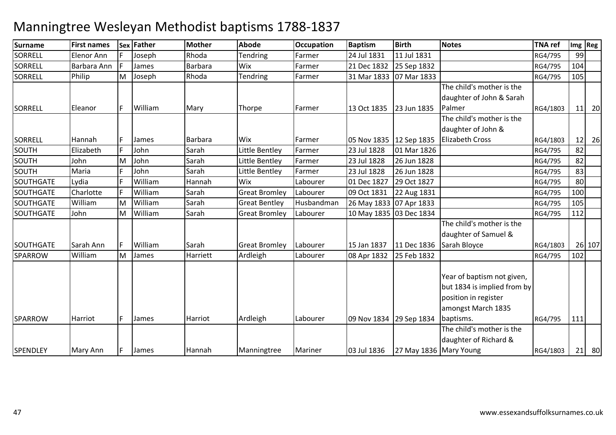| <b>Surname</b>   | <b>First names</b> |    | Sex Father   | <b>Mother</b> | <b>Abode</b>         | <b>Occupation</b> | <b>Baptism</b>          | <b>Birth</b>           | <b>Notes</b>                | <b>TNA ref</b> |     | Img Reg |
|------------------|--------------------|----|--------------|---------------|----------------------|-------------------|-------------------------|------------------------|-----------------------------|----------------|-----|---------|
| <b>SORRELL</b>   | Elenor Ann         |    | Joseph       | Rhoda         | <b>Tendring</b>      | Farmer            | 24 Jul 1831             | 11 Jul 1831            |                             | RG4/795        | 99  |         |
| SORRELL          | Barbara Ann        |    | James        | Barbara       | Wix                  | Farmer            | 21 Dec 1832             | 25 Sep 1832            |                             | RG4/795        | 104 |         |
| <b>SORRELL</b>   | Philip             | M  | Joseph       | Rhoda         | Tendring             | Farmer            | 31 Mar 1833             | 07 Mar 1833            |                             | RG4/795        | 105 |         |
|                  |                    |    |              |               |                      |                   |                         |                        | The child's mother is the   |                |     |         |
|                  |                    |    |              |               |                      |                   |                         |                        | daughter of John & Sarah    |                |     |         |
| <b>SORRELL</b>   | Eleanor            | F. | William      | Mary          | Thorpe               | Farmer            | 13 Oct 1835             | 23 Jun 1835            | Palmer                      | RG4/1803       |     | $11$ 20 |
|                  |                    |    |              |               |                      |                   |                         |                        | The child's mother is the   |                |     |         |
|                  |                    |    |              |               |                      |                   |                         |                        | daughter of John &          |                |     |         |
| <b>SORRELL</b>   | Hannah             | F. | James        | Barbara       | Wix                  | Farmer            | 05 Nov 1835 12 Sep 1835 |                        | <b>Elizabeth Cross</b>      | RG4/1803       | 12  | 26      |
| SOUTH            | Elizabeth          |    | John         | Sarah         | Little Bentley       | Farmer            | 23 Jul 1828             | 01 Mar 1826            |                             | RG4/795        | 82  |         |
| <b>SOUTH</b>     | John               | Μ  | John         | Sarah         | Little Bentley       | Farmer            | 23 Jul 1828             | 26 Jun 1828            |                             | RG4/795        | 82  |         |
| SOUTH            | Maria              |    | John         | Sarah         | Little Bentley       | Farmer            | 23 Jul 1828             | 26 Jun 1828            |                             | RG4/795        | 83  |         |
| SOUTHGATE        | Lydia              |    | William      | Hannah        | Wix                  | Labourer          | 01 Dec 1827             | 29 Oct 1827            |                             | RG4/795        | 80  |         |
| <b>SOUTHGATE</b> | Charlotte          |    | William      | Sarah         | <b>Great Bromley</b> | Labourer          | 09 Oct 1831             | 22 Aug 1831            |                             | RG4/795        | 100 |         |
| SOUTHGATE        | William            | M  | William      | Sarah         | <b>Great Bentley</b> | Husbandman        | 26 May 1833 07 Apr 1833 |                        |                             | RG4/795        | 105 |         |
| <b>SOUTHGATE</b> | John               | M  | William      | Sarah         | <b>Great Bromley</b> | Labourer          | 10 May 1835 03 Dec 1834 |                        |                             | RG4/795        | 112 |         |
|                  |                    |    |              |               |                      |                   |                         |                        | The child's mother is the   |                |     |         |
|                  |                    |    |              |               |                      |                   |                         |                        | daughter of Samuel &        |                |     |         |
| <b>SOUTHGATE</b> | Sarah Ann          | F. | William      | Sarah         | <b>Great Bromley</b> | Labourer          | 15 Jan 1837             | 11 Dec 1836            | Sarah Bloyce                | RG4/1803       |     | 26 107  |
| <b>SPARROW</b>   | William            | M  | James        | Harriett      | Ardleigh             | Labourer          | 08 Apr 1832             | 25 Feb 1832            |                             | RG4/795        | 102 |         |
|                  |                    |    |              |               |                      |                   |                         |                        |                             |                |     |         |
|                  |                    |    |              |               |                      |                   |                         |                        | Year of baptism not given,  |                |     |         |
|                  |                    |    |              |               |                      |                   |                         |                        | but 1834 is implied from by |                |     |         |
|                  |                    |    |              |               |                      |                   |                         |                        | position in register        |                |     |         |
|                  |                    |    |              |               |                      |                   |                         |                        | amongst March 1835          |                |     |         |
| <b>SPARROW</b>   | Harriot            | F. | <b>James</b> | Harriot       | Ardleigh             | Labourer          | 09 Nov 1834 29 Sep 1834 |                        | baptisms.                   | RG4/795        | 111 |         |
|                  |                    |    |              |               |                      |                   |                         |                        | The child's mother is the   |                |     |         |
|                  |                    |    |              |               |                      |                   |                         |                        | daughter of Richard &       |                |     |         |
| <b>SPENDLEY</b>  | Mary Ann           |    | <b>James</b> | Hannah        | Manningtree          | Mariner           | 03 Jul 1836             | 27 May 1836 Mary Young |                             | RG4/1803       |     | $21$ 80 |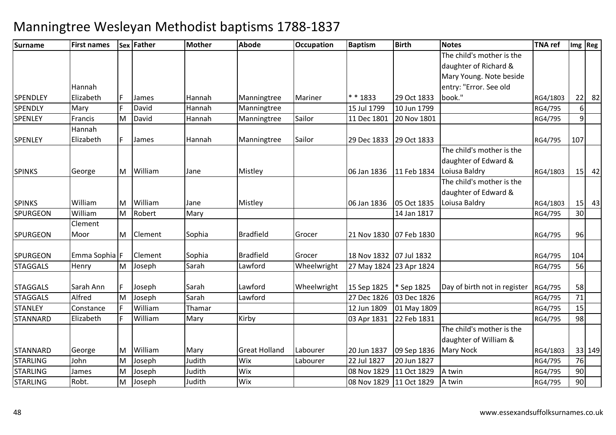| <b>Surname</b>  | <b>First names</b> |    | Sex Father | <b>Mother</b> | <b>Abode</b>         | <b>Occupation</b> | <b>Baptism</b>          | <b>Birth</b> | <b>Notes</b>                 | <b>TNA</b> ref |                 | $Im g$ Reg |
|-----------------|--------------------|----|------------|---------------|----------------------|-------------------|-------------------------|--------------|------------------------------|----------------|-----------------|------------|
|                 |                    |    |            |               |                      |                   |                         |              | The child's mother is the    |                |                 |            |
|                 |                    |    |            |               |                      |                   |                         |              | daughter of Richard &        |                |                 |            |
|                 |                    |    |            |               |                      |                   |                         |              | Mary Young. Note beside      |                |                 |            |
|                 | Hannah             |    |            |               |                      |                   |                         |              | entry: "Error. See old       |                |                 |            |
| <b>SPENDLEY</b> | Elizabeth          | F. | James      | Hannah        | Manningtree          | Mariner           | * * 1833                | 29 Oct 1833  | book."                       | RG4/1803       | 22              | 82         |
| <b>SPENDLY</b>  | Mary               | Ė  | David      | Hannah        | Manningtree          |                   | 15 Jul 1799             | 10 Jun 1799  |                              | RG4/795        | 6               |            |
| <b>SPENLEY</b>  | Francis            | M  | David      | Hannah        | Manningtree          | Sailor            | 11 Dec 1801             | 20 Nov 1801  |                              | RG4/795        | $\overline{9}$  |            |
|                 | Hannah             |    |            |               |                      |                   |                         |              |                              |                |                 |            |
| <b>SPENLEY</b>  | Elizabeth          | F. | James      | Hannah        | Manningtree          | Sailor            | 29 Dec 1833             | 29 Oct 1833  |                              | RG4/795        | 107             |            |
|                 |                    |    |            |               |                      |                   |                         |              | The child's mother is the    |                |                 |            |
|                 |                    |    |            |               |                      |                   |                         |              | daughter of Edward &         |                |                 |            |
| <b>SPINKS</b>   | George             | M  | William    | Jane          | Mistley              |                   | 06 Jan 1836             | 11 Feb 1834  | Loiusa Baldry                | RG4/1803       | 15              | 42         |
|                 |                    |    |            |               |                      |                   |                         |              | The child's mother is the    |                |                 |            |
|                 |                    |    |            |               |                      |                   |                         |              | daughter of Edward &         |                |                 |            |
| <b>SPINKS</b>   | William            | M  | William    | Jane          | Mistley              |                   | 06 Jan 1836             | 05 Oct 1835  | Loiusa Baldry                | RG4/1803       | 15              | 43         |
| <b>SPURGEON</b> | William            | M  | Robert     | Mary          |                      |                   |                         | 14 Jan 1817  |                              | RG4/795        | 30 <sup>1</sup> |            |
|                 | Clement            |    |            |               |                      |                   |                         |              |                              |                |                 |            |
| <b>SPURGEON</b> | Moor               |    | M Clement  | Sophia        | <b>Bradfield</b>     | Grocer            | 21 Nov 1830 07 Feb 1830 |              |                              | RG4/795        | 96              |            |
| <b>SPURGEON</b> | Emma Sophia F      |    | Clement    | Sophia        | <b>Bradfield</b>     | Grocer            | 18 Nov 1832 07 Jul 1832 |              |                              | RG4/795        | 104             |            |
|                 |                    |    |            | Sarah         | Lawford              |                   |                         |              |                              |                | 56              |            |
| <b>STAGGALS</b> | Henry              | M  | Joseph     |               |                      | Wheelwright       | 27 May 1824 23 Apr 1824 |              |                              | RG4/795        |                 |            |
| <b>STAGGALS</b> | Sarah Ann          | F. | Joseph     | Sarah         | Lawford              | Wheelwright       | 15 Sep 1825             | * Sep 1825   | Day of birth not in register | RG4/795        | 58              |            |
| <b>STAGGALS</b> | Alfred             | M  | Joseph     | Sarah         | Lawford              |                   | 27 Dec 1826             | 03 Dec 1826  |                              | RG4/795        | 71              |            |
| <b>STANLEY</b>  | Constance          |    | William    | Thamar        |                      |                   | 12 Jun 1809             | 01 May 1809  |                              | RG4/795        | 15              |            |
| <b>STANNARD</b> | Elizabeth          | F. | William    | Mary          | Kirby                |                   | 03 Apr 1831             | 22 Feb 1831  |                              | RG4/795        | 98              |            |
|                 |                    |    |            |               |                      |                   |                         |              | The child's mother is the    |                |                 |            |
|                 |                    |    |            |               |                      |                   |                         |              | daughter of William &        |                |                 |            |
| <b>STANNARD</b> | George             | M  | William    | Mary          | <b>Great Holland</b> | Labourer          | 20 Jun 1837             | 09 Sep 1836  | <b>Mary Nock</b>             | RG4/1803       |                 | 33 149     |
| <b>STARLING</b> | John               | M  | Joseph     | Judith        | Wix                  | Labourer          | 22 Jul 1827             | 20 Jun 1827  |                              | RG4/795        | 76              |            |
| <b>STARLING</b> | James              | M  | Joseph     | Judith        | Wix                  |                   | 08 Nov 1829             | 11 Oct 1829  | A twin                       | RG4/795        | 90              |            |
| <b>STARLING</b> | Robt.              | M  | Joseph     | Judith        | Wix                  |                   | 08 Nov 1829             | 11 Oct 1829  | A twin                       | RG4/795        | 90              |            |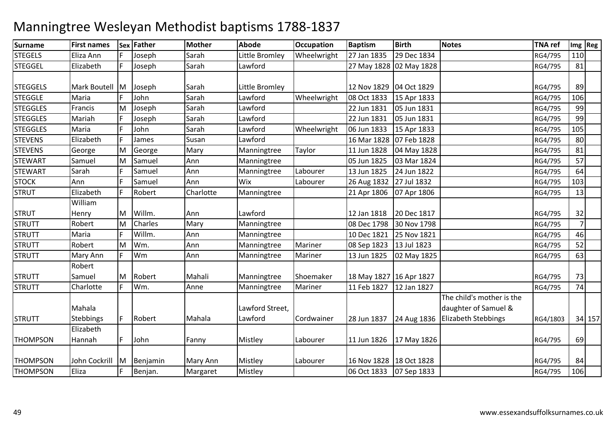#### **Surname First names Sex Father Mother Abode OccupationOccupation Baptism**<br>Wheelwright 27 Jan 1835 **Birth Notes TNA ref Img Reg** STEGELS Eliza Annn |F Joseph | Sarah | Little Bromley | Wheelwright | 27 Jan 1835 **29 Dec 1834** RG4/795 110 STEGGEL Elizabeth <sup>F</sup> Joseph Sarah Lawford 27 May 1828 02 May 1828 RG4/795 <sup>81</sup> **STEGGELS** S Mark Boutell M Joseph Sarah Little Bromley 12 Nov 1829 04 Oct 1829 RG4/795 <sup>89</sup> **STEGGLE** Maria F John<br>Francis M Joseph Sarah Lawford Wheelwright 08 Oct 1833<br>
Sarah Lawford 22 Jun 1831 15 Apr 1833 RG4/795 106<br>105 Jun 1831 RG4/795 99 **STEGGLES**  Francis M Joseph Sarah Lawford 22 Jun 1831 05 Jun 1831 RG4/795 <sup>99</sup> **STEGGLES**  Mariahh |F Joseph |Sarah |Lawford | 22 Jun 1831 22 Jun 1831 | 05 Jun 1831 | RG4/795 | 99<br>| 06 Jun 1833 | 15 Apr 1833 | RG4/795 | 105 **STEGGLES**  Maria <sup>F</sup> JohnSarah Lawford Wheelwright 06 Jun 1833<br>Susan Lawford 16 Mar 1828 15 Apr 1833 RG4/795 <sup>105</sup> STEVENS Elizabethh |F |James |Susan |Lawford | 16 Mar 1828 16 Mar 1828 | 07 Feb 1828 | 1828 | 1920 | 1930 | 1940 | 1950 | 1964 | 1970 | 1980 | 1980 | 1980 | 1980 | 1980<br>| 11 Jun 1828 | 04 May 1828 | 1980 | 1980 | 1980 | 1980 | 1980 | 1980 | 1980 | 1980 | 1980 | 1980 | 1980 | 19 **STEVENS**  GeorgeT<sub>Samuel</sub> MM George Mary Manningtree Taylor 11 Jun 1828 04 May 1828 RG4/795 81<br>Margaret Mary Manningtree Taylor 2011 1928 8224 1934 **STEWART** MM Samuel Ann Manningtree 05 Jun 1825 03 Mar 1824 RG4/795 57<br>E Genuel Ann Manningtree 1shawar 1921 1935 21 1933 STEWART Sarahh F Samuel Ann Manningtree Labourer 13 Jun 1825 13 Jun 1825 24 Jun 1822 | RG4/795 64<br>26 Aug 1832 27 Jul 1832 | RG4/795 103 **STOCK** K Ann F Samuel Ann Wix Labourer 26 Aug 1832 27 Jul 1832 RG4/795 103 **STRUT**  Elizabeth <sup>F</sup> Robert Charlotte Manningtree 21 Apr 180621 Apr 1806 | 07 Apr 1806 | RG4/795 | 13 STRUT STRUTTWilliam HenryT<sub>Robert</sub> MM Willm. Ann Lawford 12 Jan 1818 20 Dec 1817<br>M. Charles Mary Marriative 14 00 Dec 1799 20 Nu 1799 1799 2001 1799 2001 MM Charles Mary Manningtree 08 Dec 1798 30 Nov 1798 1988 1998 RG4/795<br>E William Ann Manningtree 16 000 1894 25 Nov 1994 746 **STRUTT**  Maria <sup>F</sup> Willm. AnnAnn Manningtree 10 Dec 1821<br>Ann Manningtree Mariner 08 Sep 1823 25 Nov 1821 RG4/795 46<br>13 Jul 1823 RG4/795 52 **STRUTT**  Robert M Wm. Ann Manningtree Mariner 08 Sep 1823 13 Jul 1823 RG4/795 <sup>52</sup> **STRUTT**  Mary AnnWm m 19 Ann Manningtree Mariner 13 Jun 1825 02 May 1825 1828 RG4/795 63 **STRUTT**  STRUTTRobert SamuelM Robert Mahali Manningtree Shoemaker 18 May 1827 16 Apr 1827 RG4/795 <sup>73</sup> T Charlotte F Wm. Anne Manningtree Mariner 11 Feb 1827 | 11 Feb 1827 | 12 Jan 1827 | 12 Jan 1827 | 12 Jan 1827 | 12 Jan 1828 | 12 Jan 1 **STRUTT** Mahala Stebbings <mark>F</mark> Robert Mahala Lawford Street, Lawford  $\left|$  Cordwainer  $\left|$  28 Jun 1837  $\left|$  24 Aug 1836 The child's mother is the daughter of Samuel & Elizabeth Stebbings RG4/1803 <sup>34</sup> <sup>157</sup>**THOMPSON** Elizabeth Hannahh |F |John | Fanny | Mistley | Labourer | 11 Jun 1826 | 17 May 1826 | 17 May 1826 | CONTROLLEY | RG4/795 | 69 **THOMPSON**  John Cockrill MM Benjamin Mary Ann Mistley Labourer 16 Nov 1828 18 Oct 1828 18 Minutes RG4/795 84<br>E Benjam Margaret Mistley 1866 1893 876 1893 1894 1894 1894 1895 1896 1897 **THOMPSON** N Eliza | F Benjan. Margaret Mistley | 106 Oct 1833 07 Sep 1833 | 1833 | KG4/795 | 106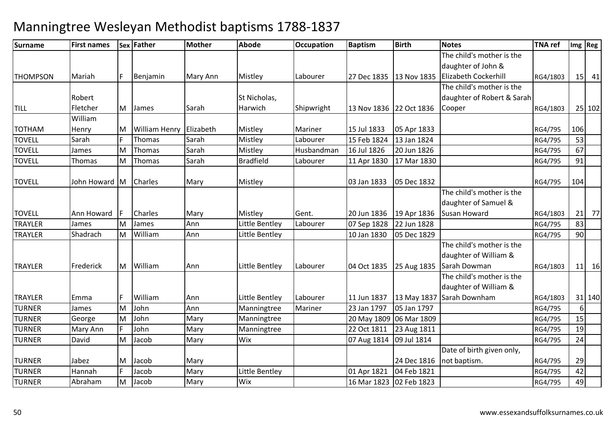| Surname         | <b>First names</b> |   | Sex Father              | <b>Mother</b> | <b>Abode</b>     | <b>Occupation</b> | <b>Baptism</b>          | <b>Birth</b>            | <b>Notes</b>                                 | <b>TNA</b> ref |          | Img Reg |
|-----------------|--------------------|---|-------------------------|---------------|------------------|-------------------|-------------------------|-------------------------|----------------------------------------------|----------------|----------|---------|
|                 |                    |   |                         |               |                  |                   |                         |                         | The child's mother is the                    |                |          |         |
|                 |                    |   |                         |               |                  |                   |                         |                         | daughter of John &                           |                |          |         |
| <b>THOMPSON</b> | Mariah             | F | Benjamin                | Mary Ann      | Mistley          | Labourer          |                         |                         | 27 Dec 1835 13 Nov 1835 Elizabeth Cockerhill | RG4/1803       |          | $15$ 41 |
|                 |                    |   |                         |               |                  |                   |                         |                         | The child's mother is the                    |                |          |         |
|                 | Robert             |   |                         |               | St Nicholas,     |                   |                         |                         | daughter of Robert & Sarah                   |                |          |         |
| <b>TILL</b>     | Fletcher           | M | James                   | Sarah         | Harwich          | Shipwright        | 13 Nov 1836 22 Oct 1836 |                         | Cooper                                       | RG4/1803       |          | 25 102  |
|                 | William            |   |                         |               |                  |                   |                         |                         |                                              |                |          |         |
| <b>TOTHAM</b>   | Henry              | M | William Henry Elizabeth |               | Mistley          | Mariner           | 15 Jul 1833             | 05 Apr 1833             |                                              | RG4/795        | 106      |         |
| <b>TOVELL</b>   | Sarah              |   | Thomas                  | Sarah         | Mistley          | Labourer          | 15 Feb 1824             | 13 Jan 1824             |                                              | RG4/795        | 53       |         |
| <b>TOVELL</b>   | James              | M | Thomas                  | Sarah         | Mistley          | Husbandman        | 16 Jul 1826             | 20 Jun 1826             |                                              | RG4/795        | 67       |         |
| <b>TOVELL</b>   | Thomas             | M | Thomas                  | Sarah         | <b>Bradfield</b> | Labourer          | 11 Apr 1830             | 17 Mar 1830             |                                              | RG4/795        | 91       |         |
| <b>TOVELL</b>   | John Howard M      |   | Charles                 | Mary          | Mistley          |                   | 03 Jan 1833             | 05 Dec 1832             |                                              | RG4/795        | 104      |         |
|                 |                    |   |                         |               |                  |                   |                         |                         | The child's mother is the                    |                |          |         |
|                 |                    |   |                         |               |                  |                   |                         |                         | daughter of Samuel &                         |                |          |         |
| <b>TOVELL</b>   | Ann Howard         |   | Charles                 | Mary          | Mistley          | Gent.             | 20 Jun 1836             | 19 Apr 1836             | Susan Howard                                 | RG4/1803       |          | $21$ 77 |
| <b>TRAYLER</b>  | James              | M | James                   | Ann           | Little Bentley   | Labourer          | 07 Sep 1828             | 22 Jun 1828             |                                              | RG4/795        | 83       |         |
| <b>TRAYLER</b>  | Shadrach           | M | William                 | Ann           | Little Bentley   |                   | 10 Jan 1830             | 05 Dec 1829             |                                              | RG4/795        | 90       |         |
|                 |                    |   |                         |               |                  |                   |                         |                         | The child's mother is the                    |                |          |         |
|                 |                    |   |                         |               |                  |                   |                         |                         | daughter of William &                        |                |          |         |
| <b>TRAYLER</b>  | Frederick          | M | William                 | Ann           | Little Bentley   | Labourer          | 04 Oct 1835             | 25 Aug 1835             | Sarah Dowman                                 | RG4/1803       |          | $11$ 16 |
|                 |                    |   |                         |               |                  |                   |                         |                         | The child's mother is the                    |                |          |         |
|                 |                    |   |                         |               |                  |                   |                         |                         | daughter of William &                        |                |          |         |
| <b>TRAYLER</b>  | Emma               | F | William                 | Ann           | Little Bentley   | Labourer          | 11 Jun 1837             | 13 May 1837             | Sarah Downham                                | RG4/1803       |          | 31 140  |
| <b>TURNER</b>   | James              | M | John                    | Ann           | Manningtree      | Mariner           | 23 Jan 1797             | 05 Jan 1797             |                                              | RG4/795        | $6 \mid$ |         |
| <b>TURNER</b>   | George             | M | John                    | Mary          | Manningtree      |                   |                         | 20 May 1809 06 Mar 1809 |                                              | RG4/795        | 15       |         |
| <b>TURNER</b>   | Mary Ann           |   | John                    | Mary          | Manningtree      |                   | 22 Oct 1811             | 23 Aug 1811             |                                              | RG4/795        | 19       |         |
| <b>TURNER</b>   | David              | M | Jacob                   | Mary          | Wix              |                   | 07 Aug 1814             | 09 Jul 1814             |                                              | RG4/795        | 24       |         |
|                 |                    |   |                         |               |                  |                   |                         |                         | Date of birth given only,                    |                |          |         |
| <b>TURNER</b>   | Jabez              | M | Jacob                   | Mary          |                  |                   |                         | 24 Dec 1816             | not baptism.                                 | RG4/795        | 29       |         |
| <b>TURNER</b>   | Hannah             |   | Jacob                   | Mary          | Little Bentley   |                   | 01 Apr 1821             | 04 Feb 1821             |                                              | RG4/795        | 42       |         |
| <b>TURNER</b>   | Abraham            | M | Jacob                   | Mary          | Wix              |                   | 16 Mar 1823 02 Feb 1823 |                         |                                              | RG4/795        | 49       |         |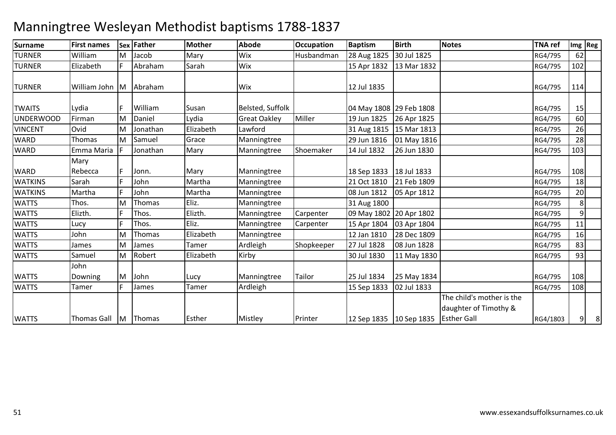#### **Surname First names Sex Father Mother Abode OccupationOccupation Baptism**<br>Husbandman 28 Aug 1825 **Birth Notes TNA ref Img Reg** TURNER WilliamR Elizabeth F Abraham MM Jacob Mary Wix Husbandman 28 Aug 1825 30 Jul 1825 RG4/795 62<br>E Abraham Garah Win 1820 1920 1920 1920 1920 1920 TURNERm Sarah Wix 15 Apr 1832 13 Mar 1832 RG4/795 102 TURNER William John MM | Abraham | Wix | Wix | 12 Jul 1835 | Nix | RG4/795 | 114 **TWAITS** Lydia F William Susan Belsted, Suffolk 194 May 1808 29 Feb 1808<br>Firman M Daniel Lydia Great Oakley Miller 19 Jun 1825 26 Apr 1825 8 RG4/795 15 UNDERWOOD Firman M Daniel Lydia Great Oakley Miller 19 Jun 1825 26 Apr 1825 RG4/795 <sup>60</sup> VINCENT OvidD Thomas MM Jonathan Elizabeth Lawford 31 Aug 1815 15 Mar 1813 RG4/795 26<br>March 2011 RG4/795 Marsington 2011 1991 1995 2011 1996 WARDMM Samuel Grace Manningtree 29 Jun 1816 01 May 1816 28 November 28 AG4/795 28<br>E Leoniko Marco Marco Marco Glovenia 141 1422 26 1422 26 1422 16 November 2021 **WARD** D Emma Maria F Jonathan Mary Manningtree Shoemaker 14 Jul 1832 26 Jun 1830 RG4/795 103 **WARD**  WATKINSMary Rebeccaa F F Jonn. Mary Manningtree 1833 18 Jul 1833<br>F John Martha Manningtree 21 Oct 1810 21 Feb 1809 RG4/795 108<br>RG4/795 18 Sarahh F John Martha Manningtree 21 Oct 1810 21 Oct 1810 21 Feb 1809 | RG4/795 | 18<br>08 Jun 1812 | 05 Apr 1812 | RG4/795 | 20 **WATKINS**  Martha <sup>F</sup> JohnJohn Martha Manningtree 08 Jun 1812<br>Thomas Eliz. Manningtree 31 Aug 1800 **05 Apr 1812 | RG4/795 WATTS** <mark>Thos.</mark><br>Elizth. MM Thomas Eliz. Manningtree 31 Aug 1800 RG4/795<br>Elizabeth Manningtree 2001 1992 RG4 1993 RG4/795 8 9**WATTS** Elizth. Manningtree<br>
Elizth. Manningtree<br>
Elizth Manningtree e Carpenter 109 May 1802 20 Apr 1802 1802 1803 1804/795 11 **WATTS** Lucy F Thos. Eliz. Manningtree<br>John M Thomas Elizabeth Manningtree Carpenter | 15 Apr 1804 15 Apr 1804 | 03 Apr 1804 | 102 | 12 | 13 | 14 | 15 | 164/795 | 164/795 | 164/795 | 164<br>| 12 Jan 1810 | 28 Dec 1809 | 164 | 165 | 165 | 165 | 165 | 165 | 165 | 165 | 165 | 165 | 165 | 165 | 165 | 16 **WATTS**  John James MM Thomas Elizabeth Manningtree 12 Jan 1810 28 Dec 1809 RG4/795 16<br>Martin Teneral Andleich Charles 27 L4839 89 L4839 RG4 2000 **WATTS** MM James Tamer Ardleigh Shopkeeper 27 Jul 1828 08 Jun 1828 RG4/795 83<br>M Dahart Elizabeth Wirku **WATTS**  Samuel MM Robert Elizabeth Kirby 1830 Jul 1830 11 May 1830 RG4/795 93<br>M Robert Elizabeth Kirby 1930 RG4/795 RG4/795 RG4/795 RG4/795 RG4/795 RG4/795 RG4/795 RG4/795 RG4/795 RG4/795 **WATTS WATTS** John DowningMM John Lucy Manningtree Tailor 25 Jul 1834 25 May 1834 RG4/795 108<br>E James Temes Andlaigh Andlaith 1988 1989 83 Jul 1833 S Tamer F James Tamer Ardleigh Ardleigh | 15 Sep 1833 **02 Jul 1833** RG4/795 108 **WATTS**  Thomas Gall MM Thomas Buther Mistley Printer 12 Sep 1835 10 Sep 1835 Esther Gall The child's mother is the daughter of Timothy & RG4/18033 | 9 | 8 |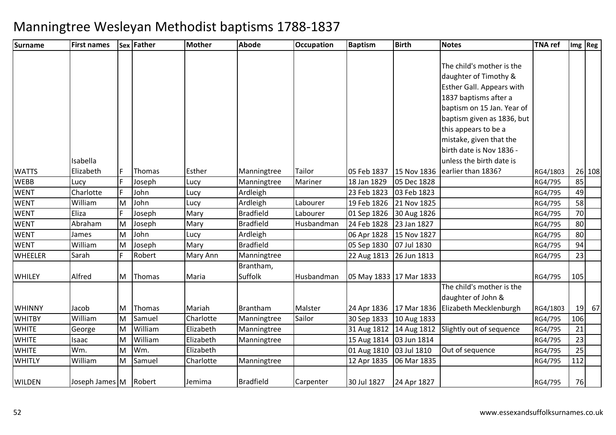| <b>Surname</b> | <b>First names</b> |   | Sex Father | <b>Mother</b> | <b>Abode</b>     | Occupation | <b>Baptism</b>          | <b>Birth</b>              | <b>Notes</b>                     | <b>TNA ref</b> |     | $Im g$ Reg |
|----------------|--------------------|---|------------|---------------|------------------|------------|-------------------------|---------------------------|----------------------------------|----------------|-----|------------|
|                |                    |   |            |               |                  |            |                         |                           |                                  |                |     |            |
|                |                    |   |            |               |                  |            |                         |                           | The child's mother is the        |                |     |            |
|                |                    |   |            |               |                  |            |                         |                           | daughter of Timothy &            |                |     |            |
|                |                    |   |            |               |                  |            |                         |                           | <b>Esther Gall. Appears with</b> |                |     |            |
|                |                    |   |            |               |                  |            |                         |                           | 1837 baptisms after a            |                |     |            |
|                |                    |   |            |               |                  |            |                         |                           | baptism on 15 Jan. Year of       |                |     |            |
|                |                    |   |            |               |                  |            |                         |                           | baptism given as 1836, but       |                |     |            |
|                |                    |   |            |               |                  |            |                         |                           | this appears to be a             |                |     |            |
|                |                    |   |            |               |                  |            |                         |                           | mistake, given that the          |                |     |            |
|                |                    |   |            |               |                  |            |                         |                           | birth date is Nov 1836 -         |                |     |            |
|                | Isabella           |   |            |               |                  |            |                         |                           | unless the birth date is         |                |     |            |
| <b>WATTS</b>   | Elizabeth          | F | Thomas     | Esther        | Manningtree      | Tailor     | 05 Feb 1837             | 15 Nov 1836               | earlier than 1836?               | RG4/1803       |     | 26 108     |
| <b>WEBB</b>    | Lucy               |   | Joseph     | Lucy          | Manningtree      | Mariner    | 18 Jan 1829             | 05 Dec 1828               |                                  | RG4/795        | 85  |            |
| <b>WENT</b>    | Charlotte          |   | John       | Lucy          | Ardleigh         |            | 23 Feb 1823             | 03 Feb 1823               |                                  | RG4/795        | 49  |            |
| <b>WENT</b>    | William            | M | John       | Lucy          | Ardleigh         | Labourer   | 19 Feb 1826             | 21 Nov 1825               |                                  | RG4/795        | 58  |            |
| <b>WENT</b>    | Eliza              |   | Joseph     | Mary          | <b>Bradfield</b> | Labourer   | 01 Sep 1826             | 30 Aug 1826               |                                  | RG4/795        | 70  |            |
| <b>WENT</b>    | Abraham            | M | Joseph     | Mary          | <b>Bradfield</b> | Husbandman | 24 Feb 1828             | 23 Jan 1827               |                                  | RG4/795        | 80  |            |
| <b>WENT</b>    | James              | M | John       | Lucy          | Ardleigh         |            | 06 Apr 1828             | 15 Nov 1827               |                                  | RG4/795        | 80  |            |
| <b>WENT</b>    | William            | M | Joseph     | Mary          | <b>Bradfield</b> |            | 05 Sep 1830             | 07 Jul 1830               |                                  | RG4/795        | 94  |            |
| <b>WHEELER</b> | Sarah              |   | Robert     | Mary Ann      | Manningtree      |            | 22 Aug 1813             | 26 Jun 1813               |                                  | RG4/795        | 23  |            |
|                |                    |   |            |               | Brantham,        |            |                         |                           |                                  |                |     |            |
| <b>WHILEY</b>  | Alfred             | M | Thomas     | Maria         | Suffolk          | Husbandman | 05 May 1833 17 Mar 1833 |                           |                                  | RG4/795        | 105 |            |
|                |                    |   |            |               |                  |            |                         |                           | The child's mother is the        |                |     |            |
|                |                    |   |            |               |                  |            |                         |                           | daughter of John &               |                |     |            |
| <b>WHINNY</b>  | Jacob              | M | Thomas     | Mariah        | <b>Brantham</b>  | Malster    |                         | 24 Apr 1836 17 Mar 1836   | Elizabeth Mecklenburgh           | RG4/1803       | 19  | 67         |
| <b>WHITBY</b>  | William            | M | Samuel     | Charlotte     | Manningtree      | Sailor     | 30 Sep 1833             | 10 Aug 1833               |                                  | RG4/795        | 106 |            |
| <b>WHITE</b>   | George             | M | William    | Elizabeth     | Manningtree      |            |                         | 31 Aug 1812   14 Aug 1812 | Slightly out of sequence         | RG4/795        | 21  |            |
| <b>WHITE</b>   | Isaac              | M | William    | Elizabeth     | Manningtree      |            | 15 Aug 1814 03 Jun 1814 |                           |                                  | RG4/795        | 23  |            |
| <b>WHITE</b>   | Wm.                | M | Wm.        | Elizabeth     |                  |            | 01 Aug 1810             | 03 Jul 1810               | Out of sequence                  | RG4/795        | 25  |            |
| <b>WHITLY</b>  | William            | M | Samuel     | Charlotte     | Manningtree      |            | 12 Apr 1835             | 06 Mar 1835               |                                  | RG4/795        | 112 |            |
|                |                    |   |            |               |                  |            |                         |                           |                                  |                |     |            |
| <b>WILDEN</b>  | Joseph James M     |   | Robert     | Jemima        | <b>Bradfield</b> | Carpenter  | 30 Jul 1827             | 24 Apr 1827               |                                  | RG4/795        | 76  |            |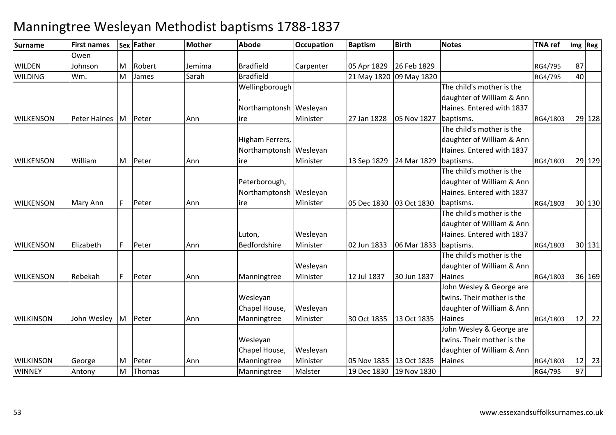#### **Surname First names Sex Father Mother Abode OccupationDccupation** Baptism **Birth Notes TNA ref Img Reg** WILDEN WILDINGOwen JohnsonM Robert Jemima Bradfield Carpenter 05 Apr 1829 26 Feb 1829 RG4/795 <sup>87</sup> Wm. MM James Sarah Bradfield 21 May 1820 09 May 1820 RG4/795 RG4/795 40 **WILKENSON**  Peter Haines MPeter Ann Wellingborough, Northamptonsh Wesleyan ireMinister27 Jan 1828 05 Nov 1827 The child's mother is the daughter of William & Ann Haines. Entered with 1837 baptisms. RG4/1803 <sup>29</sup> <sup>128</sup>**WILKENSON**  WilliamM Peter Ann Higham Ferrers, Northamptonsh Wesleyan ireMinisterr 13 Sep 1829 | 24 Mar 1829 | baptisms. The child's mother is the daughter of William & Ann Haines. Entered with 1837 RG4/1803 <sup>29</sup> <sup>129</sup>**WILKENSON** Mary Ann F Peter Ann Peterborough, Northamptonsh |Wesleyan ireMinister05 Dec 1830 03 Oct 1830 The child's mother is the daughter of William & Ann Haines. Entered with 1837 baptisms. RG4/1803 <sup>30</sup> <sup>130</sup>**WILKENSON** N Elizabeth F Peter Ann Luton, BedfordshireWesleyan Ministerr 102 Jun 1833 106 Mar 1833 baptisms. The child's mother is the daughter of William & Ann Haines. Entered with 1837 RG4/1803 <sup>30</sup> <sup>131</sup>**WILKENSON** Rebekah | F | Peter | Ann | Manningtree Wesleyan Minister12 Jul 1837 30 Jun 1837 The child's mother is the daughter of William & Ann **Haines**  RG4/1803 <sup>36</sup> <sup>169</sup>**WILKINSON**  John Wesley MPeter Ann Wesleyan Chapel House, ManningtreeWesleyan Minister 30 Oct 1835 13 Oct 1835John Wesley & George are twins. Their mother is the daughter of William & Ann **Haines**  RG4/1803 <sup>12</sup> <sup>22</sup>**WILKINSON**  George MPeter Ann<br>Thomas Wesleyan Chapel House, ManningtreeManningtree Wesleyan MinisterMinister 05 Nov 1835 13 Oct 1835<br>Malster 19 Dec 1830 19 Nov 1830 19 Nov 1830 John Wesley & George are twins. Their mother is the daughter of William & Ann Haines RG4/1803RG4/1803 12 23<br>RG4/795 97 **WINNEY**  Antony MM |Thomas | Manningtree | Malster | 19 Dec 1830 | 19 Nov 1830 | Nicolas | RG4/795 | 97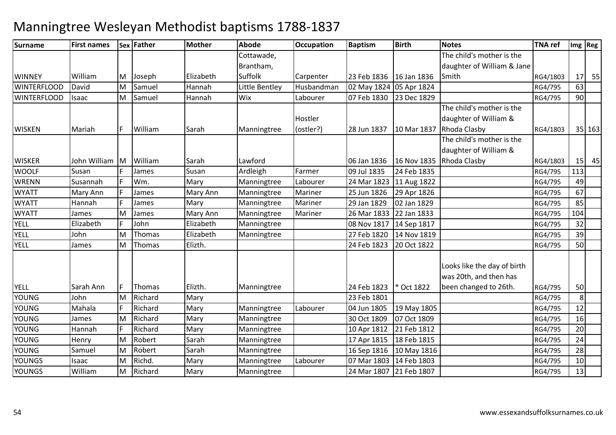| Surname            | <b>First names</b> |   | Sex Father    | <b>Mother</b> | Abode          | <b>Occupation</b> | <b>Baptism</b>          | <b>Birth</b> | <b>Notes</b>                                          | <b>TNA ref</b> |                 | Img Reg |
|--------------------|--------------------|---|---------------|---------------|----------------|-------------------|-------------------------|--------------|-------------------------------------------------------|----------------|-----------------|---------|
|                    |                    |   |               |               | Cottawade,     |                   |                         |              | The child's mother is the                             |                |                 |         |
|                    |                    |   |               |               | Brantham,      |                   |                         |              | daughter of William & Jane                            |                |                 |         |
| <b>WINNEY</b>      | William            | M | Joseph        | Elizabeth     | Suffolk        | Carpenter         | 23 Feb 1836             | 16 Jan 1836  | Smith                                                 | RG4/1803       | 17 <sup>1</sup> | 55      |
| <b>WINTERFLOOD</b> | David              | M | Samuel        | Hannah        | Little Bentley | Husbandman        | 02 May 1824 05 Apr 1824 |              |                                                       | RG4/795        | 63              |         |
| <b>WINTERFLOOD</b> | Isaac              | M | Samuel        | Hannah        | Wix            | Labourer          | 07 Feb 1830             | 23 Dec 1829  |                                                       | RG4/795        | 90              |         |
|                    |                    |   |               |               |                |                   |                         |              | The child's mother is the                             |                |                 |         |
|                    |                    |   |               |               |                | Hostler           |                         |              | daughter of William &                                 |                |                 |         |
| <b>WISKEN</b>      | Mariah             |   | William       | Sarah         | Manningtree    | (ostler?)         | 28 Jun 1837             | 10 Mar 1837  | Rhoda Clasby                                          | RG4/1803       |                 | 35 163  |
|                    |                    |   |               |               |                |                   |                         |              | The child's mother is the                             |                |                 |         |
|                    |                    |   |               |               |                |                   |                         |              | daughter of William &                                 |                |                 |         |
| <b>WISKER</b>      | John William       | M | William       | Sarah         | Lawford        |                   | 06 Jan 1836             | 16 Nov 1835  | Rhoda Clasby                                          | RG4/1803       | 15              | 45      |
| <b>WOOLF</b>       | Susan              |   | James         | Susan         | Ardleigh       | Farmer            | 09 Jul 1835             | 24 Feb 1835  |                                                       | RG4/795        | 113             |         |
| WRENN              | Susannah           |   | Wm.           | Mary          | Manningtree    | Labourer          | 24 Mar 1823             | 11 Aug 1822  |                                                       | RG4/795        | 49              |         |
| <b>WYATT</b>       | Mary Ann           |   | James         | Mary Ann      | Manningtree    | Mariner           | 25 Jun 1826             | 29 Apr 1826  |                                                       | RG4/795        | 67              |         |
| <b>WYATT</b>       | Hannah             |   | James         | Mary          | Manningtree    | Mariner           | 29 Jan 1829             | 02 Jan 1829  |                                                       | RG4/795        | 85              |         |
| <b>WYATT</b>       | James              | M | James         | Mary Ann      | Manningtree    | Mariner           | 26 Mar 1833             | 22 Jan 1833  |                                                       | RG4/795        | 104             |         |
| <b>YELL</b>        | Elizabeth          |   | John          | Elizabeth     | Manningtree    |                   | 08 Nov 1817             | 14 Sep 1817  |                                                       | RG4/795        | 32              |         |
| <b>YELL</b>        | John               | M | <b>Thomas</b> | Elizabeth     | Manningtree    |                   | 27 Feb 1820             | 14 Nov 1819  |                                                       | RG4/795        | 39              |         |
| <b>YELL</b>        | James              | M | Thomas        | Elizth.       |                |                   | 24 Feb 1823             | 20 Oct 1822  |                                                       | RG4/795        | 50              |         |
|                    |                    |   |               |               |                |                   |                         |              | Looks like the day of birth<br>was 20th, and then has |                |                 |         |
| <b>YELL</b>        | Sarah Ann          |   | Thomas        | Elizth.       | Manningtree    |                   | 24 Feb 1823             | * Oct 1822   | been changed to 26th.                                 | RG4/795        | 50              |         |
| <b>YOUNG</b>       | John               | M | Richard       | Mary          |                |                   | 23 Feb 1801             |              |                                                       | RG4/795        | 8               |         |
| <b>YOUNG</b>       | Mahala             |   | Richard       | Mary          | Manningtree    | Labourer          | 04 Jun 1805             | 19 May 1805  |                                                       | RG4/795        | 12              |         |
| <b>YOUNG</b>       | James              | M | Richard       | Mary          | Manningtree    |                   | 30 Oct 1809             | 07 Oct 1809  |                                                       | RG4/795        | 16              |         |
| <b>YOUNG</b>       | Hannah             |   | Richard       | Mary          | Manningtree    |                   | 10 Apr 1812             | 21 Feb 1812  |                                                       | RG4/795        | 20              |         |
| <b>YOUNG</b>       | Henry              | M | Robert        | Sarah         | Manningtree    |                   | 17 Apr 1815             | 18 Feb 1815  |                                                       | RG4/795        | 24              |         |
| <b>YOUNG</b>       | Samuel             | M | Robert        | Sarah         | Manningtree    |                   | 16 Sep 1816             | 10 May 1816  |                                                       | RG4/795        | 28              |         |
| <b>YOUNGS</b>      | Isaac              | М | Richd.        | Mary          | Manningtree    | Labourer          | 07 Mar 1803             | 14 Feb 1803  |                                                       | RG4/795        | 10              |         |
| <b>YOUNGS</b>      | William            | M | Richard       | Mary          | Manningtree    |                   | 24 Mar 1807             | 21 Feb 1807  |                                                       | RG4/795        | 13              |         |